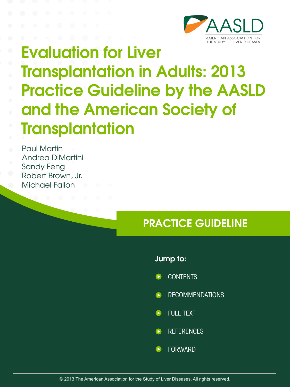

# <span id="page-0-0"></span>Evaluation for Liver **Transplantation in Adults: 2013** Practice Guideline by the AASLD and the American Society of **Transplantation**

Paul Martin Andrea DiMartini Sandy Feng Robert Brown, Jr. Michael Fallon

# PRACTICE GUIDELINE

## Jump to:

**[CONTENTS](#page-1-0)**  $\bullet$ [RECOMMENDATIONS](#page-2-0)  $\bullet$ [FULL TEXT](#page-62-0)  $\bullet$ **[REFERENCES](#page-88-0)**  $\bullet$  $\bullet$ [FORWARD](#page-1-0)

© 2013 The American Association for the Study of Liver Diseases, All rights reserved.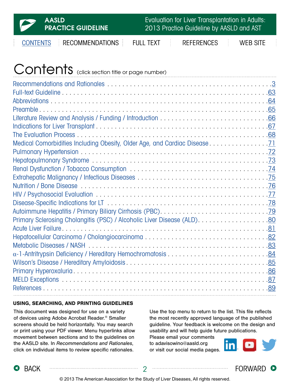<span id="page-1-0"></span>

Evaluation for Liver Transplantation in Adults: 2013 Practice Guideline by AASLD and AST

CONTENTS [RECOMMENDATIONS](#page-2-0) [FULL TEXT](#page-62-0) [REFERENCES](#page-88-0) [WEB SITE](http://aasld.org/practiceguidelines/Pages/guidelinelisting.aspx)

| Contents (click section title or page number)                                                                                                                                                                                  |
|--------------------------------------------------------------------------------------------------------------------------------------------------------------------------------------------------------------------------------|
|                                                                                                                                                                                                                                |
|                                                                                                                                                                                                                                |
|                                                                                                                                                                                                                                |
|                                                                                                                                                                                                                                |
| Literature Review and Analysis / Funding / Introduction Marting Alexander Analysis 1966                                                                                                                                        |
|                                                                                                                                                                                                                                |
|                                                                                                                                                                                                                                |
| Medical Comorbidities Including Obesity, Older Age, and Cardiac Disease Martings, 1997.                                                                                                                                        |
| Pulmonary Hypertension <b>Fig. 1. Accept Accept Accept Accept Accept Accept Accept Accept Accept Accept Accept Accept</b>                                                                                                      |
|                                                                                                                                                                                                                                |
|                                                                                                                                                                                                                                |
|                                                                                                                                                                                                                                |
| Nutrition / Bone Disease <b>Constanting Constructs</b> 2014 Nutrition / Bone Disease                                                                                                                                           |
|                                                                                                                                                                                                                                |
|                                                                                                                                                                                                                                |
| Autoimmune Hepatitis / Primary Biliary Cirrhosis (PBC) Marting Martin Martin Martin Martin 19                                                                                                                                  |
| Primary Sclerosing Cholangitis (PSC) / Alcoholic Liver Disease (ALD) 80                                                                                                                                                        |
|                                                                                                                                                                                                                                |
| Hepatocellular Carcinoma / Cholangiocarcinoma material contracts and the set of the set of the set of the set of the set of the set of the set of the set of the set of the set of the set of the set of the set of the set of |
|                                                                                                                                                                                                                                |
|                                                                                                                                                                                                                                |
|                                                                                                                                                                                                                                |
|                                                                                                                                                                                                                                |
|                                                                                                                                                                                                                                |
|                                                                                                                                                                                                                                |
|                                                                                                                                                                                                                                |

#### USING, SEARCHING, AND PRINTING GUIDELINES

This document was designed for use on a variety of devices using Adobe Acrobat Reader.® Smaller screens should be held horizontally. You may search or print using your PDF viewer. Menu hyperlinks allow movement between sections and to the guidelines on the AASLD site. In *Recommendations and Rationales*, click on individual items to review specific rationales.

Use the top menu to return to the list. This file reflects the most recently approved language of the published guideline. Your feedback is welcome on the design and usability and will help guide future publications.

Please email your comments to [adavisowino@aasld.org](mailto:adavisowino%40aasld.org?subject=Guidelines%20PDF%20Feedback) or visit our social media pages.





 $\bullet$  [BACK](#page-0-0)  $\bullet$  [FORWARD](#page-2-0)  $\bullet$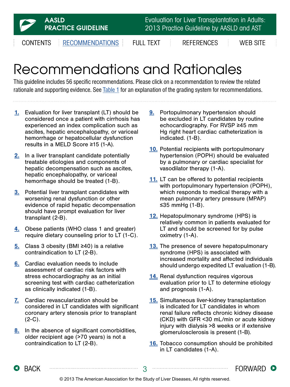AASLD PRACTICE GUIDELINE

Evaluation for Liver Transplantation in Adults: 2013 Practice Guideline by AASLD and AST

<span id="page-2-0"></span>

[CONTENTS](#page-1-0) RECOMMENDATIONS [FULL TEXT](#page-62-0) [REFERENCES](#page-88-0) [WEB SITE](http://aasld.org/practiceguidelines/Pages/guidelinelisting.aspx)

# Recommendations and Rationales

This guideline includes 56 specific recommendations. Please click on a recommendation to review the related rationale and supporting evidence. See [Table 1](#page-64-0) for an explanation of the grading system for recommendations.

- 1. Evaluation for liver transplant (LT) should be [considered once a patient with cirrhosis has](#page-5-0)  [experienced an index complication such as](#page-5-0)  [ascites, hepatic encephalopathy, or variceal](#page-5-0)  [hemorrhage or hepatocellular dysfunction](#page-5-0)  [results in a MELD Score ≥15 \(1-A\).](#page-5-0)
- 2. [In a liver transplant candidate potentially](#page-6-0)  [treatable etiologies and components of](#page-6-0)  [hepatic decompensation such as ascites,](#page-6-0)  [hepatic encephalopathy, or variceal](#page-6-0)  [hemorrhage should be treated \(1-B\).](#page-6-0)
- 3. [Potential liver transplant candidates with](#page-7-0)  [worsening renal dysfunction or other](#page-7-0)  [evidence of rapid hepatic decompensation](#page-7-0)  [should have prompt evaluation for liver](#page-7-0)  [transplant \(2-B\).](#page-7-0)
- 4. [Obese patients \(WHO class 1 and greater\)](#page-8-0)  [require dietary counseling prior to LT \(1-C\).](#page-8-0)
- 5. [Class 3 obesity \(BMI ≥40\) is a relative](#page-9-0)  [contraindication to LT \(2-B\).](#page-9-0)
- 6. [Cardiac evaluation needs to include](#page-10-0)  [assessment of cardiac risk factors with](#page-10-0)  [stress echocardiography as an initial](#page-10-0)  [screening test with cardiac catheterization](#page-10-0)  [as clinically indicated \(1-B\).](#page-10-0)
- 7. [Cardiac revascularization should be](#page-11-0)  [considered in LT candidates with significant](#page-11-0)  [coronary artery stenosis prior to transplant](#page-11-0)   $(2-C)$ .
- 8. In the absence of significant comorbidities, [older recipient age \(>70 years\) is not a](#page-12-0)  [contraindication to LT \(2-B\).](#page-12-0)
- 9. Portopulmonary hypertension should [be excluded in LT candidates by routine](#page-13-0)  [echocardiography. For RVSP ≥45 mm](#page-13-0)  [Hg right heart cardiac catheterization is](#page-13-0)  [indicated. \(1-B\).](#page-13-0)
- 10. Potential recipients with portopulmonary [hypertension \(POPH\) should be evaluated](#page-14-0)  [by a pulmonary or cardiac specialist for](#page-14-0)  [vasodilator therapy \(1-A\).](#page-14-0)
- 11. LT can be offered to potential recipients [with portopulmonary hypertension \(POPH\),](#page-15-0)  [which responds to medical therapy with a](#page-15-0)  [mean pulmonary artery pressure \(MPAP\)](#page-15-0)  [≤35 mmHg \(1-B\).](#page-15-0)
- 12. Hepatopulmonary syndrome (HPS) is [relatively common in patients evaluated for](#page-16-0)  [LT and should be screened for by pulse](#page-16-0)  [oximetry \(1-A\).](#page-16-0)
- 13. The presence of severe hepatopulmonary [syndrome \(HPS\) is associated with](#page-17-0)  [increased mortality and affected individuals](#page-17-0)  [should undergo expedited LT evaluation \(1-B\).](#page-17-0)
- 14. Renal dysfunction requires vigorous [evaluation prior to LT to determine etiology](#page-18-0)  [and prognosis \(1-A\).](#page-18-0)
- 15. [Simultaneous liver-kidney transplantation](#page-19-0)  [is indicated for LT candidates in whom](#page-19-0)  [renal failure reflects chronic kidney disease](#page-19-0)  [\(CKD\) with GFR <30 mL/min or acute kidney](#page-19-0)  [injury with dialysis >8 weeks or if extensive](#page-19-0)  [glomerulosclerosis is present \(1-B\).](#page-19-0)
- 16. [Tobacco consumption should be prohibited](#page-20-0)  [in LT candidates \(1-A\).](#page-20-0)

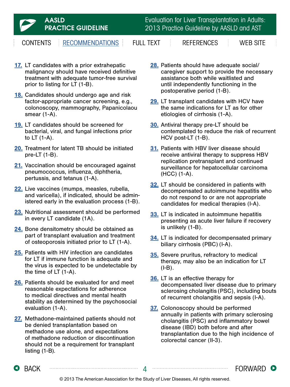#### AASLD PRACTICE GUIDELINE

Evaluation for Liver Transplantation in Adults: 2013 Practice Guideline by AASLD and AST

# <span id="page-3-0"></span>[CONTENTS](#page-1-0) [RECOMMENDATIONS](#page-2-0) [FULL TEXT](#page-62-0) [REFERENCES](#page-88-0) [WEB SITE](http://aasld.org/practiceguidelines/Pages/guidelinelisting.aspx)

- 17. LT candidates with a prior extrahepatic [malignancy should have received definitive](#page-21-0)  [treatment with adequate tumor-free survival](#page-21-0)  [prior to listing for LT \(1-B\).](#page-21-0)
- 18. Candidates should undergo age and risk [factor-appropriate cancer screening, e.g.,](#page-22-0)  [colonoscopy, mammography, Papanicolaou](#page-22-0)  [smear \(1-A\).](#page-22-0)
- 19. [LT candidates should be screened for](#page-23-0)  [bacterial, viral, and fungal infections prior](#page-23-0) [to LT \(1-A\).](#page-23-0)
- 20. [Treatment for latent TB should be initiated](#page-24-0)  [pre-LT \(1-B\).](#page-24-0)
- 21. Vaccination should be encouraged against [pneumococcus, influenza, diphtheria,](#page-25-0)  [pertussis, and tetanus \(1-A\).](#page-25-0)
- 22. Live vaccines (mumps, measles, rubella, [and varicella\), if indicated, should be admin](#page-26-0)[istered early in the evaluation process \(1-B\).](#page-26-0)
- 23. Nutritional assessment should be performed [in every LT candidate \(1A\).](#page-27-0)
- 24. Bone densitometry should be obtained as [part of transplant evaluation and treatment](#page-28-0)  [of osteoporosis initiated prior to LT \(1-A\).](#page-28-0)
- 25. Patients with HIV infection are candidates [for LT if immune function is adequate and](#page-29-0)  [the virus is expected to be undetectable by](#page-29-0)  [the time of LT \(1-A\).](#page-29-0)
- 26. [Patients should be evaluated for and meet](#page-30-0)  [reasonable expectations for adherence](#page-30-0)  [to medical directives and mental health](#page-30-0)  [stability as determined by the psychosocial](#page-30-0)  [evaluation \(1-A\).](#page-30-0)
- 27. [Methadone-maintained patients should not](#page-31-0) [be denied transplantation based on](#page-31-0)  [methadone use alone, and expectations](#page-31-0)  [of methadone reduction or discontinuation](#page-31-0)  [should not be a requirement for transplant](#page-31-0)  [listing \(1-B\).](#page-31-0)
- 28. [Patients should have adequate social/](#page-32-0) [caregiver support to provide the necessary](#page-32-0)  [assistance both while waitlisted and](#page-32-0)  [until independently functioning in the](#page-32-0)  [postoperative period \(1-B\).](#page-32-0)
- 29. [LT transplant candidates with HCV have](#page-33-0)  [the same indications for LT as for other](#page-33-0)  [etiologies of cirrhosis \(1-A\).](#page-33-0)
- 30. [Antiviral therapy pre-LT should be](#page-34-0)  [contemplated to reduce the risk of recurrent](#page-34-0)  [HCV post-LT \(1-B\).](#page-34-0)
- 31. [Patients with HBV liver disease should](#page-35-0)  [receive antiviral therapy to suppress HBV](#page-35-0)  [replication pretransplant and continued](#page-35-0)  [surveillance for hepatocellular carcinoma](#page-35-0)  [\(HCC\) \(1-A\).](#page-35-0)
- 32. [LT should be considered in patients with](#page-36-0)  [decompensated autoimmune hepatitis who](#page-36-0)  [do not respond to or are not appropriate](#page-36-0)  [candidates for medical therapies \(I-A\).](#page-36-0)
- **33.** LT is indicated in autoimmune hepatitis [presenting as acute liver failure if recovery](#page-37-0)  [is unlikely \(1-B\).](#page-37-0)
- 34. LT is indicated for decompensated primary [biliary cirrhosis \(PBC\) \(I-A\).](#page-38-0)
- 35. [Severe pruritus, refractory to medical](#page-39-0)  [therapy, may also be an indication for LT](#page-39-0)  $(I-B)$ .
- 36. [LT is an effective therapy for](#page-40-0)  [decompensated liver disease due to primary](#page-40-0)  [sclerosing cholangitis \(PSC\), including bouts](#page-40-0) [of recurrent cholangitis and sepsis \(I-A\).](#page-40-0)
- **37.** Colonoscopy should be performed [annually in patients with primary sclerosing](#page-41-0)  [cholangitis \(PSC\) and inflammatory bowel](#page-41-0)  [disease \(IBD\) both before and after](#page-41-0)  [transplantation due to the high incidence of](#page-41-0)  [colorectal cancer \(II-3\).](#page-41-0)

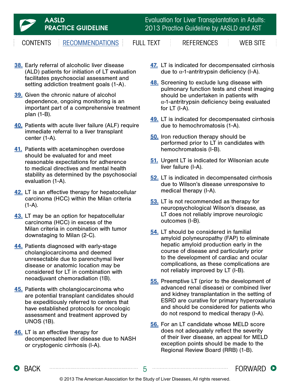#### AASLD PRACTICE GUIDELINE

Evaluation for Liver Transplantation in Adults: 2013 Practice Guideline by AASLD and AST

# <span id="page-4-0"></span>[CONTENTS](#page-1-0) [RECOMMENDATIONS](#page-2-0) [FULL TEXT](#page-62-0) [REFERENCES](#page-88-0) [WEB SITE](http://aasld.org/practiceguidelines/Pages/guidelinelisting.aspx)

- **38.** Early referral of alcoholic liver disease [\(ALD\) patients for initiation of LT evaluation](#page-42-0)  [facilitates psychosocial assessment and](#page-42-0)  [setting addiction treatment goals \(1-A\).](#page-42-0)
- 39. [Given the chronic nature of alcohol](#page-43-0)  [dependence, ongoing monitoring is an](#page-43-0)  [important part of a comprehensive treatment](#page-43-0)  [plan \(1-B\).](#page-43-0)
- 40. [Patients with acute liver failure \(ALF\) require](#page-44-0)  [immediate referral to a liver transplant](#page-44-0)  [center \(1-A\).](#page-44-0)
- 41. Patients with acetaminophen overdose [should be evaluated for and meet](#page-45-0)  [reasonable expectations for adherence](#page-45-0)  [to medical directives and mental health](#page-45-0)  [stability as determined by the psychosocial](#page-45-0)  [evaluation \(1-A\).](#page-45-0)
- **42.** LT is an effective therapy for hepatocellular [carcinoma \(HCC\) within the Milan criteria](#page-46-0)  $(1-A)$ .
- **43.** LT may be an option for hepatocellular [carcinoma \(HCC\) in excess of the](#page-47-0)  [Milan criteria in combination with tumor](#page-47-0)  [downstaging to Milan \(2-C\).](#page-47-0)
- 44. [Patients diagnosed with early-stage](#page-48-0)  [cholangiocarcinoma and deemed](#page-48-0)  [unresectable due to parenchymal liver](#page-48-0)  [disease or anatomic location may be](#page-48-0)  [considered for LT in combination with](#page-48-0)  [neoadjuvant chemoradiation \(1B\).](#page-48-0)
- 45. [Patients with cholangiocarcinoma who](#page-49-0)  [are potential transplant candidates should](#page-49-0)  [be expeditiously referred to centers that](#page-49-0)  [have established protocols for oncologic](#page-49-0)  [assessment and treatment approved by](#page-49-0)  [UNOS \(1B\).](#page-49-0)
- 46. [LT is an effective therapy for](#page-50-0)  [decompensated liver disease due to NASH](#page-50-0)  [or cryptogenic cirrhosis \(I-A\).](#page-50-0)
- **47.** LT is indicated for decompensated cirrhosis due to  $α$ [-1-antritrypsin deficiency \(I-A\).](#page-51-0)
- **48.** Screening to exclude lung disease with [pulmonary function tests and chest imaging](#page-52-0)  [should be undertaken in patients with](#page-52-0)  α[-1-antritrypsin deficiency being evaluated](#page-52-0)  [for LT \(I-A\).](#page-52-0)
- **49.** LT is indicated for decompensated cirrhosis [due to hemochromatosis \(1-A\).](#page-53-0)
- 50. [Iron reduction therapy should be](#page-54-0)  [performed prior to LT in candidates with](#page-54-0)  [hemochromatosis \(I-B\).](#page-54-0)
- 51. [Urgent LT is indicated for Wilsonian acute](#page-55-0)  [liver failure \(I-A\).](#page-55-0)
- 52. [LT is indicated in decompensated cirrhosis](#page-56-0)  [due to Wilson's disease unresponsive to](#page-56-0)  [medical therapy \(I-A\).](#page-56-0)
- 53. [LT is not recommended as therapy for](#page-57-0)  [neuropsychological Wilson's disease, as](#page-57-0)  [LT does not reliably improve neurologic](#page-57-0)  [outcomes \(I-B\).](#page-57-0)
- 54. [LT should be considered in familial](#page-58-0)  [amyloid polyneuropathy \(FAP\) to eliminate](#page-58-0)  [hepatic amyloid production early in the](#page-58-0)  [course of disease and particularly prior](#page-58-0)  [to the development of cardiac and ocular](#page-58-0)  [complications, as these complications are](#page-58-0)  [not reliably improved by LT \(I-B\).](#page-58-0)
- 55. Preemptive LT (prior to the development of [advanced renal disease\) or combined liver](#page-59-0)  [and kidney transplantation in the setting of](#page-59-0)  [ESRD are curative for primary hyperoxaluria](#page-59-0)  [and should be considered for patients who](#page-59-0)  [do not respond to medical therapy \(I-A\).](#page-59-0)
- 56. [For an LT candidate whose MELD score](#page-60-0)  [does not adequately reflect the severity](#page-60-0)  [of their liver disease, an appeal for MELD](#page-60-0)  [exception points should be made to the](#page-60-0)  [Regional Review Board \(RRB\) \(1-B\).](#page-60-0)

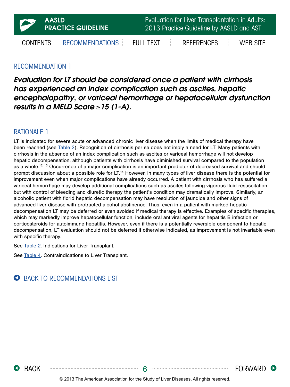<span id="page-5-0"></span>

Evaluation for Liver Transplantation in Adults: 2013 Practice Guideline by AASLD and AST

## RECOMMENDATION 1

*Evaluation for LT should be considered once a patient with cirrhosis has experienced an index complication such as ascites, hepatic encephalopathy, or variceal hemorrhage or hepatocellular dysfunction results in a MELD Score* ≥*15 (1-A).* 

## RATIONALE 1

LT is indicated for severe acute or advanced chronic liver disease when the limits of medical therapy have been reached (see [Table 2\)](#page-66-0). Recognition of cirrhosis per se does not imply a need for LT. Many patients with cirrhosis in the absence of an index complication such as ascites or variceal hemorrhage will not develop hepatic decompensation, although patients with cirrhosis have diminished survival compared to the population as a whole.<sup>12, 13</sup> Occurrence of a major complication is an important predictor of decreased survival and should prompt discussion about a possible role for LT.<sup>14</sup> However, in many types of liver disease there is the potential for improvement even when major complications have already occurred. A patient with cirrhosis who has suffered a variceal hemorrhage may develop additional complications such as ascites following vigorous fluid resuscitation but with control of bleeding and diuretic therapy the patient's condition may dramatically improve. Similarly, an alcoholic patient with florid hepatic decompensation may have resolution of jaundice and other signs of advanced liver disease with protracted alcohol abstinence. Thus, even in a patient with marked hepatic decompensation LT may be deferred or even avoided if medical therapy is effective. Examples of specific therapies, which may markedly improve hepatocellular function, include oral antiviral agents for hepatitis B infection or corticosteroids for autoimmune hepatitis. However, even if there is a potentially reversible component to hepatic decompensation, LT evaluation should not be deferred if otherwise indicated, as improvement is not invariable even with specific therapy.

See [Table 2.](#page-66-0) Indications for Liver Transplant.

See [Table 4.](#page-69-0) Contraindications to Liver Transplant.

**[BACK TO RECOMMENDATIONS LIST](#page-2-0)**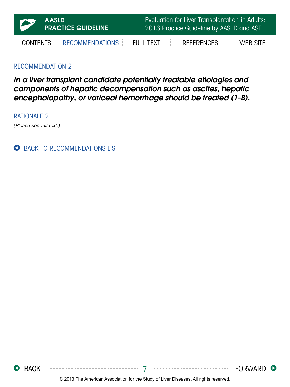<span id="page-6-0"></span>

*In a liver transplant candidate potentially treatable etiologies and components of hepatic decompensation such as ascites, hepatic encephalopathy, or variceal hemorrhage should be treated (1-B).* 

RATIONALE 2 *(Please see full text.)*

**[BACK TO RECOMMENDATIONS LIST](#page-2-0)** 

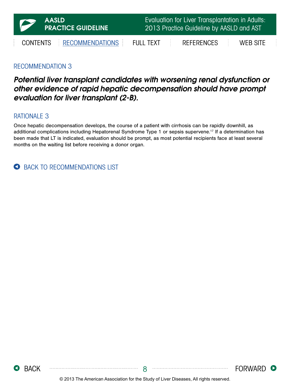<span id="page-7-0"></span>

*Potential liver transplant candidates with worsening renal dysfunction or other evidence of rapid hepatic decompensation should have prompt evaluation for liver transplant (2-B).*

## RATIONALE 3

Once hepatic decompensation develops, the course of a patient with cirrhosis can be rapidly downhill, as additional complications including Hepatorenal Syndrome Type 1 or sepsis supervene.<sup>17</sup> If a determination has been made that LT is indicated, evaluation should be prompt, as most potential recipients face at least several months on the waiting list before receiving a donor organ.

**[BACK TO RECOMMENDATIONS LIST](#page-2-0)** 

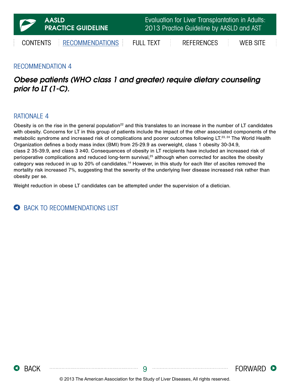<span id="page-8-0"></span>

# *Obese patients (WHO class 1 and greater) require dietary counseling prior to LT (1-C).*

## RATIONAL F 4

Obesity is on the rise in the general population<sup>22</sup> and this translates to an increase in the number of LT candidates with obesity. Concerns for LT in this group of patients include the impact of the other associated components of the metabolic syndrome and increased risk of complications and poorer outcomes following LT.<sup>23, 24</sup> The World Health Organization defines a body mass index (BMI) from 25-29.9 as overweight, class 1 obesity 30-34.9, class 2 35-39.9, and class 3 ≥40. Consequences of obesity in LT recipients have included an increased risk of perioperative complications and reduced long-term survival,<sup>25</sup> although when corrected for ascites the obesity category was reduced in up to 20% of candidates.<sup>14</sup> However, in this study for each liter of ascites removed the mortality risk increased 7%, suggesting that the severity of the underlying liver disease increased risk rather than obesity per se.

Weight reduction in obese LT candidates can be attempted under the supervision of a dietician.

**[BACK TO RECOMMENDATIONS LIST](#page-2-0)** 

[BACK](#page-7-0) [FORWARD](#page-9-0)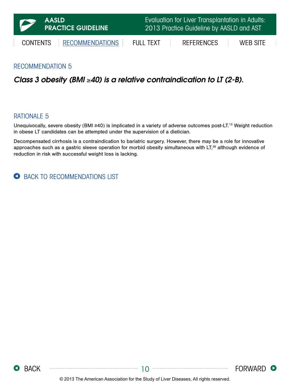<span id="page-9-0"></span>

# *Class 3 obesity (BMI* ≥*40) is a relative contraindication to LT (2-B).*

#### RATIONALE 5

Unequivocally, severe obesity (BMI ≥40) is implicated in a variety of adverse outcomes post-LT.<sup>15</sup> Weight reduction in obese LT candidates can be attempted under the supervision of a dietician.

Decompensated cirrhosis is a contraindication to bariatric surgery. However, there may be a role for innovative approaches such as a gastric sleeve operation for morbid obesity simultaneous with LT,<sup>26</sup> although evidence of reduction in risk with successful weight loss is lacking.

**[BACK TO RECOMMENDATIONS LIST](#page-2-0)** 

C [BACK](#page-8-0) **EXECUTE:** 10 THE ROBBERT CONTROL CONTROL CONTROL CONTROL CONTROL CONTROL CONTROL CONTROL CONTROL CONTROL CONTROL CONTROL CONTROL CONTROL CONTROL CONTROL CONTROL CONTROL CONTROL CONTROL CONTROL CONTROL CONTROL CONTR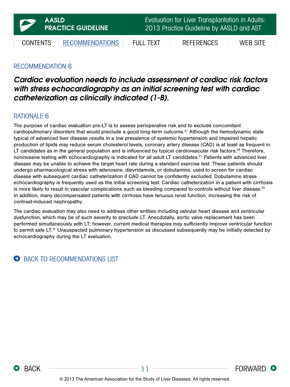<span id="page-10-0"></span>

Evaluation for Liver Transplantation in Adults: 2013 Practice Guideline by AASLD and AST

## RECOMMENDATION 6

# *Cardiac evaluation needs to include assessment of cardiac risk factors with stress echocardiography as an initial screening test with cardiac catheterization as clinically indicated (1-B).*

## RATIONALE 6

The purpose of cardiac evaluation pre-LT is to assess perioperative risk and to exclude concomitant cardiopulmonary disorders that would preclude a good long-term outcome.<sup>27</sup> Although the hemodynamic state typical of advanced liver disease results in a low prevalence of systemic hypertension and impaired hepatic production of lipids may reduce serum cholesterol levels, coronary artery disease (CAD) is at least as frequent in LT candidates as in the general population and is influenced by typical cardiovascular risk factors.<sup>28</sup> Therefore, noninvasive testing with echocardiography is indicated for all adult LT candidates.21 Patients with advanced liver disease may be unable to achieve the target heart rate during a standard exercise test. These patients should undergo pharmacological stress with adenosine, dipyridamole, or dobutamine, used to screen for cardiac disease with subsequent cardiac catheterization if CAD cannot be confidently excluded. Dobutamine stress echocardiography is frequently used as the initial screening test. Cardiac catheterization in a patient with cirrhosis is more likely to result in vascular complications such as bleeding compared to controls without liver disease.<sup>29</sup> In addition, many decompensated patients with cirrhosis have tenuous renal function, increasing the risk of contrast-induced nephropathy.

The cardiac evaluation may also need to address other entities including valvular heart disease and ventricular dysfunction, which may be of such severity to preclude LT. Anecdotally, aortic valve replacement has been performed simultaneously with LT; however, current medical therapies may sufficiently improve ventricular function to permit safe LT.<sup>31</sup> Unsuspected pulmonary hypertension as discussed subsequently may be initially detected by echocardiography during the LT evaluation.

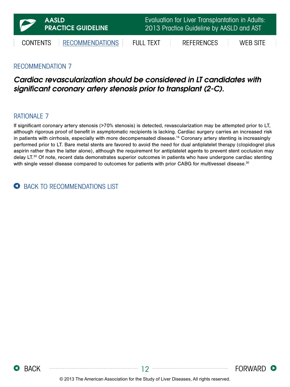<span id="page-11-0"></span>

# *Cardiac revascularization should be considered in LT candidates with significant coronary artery stenosis prior to transplant (2-C).*

## RATIONALE<sub>7</sub>

If significant coronary artery stenosis (>70% stenosis) is detected, revascularization may be attempted prior to LT, although rigorous proof of benefit in asymptomatic recipients is lacking. Cardiac surgery carries an increased risk in patients with cirrhosis, especially with more decompensated disease.<sup>16</sup> Coronary artery stenting is increasingly performed prior to LT. Bare metal stents are favored to avoid the need for dual antiplatelet therapy (clopidogrel plus aspirin rather than the latter alone), although the requirement for antiplatelet agents to prevent stent occlusion may delay LT.<sup>30</sup> Of note, recent data demonstrates superior outcomes in patients who have undergone cardiac stenting with single vessel disease compared to outcomes for patients with prior CABG for multivessel disease.<sup>30</sup>

## **[BACK TO RECOMMENDATIONS LIST](#page-2-0)**

[BACK](#page-10-0) [FORWARD](#page-12-0)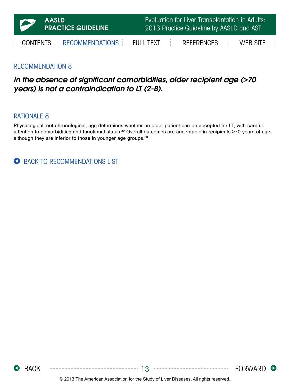<span id="page-12-0"></span>

# *In the absence of significant comorbidities, older recipient age (>70 years) is not a contraindication to LT (2-B).*

## RATIONALE 8

Physiological, not chronological, age determines whether an older patient can be accepted for LT, with careful attention to comorbidities and functional status.<sup>32</sup> Overall outcomes are acceptable in recipients >70 years of age, although they are inferior to those in younger age groups.<sup>33</sup>

## **[BACK TO RECOMMENDATIONS LIST](#page-2-0)**

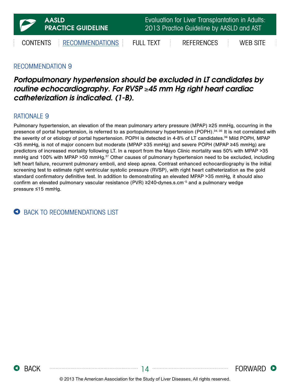<span id="page-13-0"></span>

2013 Practice Guideline by AASLD and AST

## RECOMMENDATION 9

# *Portopulmonary hypertension should be excluded in LT candidates by routine echocardiography. For RVSP* ≥*45 mm Hg right heart cardiac catheterization is indicated. (1-B).*

## RATIONAL F 9

Pulmonary hypertension, an elevation of the mean pulmonary artery pressure (MPAP) ≥25 mmHg, occurring in the presence of portal hypertension, is referred to as portopulmonary hypertension (POPH).<sup>34, 35</sup> It is not correlated with the severity of or etiology of portal hypertension. POPH is detected in 4-8% of LT candidates.<sup>36</sup> Mild POPH, MPAP <35 mmHg, is not of major concern but moderate (MPAP ≥35 mmHg) and severe POPH (MPAP ≥45 mmHg) are predictors of increased mortality following LT. In a report from the Mayo Clinic mortality was 50% with MPAP >35 mmHg and 100% with MPAP >50 mmHg.<sup>37</sup> Other causes of pulmonary hypertension need to be excluded, including left heart failure, recurrent pulmonary emboli, and sleep apnea. Contrast enhanced echocardiography is the initial screening test to estimate right ventricular systolic pressure (RVSP), with right heart catheterization as the gold standard confirmatory definitive test. In addition to demonstrating an elevated MPAP >35 mmHg, it should also confirm an elevated pulmonary vascular resistance (PVR) ≥240-dynes.s.cm−5 and a pulmonary wedge pressure ≤15 mmHg.

**[BACK TO RECOMMENDATIONS LIST](#page-2-0)** 

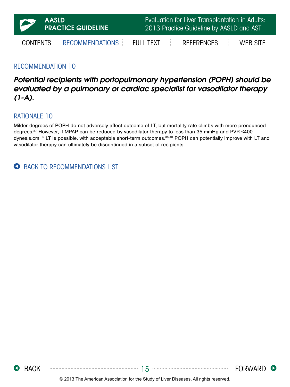<span id="page-14-0"></span>

# *Potential recipients with portopulmonary hypertension (POPH) should be evaluated by a pulmonary or cardiac specialist for vasodilator therapy (1-A).*

## RATIONALE 10

Milder degrees of POPH do not adversely affect outcome of LT, but mortality rate climbs with more pronounced degrees.37 However, if MPAP can be reduced by vasodilator therapy to less than 35 mmHg and PVR <400 dynes.s.cm −5 LT is possible, with acceptable short-term outcomes.38-40 POPH can potentially improve with LT and vasodilator therapy can ultimately be discontinued in a subset of recipients.

## **[BACK TO RECOMMENDATIONS LIST](#page-2-0)**

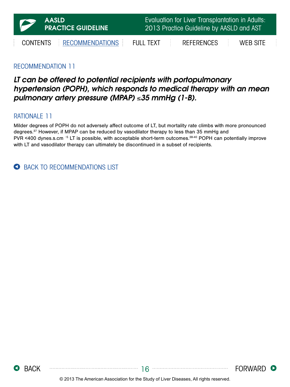<span id="page-15-0"></span>

[CONTENTS](#page-1-0) [RECOMMENDATIONS](#page-2-0) [FULL TEXT](#page-62-0) [REFERENCES](#page-88-0) [WEB SITE](http://aasld.org/practiceguidelines/Pages/guidelinelisting.aspx)

## RECOMMENDATION 11

# *LT can be offered to potential recipients with portopulmonary hypertension (POPH), which responds to medical therapy with an mean pulmonary artery pressure (MPAP)* ≤*35 mmHg (1-B).*

## RATIONALE 11

Milder degrees of POPH do not adversely affect outcome of LT, but mortality rate climbs with more pronounced degrees.<sup>37</sup> However, if MPAP can be reduced by vasodilator therapy to less than 35 mmHg and PVR <400 dynes.s.cm <sup>-5</sup> LT is possible, with acceptable short-term outcomes.<sup>38-40</sup> POPH can potentially improve with LT and vasodilator therapy can ultimately be discontinued in a subset of recipients.

## **[BACK TO RECOMMENDATIONS LIST](#page-2-0)**

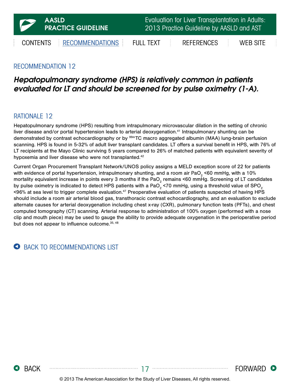<span id="page-16-0"></span>

## *Hepatopulmonary syndrome (HPS) is relatively common in patients evaluated for LT and should be screened for by pulse oximetry (1-A).*

## RATIONALE 12

Hepatopulmonary syndrome (HPS) resulting from intrapulmonary microvascular dilation in the setting of chronic liver disease and/or portal hypertension leads to arterial deoxygenation.<sup>41</sup> Intrapulmonary shunting can be demonstrated by contrast echocardiography or by <sup>99m</sup>TC macro aggregated albumin (MAA) lung-brain perfusion scanning. HPS is found in 5-32% of adult liver transplant candidates. LT offers a survival benefit in HPS, with 76% of LT recipients at the Mayo Clinic surviving 5 years compared to 26% of matched patients with equivalent severity of hypoxemia and liver disease who were not transplanted.<sup>42</sup>

Current Organ Procurement Transplant Network/UNOS policy assigns a MELD exception score of 22 for patients with evidence of portal hypertension, intrapulmonary shunting, and a room air PaO $_{\rm 2}$  <60 mmHg, with a 10% mortality equivalent increase in points every 3 months if the PaO $_2$  remains <60 mmHg. Screening of LT candidates by pulse oximetry is indicated to detect HPS patients with a PaO $_2$  <70 mmHg, using a threshold value of SPO $_2$ <96% at sea level to trigger complete evaluation.<sup>47</sup> Preoperative evaluation of patients suspected of having HPS should include a room air arterial blood gas, transthoracic contrast echocardiography, and an evaluation to exclude alternate causes for arterial deoxygenation including chest x-ray (CXR), pulmonary function tests (PFTs), and chest computed tomography (CT) scanning. Arterial response to administration of 100% oxygen (performed with a nose clip and mouth piece) may be used to gauge the ability to provide adequate oxygenation in the perioperative period but does not appear to influence outcome.<sup>35, 48</sup>

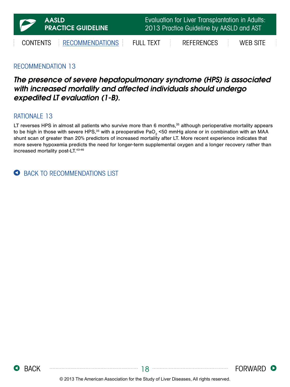<span id="page-17-0"></span>

# *The presence of severe hepatopulmonary syndrome (HPS) is associated with increased mortality and affected individuals should undergo expedited LT evaluation (1-B).*

## RATIONALE 13

LT reverses HPS in almost all patients who survive more than 6 months,<sup>35</sup> although perioperative mortality appears to be high in those with severe HPS, $^{\rm 35}$  with a preoperative PaO $_2$  <50 mmHg alone or in combination with an MAA shunt scan of greater than 20% predictors of increased mortality after LT. More recent experience indicates that more severe hypoxemia predicts the need for longer-term supplemental oxygen and a longer recovery rather than increased mortality post-LT.43-46

**[BACK TO RECOMMENDATIONS LIST](#page-2-0)** 

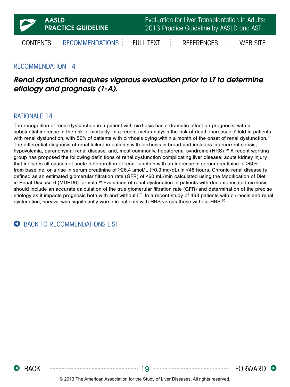<span id="page-18-0"></span>

# *Renal dysfunction requires vigorous evaluation prior to LT to determine etiology and prognosis (1-A).*

## RATIONALE 14

The recognition of renal dysfunction in a patient with cirrhosis has a dramatic effect on prognosis, with a substantial increase in the risk of mortality. In a recent meta-analysis the risk of death increased 7-fold in patients with renal dysfunction, with 50% of patients with cirrhosis dying within a month of the onset of renal dysfunction.<sup>17</sup> The differential diagnosis of renal failure in patients with cirrhosis is broad and includes intercurrent sepsis, hypovolemia, parenchymal renal disease, and, most commonly, hepatorenal syndrome (HRS).<sup>49</sup> A recent working group has proposed the following definitions of renal dysfunction complicating liver disease: acute kidney injury that includes all causes of acute deterioration of renal function with an increase in serum creatinine of >50% from baseline, or a rise in serum creatinine of ≥26.4 μmol/L (≥0.3 mg/dL) in <48 hours. Chronic renal disease is defined as an estimated glomerular filtration rate (GFR) of <60 mL/min calculated using the Modification of Diet in Renal Disease 6 (MDRD6) formula.<sup>49</sup> Evaluation of renal dysfunction in patients with decompensated cirrhosis should include an accurate calculation of the true glomerular filtration rate (GFR) and determination of the precise etiology as it impacts prognosis both with and without LT. In a recent study of 463 patients with cirrhosis and renal dysfunction, survival was significantly worse in patients with HRS versus those without HRS.<sup>50</sup>

**[BACK TO RECOMMENDATIONS LIST](#page-2-0)** 

[BACK](#page-17-0) [FORWARD](#page-19-0)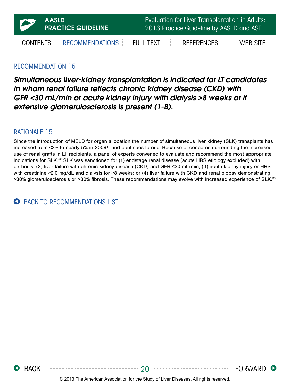<span id="page-19-0"></span>

2013 Practice Guideline by AASLD and AST

[CONTENTS](#page-1-0) [RECOMMENDATIONS](#page-2-0) [FULL TEXT](#page-62-0) [REFERENCES](#page-88-0) [WEB SITE](http://aasld.org/practiceguidelines/Pages/guidelinelisting.aspx)

## RECOMMENDATION 15

*Simultaneous liver-kidney transplantation is indicated for LT candidates in whom renal failure reflects chronic kidney disease (CKD) with GFR <30 mL/min or acute kidney injury with dialysis >8 weeks or if extensive glomerulosclerosis is present (1-B).*

## RATIONALE 15

Since the introduction of MELD for organ allocation the number of simultaneous liver kidney (SLK) transplants has increased from <3% to nearly 5% in 2009<sup>51</sup> and continues to rise. Because of concerns surrounding the increased use of renal grafts in LT recipients, a panel of experts convened to evaluate and recommend the most appropriate indications for SLK.<sup>52</sup> SLK was sanctioned for (1) endstage renal disease (acute HRS etiology excluded) with cirrhosis; (2) liver failure with chronic kidney disease (CKD) and GFR <30 mL/min, (3) acute kidney injury or HRS with creatinine ≥2.0 mg/dL and dialysis for ≥8 weeks; or (4) liver failure with CKD and renal biopsy demonstrating >30% glomerulosclerosis or >30% fibrosis. These recommendations may evolve with increased experience of SLK.53

**[BACK TO RECOMMENDATIONS LIST](#page-2-0)** 

[BACK](#page-18-0) [FORWARD](#page-20-0)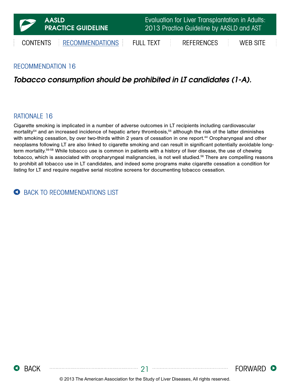<span id="page-20-0"></span>

# *Tobacco consumption should be prohibited in LT candidates (1-A).*

#### RATIONALE 16

Cigarette smoking is implicated in a number of adverse outcomes in LT recipients including cardiovascular mortality<sup>54</sup> and an increased incidence of hepatic artery thrombosis,<sup>55</sup> although the risk of the latter diminishes with smoking cessation, by over two-thirds within 2 years of cessation in one report.<sup>44</sup> Oropharyngeal and other neoplasms following LT are also linked to cigarette smoking and can result in significant potentially avoidable longterm mortality.<sup>56-58</sup> While tobacco use is common in patients with a history of liver disease, the use of chewing tobacco, which is associated with oropharyngeal malignancies, is not well studied.<sup>56</sup> There are compelling reasons to prohibit all tobacco use in LT candidates, and indeed some programs make cigarette cessation a condition for listing for LT and require negative serial nicotine screens for documenting tobacco cessation.

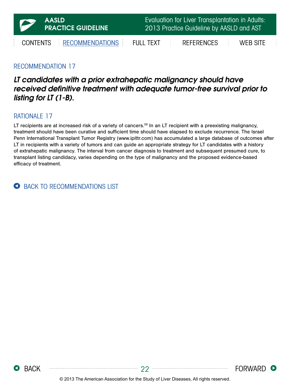<span id="page-21-0"></span>

# *LT candidates with a prior extrahepatic malignancy should have received definitive treatment with adequate tumor-free survival prior to listing for LT (1-B).*

## RATIONALE 17

LT recipients are at increased risk of a variety of cancers.<sup>59</sup> In an LT recipient with a preexisting malignancy, treatment should have been curative and sufficient time should have elapsed to exclude recurrence. The Israel Penn International Transplant Tumor Registry (www.ipittr.com) has accumulated a large database of outcomes after LT in recipients with a variety of tumors and can guide an appropriate strategy for LT candidates with a history of extrahepatic malignancy. The interval from cancer diagnosis to treatment and subsequent presumed cure, to transplant listing candidacy, varies depending on the type of malignancy and the proposed evidence-based efficacy of treatment.

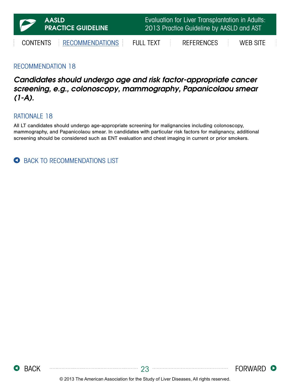<span id="page-22-0"></span>

*Candidates should undergo age and risk factor-appropriate cancer screening, e.g., colonoscopy, mammography, Papanicolaou smear (1-A).*

## RATIONALE 18

All LT candidates should undergo age-appropriate screening for malignancies including colonoscopy, mammography, and Papanicolaou smear. In candidates with particular risk factors for malignancy, additional screening should be considered such as ENT evaluation and chest imaging in current or prior smokers.

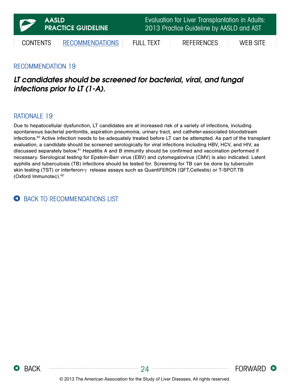<span id="page-23-0"></span>

# *LT candidates should be screened for bacterial, viral, and fungal infections prior to LT (1-A).*

## RATIONALE 19

Due to hepatocellular dysfunction, LT candidates are at increased risk of a variety of infections, including spontaneous bacterial peritonitis, aspiration pneumonia, urinary tract, and catheter-associated bloodstream infections.<sup>60</sup> Active infection needs to be adequately treated before LT can be attempted. As part of the transplant evaluation, a candidate should be screened serologically for viral infections including HBV, HCV, and HIV, as discussed separately below.<sup>61</sup> Hepatitis A and B immunity should be confirmed and vaccination performed if necessary. Serological testing for Epstein-Barr virus (EBV) and cytomegalovirus (CMV) is also indicated. Latent syphilis and tuberculosis (TB) infections should be tested for. Screening for TB can be done by tuberculin skin testing (TST) or interferon-γ release assays such as QuantiFERON (QFT,Cellestis) or T-SPOT.TB (Oxford Immunotec).62

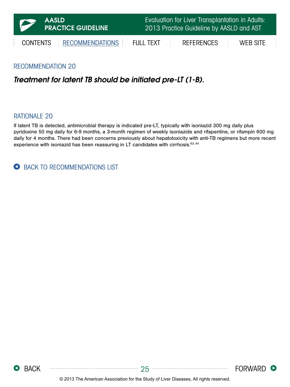<span id="page-24-0"></span>

# *Treatment for latent TB should be initiated pre-LT (1-B).*

#### RATIONALE 20

If latent TB is detected, antimicrobial therapy is indicated pre-LT, typically with isoniazid 300 mg daily plus pyridoxine 50 mg daily for 6-9 months, a 3-month regimen of weekly isoniazide and rifapentine, or rifampin 600 mg daily for 4 months. There had been concerns previously about hepatotoxicity with anti-TB regimens but more recent experience with isoniazid has been reassuring in LT candidates with cirrhosis.<sup>63, 64</sup>

**[BACK TO RECOMMENDATIONS LIST](#page-3-0)** 

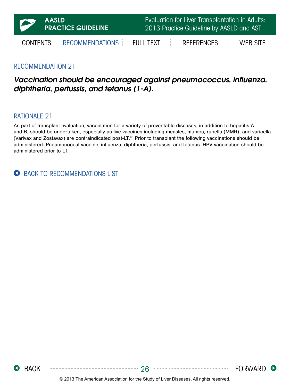<span id="page-25-0"></span>

# *Vaccination should be encouraged against pneumococcus, influenza, diphtheria, pertussis, and tetanus (1-A).*

## RATIONALE 21

As part of transplant evaluation, vaccination for a variety of preventable diseases, in addition to hepatitis A and B, should be undertaken, especially as live vaccines including measles, mumps, rubella (MMR), and varicella (Varivax and Zostavax) are contraindicated post-LT.<sup>65</sup> Prior to transplant the following vaccinations should be administered: Pneumococcal vaccine, influenza, diphtheria, pertussis, and tetanus. HPV vaccination should be administered prior to LT.

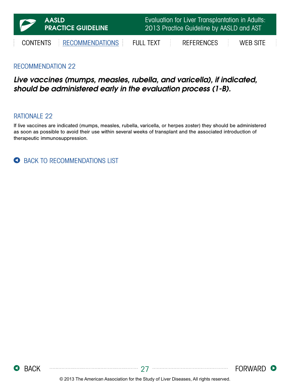<span id="page-26-0"></span>

# *Live vaccines (mumps, measles, rubella, and varicella), if indicated, should be administered early in the evaluation process (1-B).*

#### RATIONALE 22

If live vaccines are indicated (mumps, measles, rubella, varicella, or herpes zoster) they should be administered as soon as possible to avoid their use within several weeks of transplant and the associated introduction of therapeutic immunosuppression.

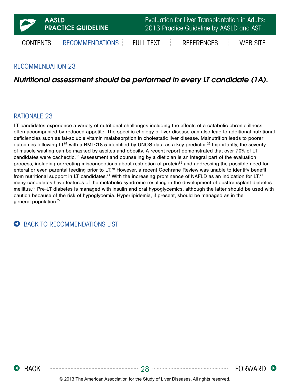<span id="page-27-0"></span>

# *Nutritional assessment should be performed in every LT candidate (1A).*

#### RATIONAL F 23

LT candidates experience a variety of nutritional challenges including the effects of a catabolic chronic illness often accompanied by reduced appetite. The specific etiology of liver disease can also lead to additional nutritional deficiencies such as fat-soluble vitamin malabsorption in cholestatic liver disease. Malnutrition leads to poorer outcomes following  $LT^{67}$  with a BMI <18.5 identified by UNOS data as a key predictor.<sup>23</sup> Importantly, the severity of muscle wasting can be masked by ascites and obesity. A recent report demonstrated that over 70% of LT candidates were cachectic.68 Assessment and counseling by a dietician is an integral part of the evaluation process, including correcting misconceptions about restriction of protein<sup>69</sup> and addressing the possible need for enteral or even parental feeding prior to LT.<sup>70</sup> However, a recent Cochrane Review was unable to identify benefit from nutritional support in LT candidates.<sup>71</sup> With the increasing prominence of NAFLD as an indication for LT,<sup>72</sup> many candidates have features of the metabolic syndrome resulting in the development of posttransplant diabetes mellitus.73 Pre-LT diabetes is managed with insulin and oral hypoglycemics, although the latter should be used with caution because of the risk of hypoglycemia. Hyperlipidemia, if present, should be managed as in the general population.74

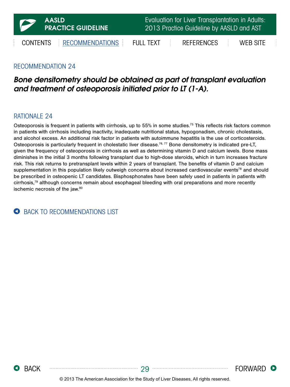<span id="page-28-0"></span>

# *Bone densitometry should be obtained as part of transplant evaluation and treatment of osteoporosis initiated prior to LT (1-A).*

## RATIONAL F 24

Osteoporosis is frequent in patients with cirrhosis, up to 55% in some studies.<sup>75</sup> This reflects risk factors common in patients with cirrhosis including inactivity, inadequate nutritional status, hypogonadism, chronic cholestasis, and alcohol excess. An additional risk factor in patients with autoimmune hepatitis is the use of corticosteroids. Osteoporosis is particularly frequent in cholestatic liver disease.<sup>76, 77</sup> Bone densitometry is indicated pre-LT, given the frequency of osteoporosis in cirrhosis as well as determining vitamin D and calcium levels. Bone mass diminishes in the initial 3 months following transplant due to high-dose steroids, which in turn increases fracture risk. This risk returns to pretransplant levels within 2 years of transplant. The benefits of vitamin D and calcium supplementation in this population likely outweigh concerns about increased cardiovascular events<sup>78</sup> and should be prescribed in osteopenic LT candidates. Bisphosphonates have been safely used in patients in patients with cirrhosis,79 although concerns remain about esophageal bleeding with oral preparations and more recently ischemic necrosis of the jaw.80

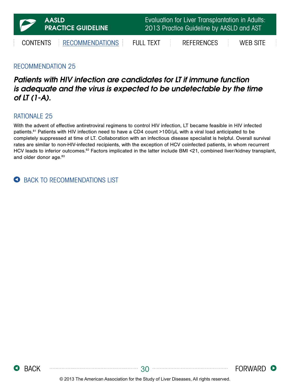<span id="page-29-0"></span>

# *Patients with HIV infection are candidates for LT if immune function is adequate and the virus is expected to be undetectable by the time of LT (1-A).*

## RATIONALE 25

With the advent of effective antiretroviral regimens to control HIV infection, LT became feasible in HIV infected patients.81 Patients with HIV infection need to have a CD4 count >100/μL with a viral load anticipated to be completely suppressed at time of LT. Collaboration with an infectious disease specialist is helpful. Overall survival rates are similar to non-HIV-infected recipients, with the exception of HCV coinfected patients, in whom recurrent HCV leads to inferior outcomes.<sup>82</sup> Factors implicated in the latter include BMI <21, combined liver/kidney transplant, and older donor age.<sup>83</sup>

**[BACK TO RECOMMENDATIONS LIST](#page-3-0)** 

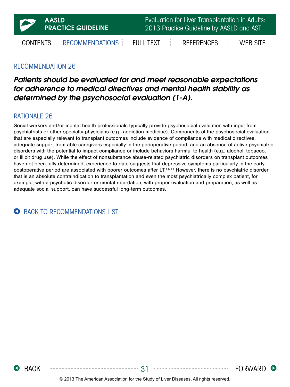<span id="page-30-0"></span>

Evaluation for Liver Transplantation in Adults: 2013 Practice Guideline by AASLD and AST

## RECOMMENDATION 26

# *Patients should be evaluated for and meet reasonable expectations for adherence to medical directives and mental health stability as determined by the psychosocial evaluation (1-A).*

## RATIONAL F 26

Social workers and/or mental health professionals typically provide psychosocial evaluation with input from psychiatrists or other specialty physicians (e.g., addiction medicine). Components of the psychosocial evaluation that are especially relevant to transplant outcomes include evidence of compliance with medical directives, adequate support from able caregivers especially in the perioperative period, and an absence of active psychiatric disorders with the potential to impact compliance or include behaviors harmful to health (e.g., alcohol, tobacco, or illicit drug use). While the effect of nonsubstance abuse-related psychiatric disorders on transplant outcomes have not been fully determined, experience to date suggests that depressive symptoms particularly in the early postoperative period are associated with poorer outcomes after LT.<sup>84, 85</sup> However, there is no psychiatric disorder that is an absolute contraindication to transplantation and even the most psychiatrically complex patient, for example, with a psychotic disorder or mental retardation, with proper evaluation and preparation, as well as adequate social support, can have successful long-term outcomes.

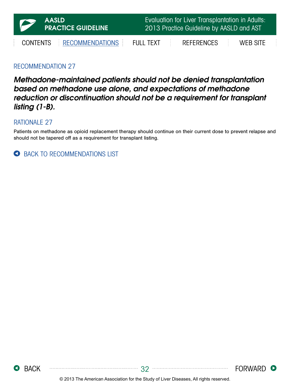<span id="page-31-0"></span>

*Methadone-maintained patients should not be denied transplantation based on methadone use alone, and expectations of methadone reduction or discontinuation should not be a requirement for transplant listing (1-B).*

#### RATIONALE 27

Patients on methadone as opioid replacement therapy should continue on their current dose to prevent relapse and should not be tapered off as a requirement for transplant listing.

**[BACK TO RECOMMENDATIONS LIST](#page-3-0)** 

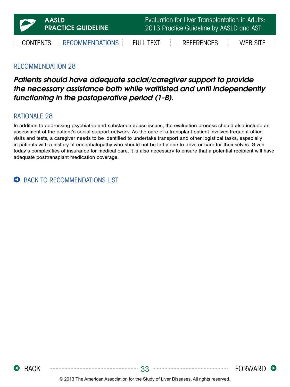<span id="page-32-0"></span>

Evaluation for Liver Transplantation in Adults: 2013 Practice Guideline by AASLD and AST

## RECOMMENDATION 28

*Patients should have adequate social/caregiver support to provide the necessary assistance both while waitlisted and until independently functioning in the postoperative period (1-B).*

## RATIONAL F 28

In addition to addressing psychiatric and substance abuse issues, the evaluation process should also include an assessment of the patient's social support network. As the care of a transplant patient involves frequent office visits and tests, a caregiver needs to be identified to undertake transport and other logistical tasks, especially in patients with a history of encephalopathy who should not be left alone to drive or care for themselves. Given today's complexities of insurance for medical care, it is also necessary to ensure that a potential recipient will have adequate posttransplant medication coverage.

## **[BACK TO RECOMMENDATIONS LIST](#page-3-0)**

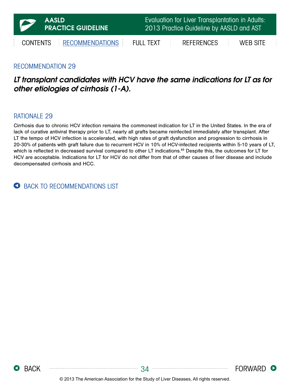<span id="page-33-0"></span>

# *LT transplant candidates with HCV have the same indications for LT as for other etiologies of cirrhosis (1-A).*

#### RATIONAL F 29

Cirrhosis due to chronic HCV infection remains the commonest indication for LT in the United States. In the era of lack of curative antiviral therapy prior to LT, nearly all grafts became reinfected immediately after transplant. After LT the tempo of HCV infection is accelerated, with high rates of graft dysfunction and progression to cirrhosis in 20-30% of patients with graft failure due to recurrent HCV in 10% of HCV-infected recipients within 5-10 years of LT, which is reflected in decreased survival compared to other LT indications.<sup>89</sup> Despite this, the outcomes for LT for HCV are acceptable. Indications for LT for HCV do not differ from that of other causes of liver disease and include decompensated cirrhosis and HCC.

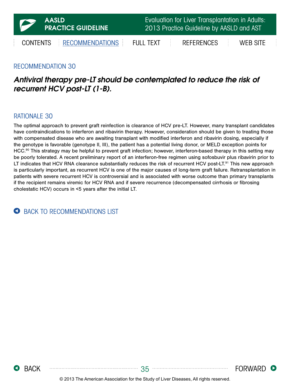<span id="page-34-0"></span>

# *Antiviral therapy pre-LT should be contemplated to reduce the risk of recurrent HCV post-LT (1-B).*

#### RATIONALE 30

The optimal approach to prevent graft reinfection is clearance of HCV pre-LT. However, many transplant candidates have contraindications to interferon and ribavirin therapy. However, consideration should be given to treating those with compensated disease who are awaiting transplant with modified interferon and ribavirin dosing, especially if the genotype is favorable (genotype II, III), the patient has a potential living donor, or MELD exception points for HCC.<sup>90</sup> This strategy may be helpful to prevent graft infection; however, interferon-based therapy in this setting may be poorly tolerated. A recent preliminary report of an interferon-free regimen using sofosbuvir plus ribavirin prior to LT indicates that HCV RNA clearance substantially reduces the risk of recurrent HCV post-LT.<sup>91</sup> This new approach is particularly important, as recurrent HCV is one of the major causes of long-term graft failure. Retransplantation in patients with severe recurrent HCV is controversial and is associated with worse outcome than primary transplants if the recipient remains viremic for HCV RNA and if severe recurrence (decompensated cirrhosis or fibrosing cholestatic HCV) occurs in <5 years after the initial LT.

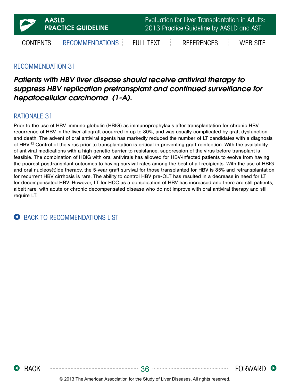<span id="page-35-0"></span>

Evaluation for Liver Transplantation in Adults: 2013 Practice Guideline by AASLD and AST

## RECOMMENDATION 31

# *Patients with HBV liver disease should receive antiviral therapy to suppress HBV replication pretransplant and continued surveillance for hepatocellular carcinoma (1-A).*

## RATIONALE 31

Prior to the use of HBV immune globulin (HBIG) as immunoprophylaxis after transplantation for chronic HBV, recurrence of HBV in the liver allograft occurred in up to 80%, and was usually complicated by graft dysfunction and death. The advent of oral antiviral agents has markedly reduced the number of LT candidates with a diagnosis of HBV.<sup>92</sup> Control of the virus prior to transplantation is critical in preventing graft reinfection. With the availability of antiviral medications with a high genetic barrier to resistance, suppression of the virus before transplant is feasible. The combination of HBIG with oral antivirals has allowed for HBV-infected patients to evolve from having the poorest posttransplant outcomes to having survival rates among the best of all recipients. With the use of HBIG and oral nucleos(t)ide therapy, the 5-year graft survival for those transplanted for HBV is 85% and retransplantation for recurrent HBV cirrhosis is rare. The ability to control HBV pre-OLT has resulted in a decrease in need for LT for decompensated HBV. However, LT for HCC as a complication of HBV has increased and there are still patients, albeit rare, with acute or chronic decompensated disease who do not improve with oral antiviral therapy and still require LT.



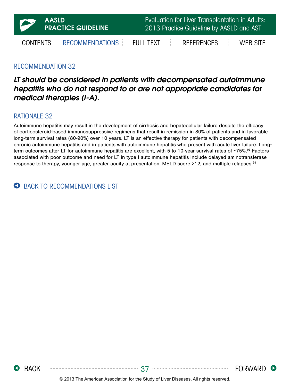<span id="page-36-0"></span>

## *LT should be considered in patients with decompensated autoimmune hepatitis who do not respond to or are not appropriate candidates for medical therapies (I-A).*

### RATIONALE 32

Autoimmune hepatitis may result in the development of cirrhosis and hepatocellular failure despite the efficacy of corticosteroid-based immunosuppressive regimens that result in remission in 80% of patients and in favorable long-term survival rates (80-90%) over 10 years. LT is an effective therapy for patients with decompensated chronic autoimmune hepatitis and in patients with autoimmune hepatitis who present with acute liver failure. Longterm outcomes after LT for autoimmune hepatitis are excellent, with 5 to 10-year survival rates of ~75%.<sup>93</sup> Factors associated with poor outcome and need for LT in type I autoimmune hepatitis include delayed aminotransferase response to therapy, younger age, greater acuity at presentation, MELD score >12, and multiple relapses.<sup>94</sup>

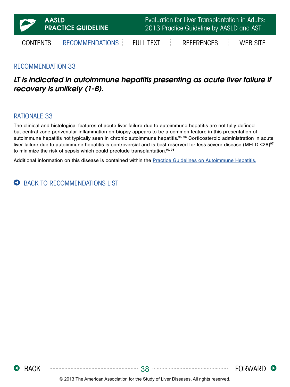<span id="page-37-0"></span>

# *LT is indicated in autoimmune hepatitis presenting as acute liver failure if recovery is unlikely (1-B).*

### RATIONALE 33

The clinical and histological features of acute liver failure due to autoimmune hepatitis are not fully defined but central zone perivenular inflammation on biopsy appears to be a common feature in this presentation of autoimmune hepatitis not typically seen in chronic autoimmune hepatitis.<sup>95, 96</sup> Corticosteroid administration in acute liver failure due to autoimmune hepatitis is controversial and is best reserved for less severe disease (MELD <28)<sup>97</sup> to minimize the risk of sepsis which could preclude transplantation.  $97, 98$ 

Additional information on this disease is contained within the [Practice Guidelines on Autoimmune Hepatitis.](http://aasld.org/practiceguidelines/Pages/guidelinelisting.aspx)

### **[BACK TO RECOMMENDATIONS LIST](#page-3-0)**

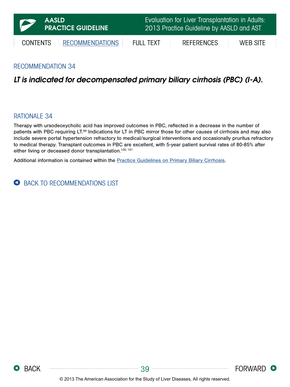<span id="page-38-0"></span>

# *LT is indicated for decompensated primary biliary cirrhosis (PBC) (I-A).*

#### RATIONALE 34

Therapy with ursodeoxycholic acid has improved outcomes in PBC, reflected in a decrease in the number of patients with PBC requiring LT.99 Indications for LT in PBC mirror those for other causes of cirrhosis and may also include severe portal hypertension refractory to medical/surgical interventions and occasionally pruritus refractory to medical therapy. Transplant outcomes in PBC are excellent, with 5-year patient survival rates of 80-85% after either living or deceased donor transplantation.<sup>100, 101</sup>

Additional information is contained within the [Practice Guidelines on Primary Biliary Cirrhosis](http://aasld.org/practiceguidelines/Pages/guidelinelisting.aspx).

### **[BACK TO RECOMMENDATIONS LIST](#page-3-0)**

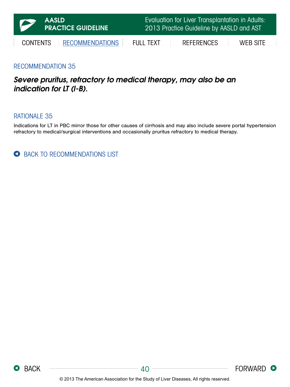<span id="page-39-0"></span>

# *Severe pruritus, refractory to medical therapy, may also be an indication for LT (I-B).*

#### RATIONALE 35

Indications for LT in PBC mirror those for other causes of cirrhosis and may also include severe portal hypertension refractory to medical/surgical interventions and occasionally pruritus refractory to medical therapy.

**[BACK TO RECOMMENDATIONS LIST](#page-3-0)** 

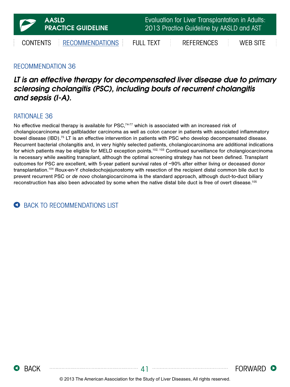# *LT is an effective therapy for decompensated liver disease due to primary sclerosing cholangitis (PSC), including bouts of recurrent cholangitis and sepsis (I-A).*

<span id="page-40-0"></span>[CONTENTS](#page-1-0) [RECOMMENDATIONS](#page-2-0) [FULL TEXT](#page-62-0) [REFERENCES](#page-88-0) [WEB SITE](http://aasld.org/practiceguidelines/Pages/guidelinelisting.aspx)

### RATIONAL F 36

No effective medical therapy is available for PSC,<sup>74-77</sup> which is associated with an increased risk of cholangiocarcinoma and gallbladder carcinoma as well as colon cancer in patients with associated inflammatory bowel disease (IBD).<sup>75</sup> LT is an effective intervention in patients with PSC who develop decompensated disease. Recurrent bacterial cholangitis and, in very highly selected patients, cholangiocarcinoma are additional indications for which patients may be eligible for MELD exception points.<sup>102, 103</sup> Continued surveillance for cholangiocarcinoma is necessary while awaiting transplant, although the optimal screening strategy has not been defined. Transplant outcomes for PSC are excellent, with 5-year patient survival rates of ∼90% after either living or deceased donor transplantation.104 Roux-en-Y choledochojejunostomy with resection of the recipient distal common bile duct to prevent recurrent PSC or *de novo* cholangiocarcinoma is the standard approach, although duct-to-duct biliary reconstruction has also been advocated by some when the native distal bile duct is free of overt disease.<sup>105</sup>



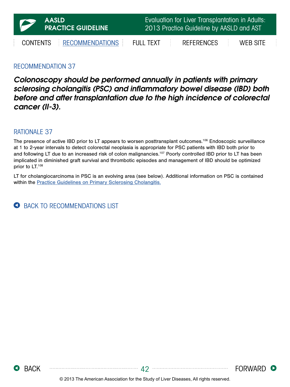<span id="page-41-0"></span>

*Colonoscopy should be performed annually in patients with primary sclerosing cholangitis (PSC) and inflammatory bowel disease (IBD) both before and after transplantation due to the high incidence of colorectal cancer (II-3).*

### RATIONALE 37

The presence of active IBD prior to LT appears to worsen posttransplant outcomes.<sup>106</sup> Endoscopic surveillance at 1 to 2-year intervals to detect colorectal neoplasia is appropriate for PSC patients with IBD both prior to and following LT due to an increased risk of colon malignancies.<sup>107</sup> Poorly controlled IBD prior to LT has been implicated in diminished graft survival and thrombotic episodes and management of IBD should be optimized prior to LT.108

LT for cholangiocarcinoma in PSC is an evolving area (see below). Additional information on PSC is contained within the **[Practice Guidelines on Primary Sclerosing Cholangitis.](http://aasld.org/practiceguidelines/Pages/guidelinelisting.aspx)** 

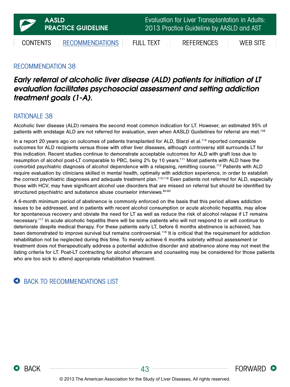### <span id="page-42-0"></span>RECOMMENDATION 38

# *Early referral of alcoholic liver disease (ALD) patients for initiation of LT evaluation facilitates psychosocial assessment and setting addiction treatment goals (1-A).*

### RATIONALE 38

Alcoholic liver disease (ALD) remains the second most common indication for LT. However, an estimated 95% of patients with endstage ALD are not referred for evaluation, even when AASLD Guidelines for referral are met.<sup>109</sup>

In a report 20 years ago on outcomes of patients transplanted for ALD, Starzl et al.<sup>110</sup> reported comparable outcomes for ALD recipients versus those with other liver diseases, although controversy still surrounds LT for this indication. Recent studies continue to demonstrate acceptable outcomes for ALD with graft loss due to resumption of alcohol post-LT comparable to PBC, being 2% by 10 years.<sup>111</sup> Most patients with ALD have the comorbid psychiatric diagnosis of alcohol dependence with a relapsing, remitting course.112 Patients with ALD require evaluation by clinicians skilled in mental health, optimally with addiction experience, in order to establish the correct psychiatric diagnoses and adequate treatment plan.<sup>113-116</sup> Even patients not referred for ALD, especially those with HCV, may have significant alcohol use disorders that are missed on referral but should be identified by structured psychiatric and substance abuse counselor interviews. 80-83

A 6-month minimum period of abstinence is commonly enforced on the basis that this period allows addiction issues to be addressed, and in patients with recent alcohol consumption or acute alcoholic hepatitis, may allow for spontaneous recovery and obviate the need for LT as well as reduce the risk of alcohol relapse if LT remains necessary.117 In acute alcoholic hepatitis there will be some patients who will not respond to or will continue to deteriorate despite medical therapy. For these patients early LT, before 6 months abstinence is achieved, has been demonstrated to improve survival but remains controversial.<sup>118</sup> It is critical that the requirement for addiction rehabilitation not be neglected during this time. To merely achieve 6 months sobriety without assessment or treatment does not therapeutically address a potential addictive disorder and abstinence alone may not meet the listing criteria for LT. Post-LT contracting for alcohol aftercare and counseling may be considered for those patients who are too sick to attend appropriate rehabilitation treatment.



[BACK](#page-41-0) [FORWARD](#page-43-0)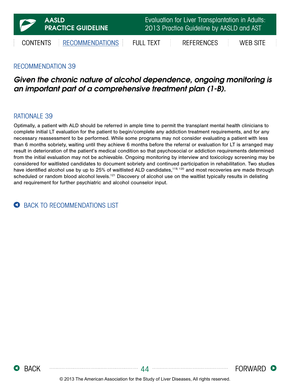<span id="page-43-0"></span>

## *Given the chronic nature of alcohol dependence, ongoing monitoring is an important part of a comprehensive treatment plan (1-B).*

### RATIONALE 39

Optimally, a patient with ALD should be referred in ample time to permit the transplant mental health clinicians to complete initial LT evaluation for the patient to begin/complete any addiction treatment requirements, and for any necessary reassessment to be performed. While some programs may not consider evaluating a patient with less than 6 months sobriety, waiting until they achieve 6 months before the referral or evaluation for LT is arranged may result in deterioration of the patient's medical condition so that psychosocial or addiction requirements determined from the initial evaluation may not be achievable. Ongoing monitoring by interview and toxicology screening may be considered for waitlisted candidates to document sobriety and continued participation in rehabilitation. Two studies have identified alcohol use by up to 25% of waitlisted ALD candidates,<sup>119, 120</sup> and most recoveries are made through scheduled or random blood alcohol levels.<sup>121</sup> Discovery of alcohol use on the waitlist typically results in delisting and requirement for further psychiatric and alcohol counselor input.

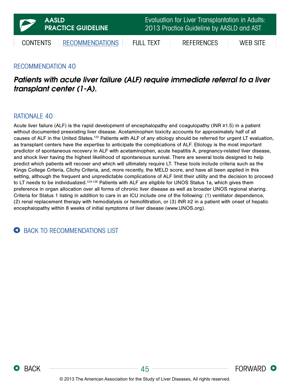<span id="page-44-0"></span>

# *Patients with acute liver failure (ALF) require immediate referral to a liver transplant center (1-A).*

### RATIONALE 40

Acute liver failure (ALF) is the rapid development of encephalopathy and coagulopathy (INR ≥1.5) in a patient without documented preexisting liver disease. Acetaminophen toxicity accounts for approximately half of all causes of ALF in the United States.<sup>122</sup> Patients with ALF of any etiology should be referred for urgent LT evaluation, as transplant centers have the expertise to anticipate the complications of ALF. Etiology is the most important predictor of spontaneous recovery in ALF with acetaminophen, acute hepatitis A, pregnancy-related liver disease, and shock liver having the highest likelihood of spontaneous survival. There are several tools designed to help predict which patients will recover and which will ultimately require LT. These tools include criteria such as the Kings College Criteria, Clichy Criteria, and, more recently, the MELD score, and have all been applied in this setting, although the frequent and unpredictable complications of ALF limit their utility and the decision to proceed to LT needs to be individualized.<sup>123-126</sup> Patients with ALF are eligible for UNOS Status 1a, which gives them preference in organ allocation over all forms of chronic liver disease as well as broader UNOS regional sharing. Criteria for Status 1 listing in addition to care in an ICU include one of the following: (1) ventilator dependence, (2) renal replacement therapy with hemodialysis or hemofiltration, or (3) INR ≥2 in a patient with onset of hepatic encephalopathy within 8 weeks of initial symptoms of liver disease (www.UNOS.org).

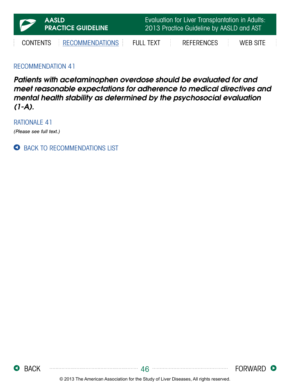<span id="page-45-0"></span>

*Patients with acetaminophen overdose should be evaluated for and meet reasonable expectations for adherence to medical directives and mental health stability as determined by the psychosocial evaluation (1-A).*

RATIONALE 41

*(Please see full text.)*



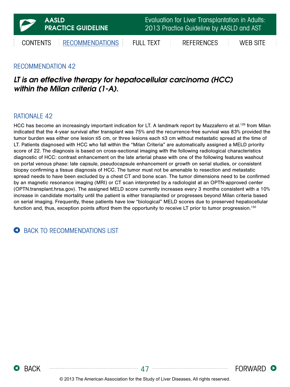<span id="page-46-0"></span>

# *LT is an effective therapy for hepatocellular carcinoma (HCC) within the Milan criteria (1-A).*

### RATIONAL F 42

HCC has become an increasingly important indication for LT. A landmark report by Mazzaferro et al.<sup>129</sup> from Milan indicated that the 4-year survival after transplant was 75% and the recurrence-free survival was 83% provided the tumor burden was either one lesion ≤5 cm, or three lesions each ≤3 cm without metastatic spread at the time of LT. Patients diagnosed with HCC who fall within the "Milan Criteria" are automatically assigned a MELD priority score of 22. The diagnosis is based on cross-sectional imaging with the following radiological characteristics diagnostic of HCC: contrast enhancement on the late arterial phase with one of the following features washout on portal venous phase: late capsule, pseudocapsule enhancement or growth on serial studies, or consistent biopsy confirming a tissue diagnosis of HCC. The tumor must not be amenable to resection and metastatic spread needs to have been excluded by a chest CT and bone scan. The tumor dimensions need to be confirmed by an magnetic resonance imaging (MRI) or CT scan interpreted by a radiologist at an OPTN-approved center (OPTN.transplant.hrsa.gov). The assigned MELD score currently increases every 3 months consistent with a 10% increase in candidate mortality until the patient is either transplanted or progresses beyond Milan criteria based on serial imaging. Frequently, these patients have low "biological" MELD scores due to preserved hepatocellular function and, thus, exception points afford them the opportunity to receive LT prior to tumor progression.<sup>130</sup>

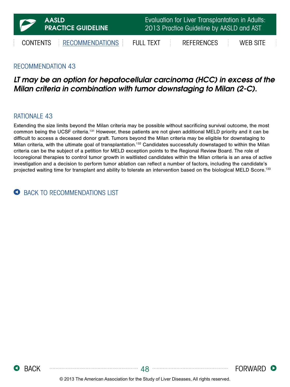<span id="page-47-0"></span>

### *LT may be an option for hepatocellular carcinoma (HCC) in excess of the Milan criteria in combination with tumor downstaging to Milan (2-C).*

### RATIONAL F 43

Extending the size limits beyond the Milan criteria may be possible without sacrificing survival outcome, the most common being the UCSF criteria.131 However, these patients are not given additional MELD priority and it can be difficult to access a deceased donor graft. Tumors beyond the Milan criteria may be eligible for downstaging to Milan criteria, with the ultimate goal of transplantation.<sup>132</sup> Candidates successfully downstaged to within the Milan criteria can be the subject of a petition for MELD exception points to the Regional Review Board. The role of locoregional therapies to control tumor growth in waitlisted candidates within the Milan criteria is an area of active investigation and a decision to perform tumor ablation can reflect a number of factors, including the candidate's projected waiting time for transplant and ability to tolerate an intervention based on the biological MELD Score.<sup>133</sup>



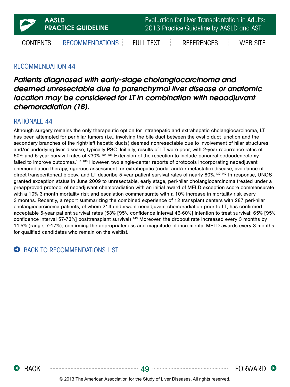### <span id="page-48-0"></span>RECOMMENDATION 44

# *Patients diagnosed with early-stage cholangiocarcinoma and deemed unresectable due to parenchymal liver disease or anatomic location may be considered for LT in combination with neoadjuvant chemoradiation (1B).*

### RATIONALE 44

Although surgery remains the only therapeutic option for intrahepatic and extrahepatic cholangiocarcinoma, LT has been attempted for perihilar tumors (i.e., involving the bile duct between the cystic duct junction and the secondary branches of the right/left hepatic ducts) deemed nonresectable due to involvement of hilar structures and/or underlying liver disease, typically PSC. Initially, results of LT were poor, with 2-year recurrence rates of 50% and 5-year survival rates of <30%.134-136 Extension of the resection to include pancreaticoduodenectomy failed to improve outcomes.<sup>137, 138</sup> However, two single-center reports of protocols incorporating neoadjuvant chemoradiation therapy, rigorous assessment for extrahepatic (nodal and/or metastatic) disease, avoidance of direct transperitoneal biopsy, and LT describe 5-year patient survival rates of nearly 80%.<sup>139-142</sup> In response, UNOS granted exception status in June 2009 to unresectable, early stage, peri-hilar cholangiocarcinoma treated under a preapproved protocol of neoadjuvant chemoradiation with an initial award of MELD exception score commensurate with a 10% 3-month mortality risk and escalation commensurate with a 10% increase in mortality risk every 3 months. Recently, a report summarizing the combined experience of 12 transplant centers with 287 peri-hilar cholangiocarcinoma patients, of whom 214 underwent neoadjuvant chemoradiation prior to LT, has confirmed acceptable 5-year patient survival rates (53% [95% confidence interval 46-60%] intention to treat survival; 65% [95% confidence interval 57-73%] posttransplant survival).<sup>143</sup> Moreover, the dropout rate increased every 3 months by 11.5% (range, 7-17%), confirming the appropriateness and magnitude of incremental MELD awards every 3 months for qualified candidates who remain on the waitlist.

### **[BACK TO RECOMMENDATIONS LIST](#page-4-0)**

© 2013 The American Association for the Study of Liver Diseases, All rights reserved.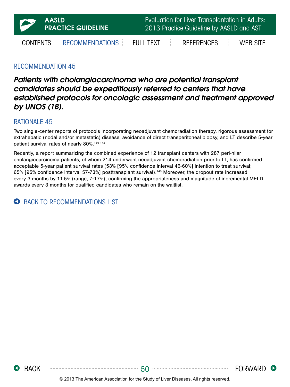<span id="page-49-0"></span>[CONTENTS](#page-1-0) [RECOMMENDATIONS](#page-2-0) [FULL TEXT](#page-62-0) [REFERENCES](#page-88-0) [WEB SITE](http://aasld.org/practiceguidelines/Pages/guidelinelisting.aspx)

### RECOMMENDATION 45

*Patients with cholangiocarcinoma who are potential transplant candidates should be expeditiously referred to centers that have established protocols for oncologic assessment and treatment approved by UNOS (1B).*

### RATIONALE 45

Two single-center reports of protocols incorporating neoadjuvant chemoradiation therapy, rigorous assessment for extrahepatic (nodal and/or metastatic) disease, avoidance of direct transperitoneal biopsy, and LT describe 5-year patient survival rates of nearly 80%.<sup>139-142</sup>

Recently, a report summarizing the combined experience of 12 transplant centers with 287 peri-hilar cholangiocarcinoma patients, of whom 214 underwent neoadjuvant chemoradiation prior to LT, has confirmed acceptable 5-year patient survival rates (53% [95% confidence interval 46-60%] intention to treat survival; 65% [95% confidence interval 57-73%] posttransplant survival).143 Moreover, the dropout rate increased every 3 months by 11.5% (range, 7-17%), confirming the appropriateness and magnitude of incremental MELD awards every 3 months for qualified candidates who remain on the waitlist.

**[BACK TO RECOMMENDATIONS LIST](#page-4-0)** 

[BACK](#page-48-0) [FORWARD](#page-50-0)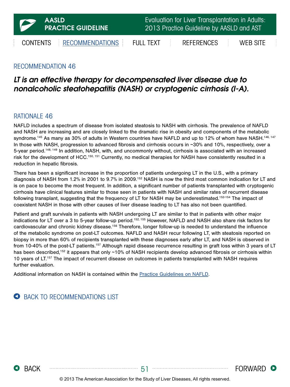<span id="page-50-0"></span>

### *LT is an effective therapy for decompensated liver disease due to nonalcoholic steatohepatitis (NASH) or cryptogenic cirrhosis (I-A).*

### RATIONAL F 46

NAFLD includes a spectrum of disease from isolated steatosis to NASH with cirrhosis. The prevalence of NAFLD and NASH are increasing and are closely linked to the dramatic rise in obesity and components of the metabolic syndrome.<sup>145</sup> As many as 30% of adults in Western countries have NAFLD and up to 12% of whom have NASH.<sup>146, 147</sup> In those with NASH, progression to advanced fibrosis and cirrhosis occurs in ∼30% and 10%, respectively, over a 5-year period.<sup>148, 149</sup> In addition, NASH, with, and uncommonly without, cirrhosis is associated with an increased risk for the development of HCC.<sup>150, 151</sup> Currently, no medical therapies for NASH have consistently resulted in a reduction in hepatic fibrosis.

There has been a significant increase in the proportion of patients undergoing LT in the U.S., with a primary diagnosis of NASH from 1.2% in 2001 to 9.7% in 2009.<sup>152</sup> NASH is now the third most common indication for LT and is on pace to become the most frequent. In addition, a significant number of patients transplanted with cryptogenic cirrhosis have clinical features similar to those seen in patients with NASH and similar rates of recurrent disease following transplant, suggesting that the frequency of LT for NASH may be underestimated.<sup>152-154</sup> The impact of coexistent NASH in those with other causes of liver disease leading to LT has also not been quantified.

Patient and graft survivals in patients with NASH undergoing LT are similar to that in patients with other major indications for LT over a 3 to 5-year follow-up period.<sup>152, 155</sup> However, NAFLD and NASH also share risk factors for cardiovascular and chronic kidney disease.<sup>156</sup> Therefore, longer follow-up is needed to understand the influence of the metabolic syndrome on post-LT outcomes. NAFLD and NASH recur following LT, with steatosis reported on biopsy in more than 60% of recipients transplanted with these diagnoses early after LT, and NASH is observed in from 10-40% of the post-LT patients.<sup>157</sup> Although rapid disease recurrence resulting in graft loss within 3 years of LT has been described,<sup>152</sup> it appears that only ~10% of NASH recipients develop advanced fibrosis or cirrhosis within 10 years of LT.<sup>157</sup> The impact of recurrent disease on outcomes in patients transplanted with NASH requires further evaluation.

Additional information on NASH is contained within the [Practice Guidelines on NAFLD.](http://aasld.org/practiceguidelines/Pages/guidelinelisting.aspx)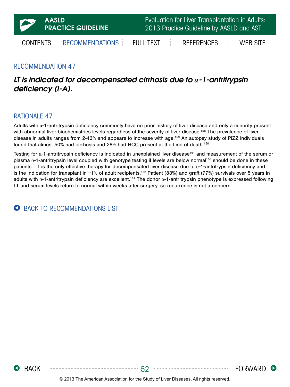<span id="page-51-0"></span>[CONTENTS](#page-1-0) [RECOMMENDATIONS](#page-2-0) [FULL TEXT](#page-62-0) [REFERENCES](#page-88-0) [WEB SITE](http://aasld.org/practiceguidelines/Pages/guidelinelisting.aspx)

### RECOMMENDATION 47

# *LT is indicated for decompensated cirrhosis due to α-1-antritrypsin deficiency (I-A).*

### RATIONALE 47

Adults with  $\alpha$ -1-antritrypsin deficiency commonly have no prior history of liver disease and only a minority present with abnormal liver biochemistries levels regardless of the severity of liver disease.<sup>158</sup> The prevalence of liver disease in adults ranges from 2-43% and appears to increase with age.<sup>159</sup> An autopsy study of PiZZ individuals found that almost 50% had cirrhosis and 28% had HCC present at the time of death.<sup>160</sup>

Testing for  $\alpha$ -1-antritrypsin deficiency is indicated in unexplained liver disease<sup>161</sup> and measurement of the serum or plasma  $\alpha$ -1-antritrypsin level coupled with genotype testing if levels are below normal<sup>158</sup> should be done in these patients. LT is the only effective therapy for decompensated liver disease due to  $\alpha$ -1-antritrypsin deficiency and is the indication for transplant in ~1% of adult recipients.<sup>162</sup> Patient (83%) and graft (77%) survivals over 5 years in adults with  $\alpha$ -1-antritrypsin deficiency are excellent.<sup>162</sup> The donor  $\alpha$ -1-antritrypsin phenotype is expressed following LT and serum levels return to normal within weeks after surgery, so recurrence is not a concern.

**[BACK TO RECOMMENDATIONS LIST](#page-4-0)** 

[BACK](#page-50-0) [FORWARD](#page-52-0)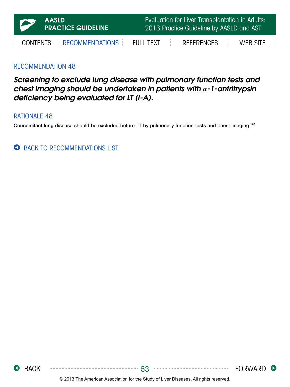<span id="page-52-0"></span>

*Screening to exclude lung disease with pulmonary function tests and chest imaging should be undertaken in patients with α-1-antritrypsin deficiency being evaluated for LT (I-A).*

#### RATIONALE 48

Concomitant lung disease should be excluded before LT by pulmonary function tests and chest imaging.163

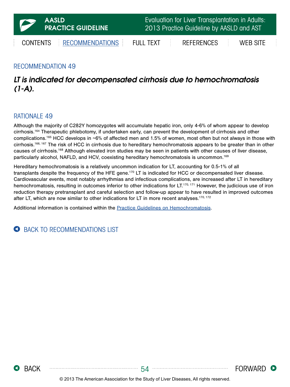<span id="page-53-0"></span>

# *LT is indicated for decompensated cirrhosis due to hemochromatosis (1-A).*

### RATIONALE 49

Although the majority of C282Y homozygotes will accumulate hepatic iron, only 4-6% of whom appear to develop cirrhosis.164 Therapeutic phlebotomy, if undertaken early, can prevent the development of cirrhosis and other complications.165 HCC develops in ∼6% of affected men and 1.5% of women, most often but not always in those with cirrhosis.<sup>166, 167</sup> The risk of HCC in cirrhosis due to hereditary hemochromatosis appears to be greater than in other causes of cirrhosis.168 Although elevated iron studies may be seen in patients with other causes of liver disease, particularly alcohol, NAFLD, and HCV, coexisting hereditary hemochromatosis is uncommon.<sup>169</sup>

Hereditary hemochromatosis is a relatively uncommon indication for LT, accounting for 0.5-1% of all transplants despite the frequency of the HFE gene.<sup>170</sup> LT is indicated for HCC or decompensated liver disease. Cardiovascular events, most notably arrhythmias and infectious complications, are increased after LT in hereditary hemochromatosis, resulting in outcomes inferior to other indications for LT.<sup>170, 171</sup> However, the judicious use of iron reduction therapy pretransplant and careful selection and follow-up appear to have resulted in improved outcomes after LT, which are now similar to other indications for LT in more recent analyses.<sup>170, 172</sup>

Additional information is contained within the [Practice Guidelines on Hemochromatosis.](http://aasld.org/practiceguidelines/Pages/guidelinelisting.aspx)

**[BACK TO RECOMMENDATIONS LIST](#page-4-0)** 

[BACK](#page-52-0) [FORWARD](#page-54-0)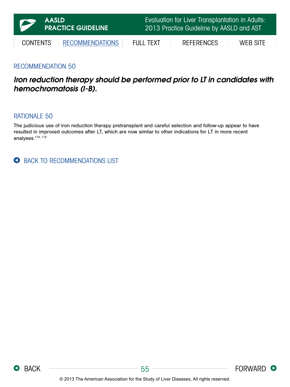<span id="page-54-0"></span>

### *Iron reduction therapy should be performed prior to LT in candidates with hemochromatosis (I-B).*

#### RATIONALE 50

The judicious use of iron reduction therapy pretransplant and careful selection and follow-up appear to have resulted in improved outcomes after LT, which are now similar to other indications for LT in more recent analyses.170, 172

**[BACK TO RECOMMENDATIONS LIST](#page-4-0)** 

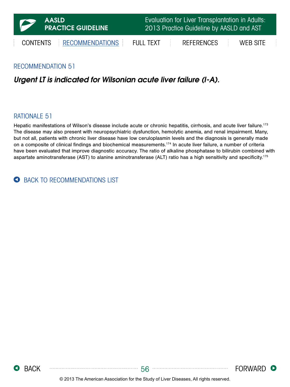<span id="page-55-0"></span>

# *Urgent LT is indicated for Wilsonian acute liver failure (I-A).*

#### RATIONALE 51

Hepatic manifestations of Wilson's disease include acute or chronic hepatitis, cirrhosis, and acute liver failure.<sup>173</sup> The disease may also present with neuropsychiatric dysfunction, hemolytic anemia, and renal impairment. Many, but not all, patients with chronic liver disease have low ceruloplasmin levels and the diagnosis is generally made on a composite of clinical findings and biochemical measurements.<sup>174</sup> In acute liver failure, a number of criteria have been evaluated that improve diagnostic accuracy. The ratio of alkaline phosphatase to bilirubin combined with aspartate aminotransferase (AST) to alanine aminotransferase (ALT) ratio has a high sensitivity and specificity.<sup>175</sup>

### **[BACK TO RECOMMENDATIONS LIST](#page-4-0)**

 $\bullet$  [BACK](#page-54-0)  $\bullet$  [FORWARD](#page-56-0)  $\bullet$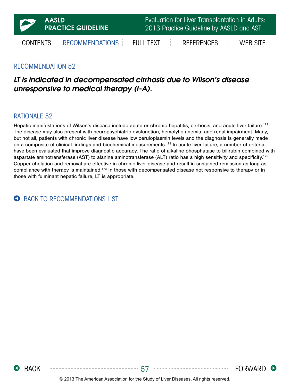<span id="page-56-0"></span>

## *LT is indicated in decompensated cirrhosis due to Wilson's disease unresponsive to medical therapy (I-A).*

### RATIONALE 52

Hepatic manifestations of Wilson's disease include acute or chronic hepatitis, cirrhosis, and acute liver failure.<sup>173</sup> The disease may also present with neuropsychiatric dysfunction, hemolytic anemia, and renal impairment. Many, but not all, patients with chronic liver disease have low ceruloplasmin levels and the diagnosis is generally made on a composite of clinical findings and biochemical measurements.<sup>174</sup> In acute liver failure, a number of criteria have been evaluated that improve diagnostic accuracy. The ratio of alkaline phosphatase to bilirubin combined with aspartate aminotransferase (AST) to alanine aminotransferase (ALT) ratio has a high sensitivity and specificity.<sup>175</sup> Copper chelation and removal are effective in chronic liver disease and result in sustained remission as long as compliance with therapy is maintained.<sup>173</sup> In those with decompensated disease not responsive to therapy or in those with fulminant hepatic failure, LT is appropriate.

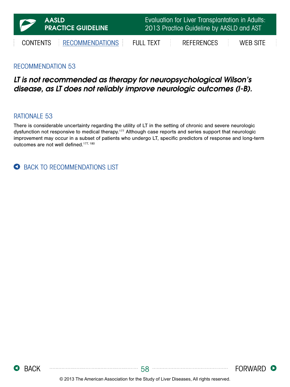<span id="page-57-0"></span>

### *LT is not recommended as therapy for neuropsychological Wilson's disease, as LT does not reliably improve neurologic outcomes (I-B).*

#### RATIONALE 53

There is considerable uncertainty regarding the utility of LT in the setting of chronic and severe neurologic dysfunction not responsive to medical therapy.<sup>177</sup> Although case reports and series support that neurologic improvement may occur in a subset of patients who undergo LT, specific predictors of response and long-term outcomes are not well defined.<sup>177, 180</sup>

**[BACK TO RECOMMENDATIONS LIST](#page-4-0)** 

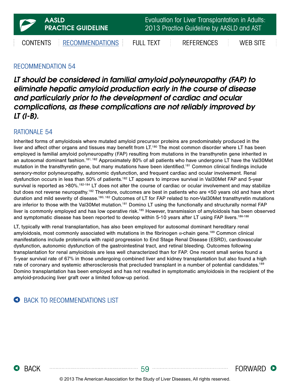<span id="page-58-0"></span>

#### RECOMMENDATION 54

*LT should be considered in familial amyloid polyneuropathy (FAP) to eliminate hepatic amyloid production early in the course of disease and particularly prior to the development of cardiac and ocular complications, as these complications are not reliably improved by LT (I-B).*

### RATIONALE 54

Inherited forms of amyloidosis where mutated amyloid precursor proteins are predominately produced in the liver and affect other organs and tissues may benefit from LT.<sup>180</sup> The most common disorder where LT has been employed is familial amyloid polyneuropathy (FAP) resulting from mutations in the transthyretin gene inherited in an autosomal dominant fashion.<sup>181, 182</sup> Approximately 80% of all patients who have undergone LT have the Val30Met mutation in the transthyretin gene, but many mutations have been identified.181 Common clinical findings include sensory-motor polyneuropathy, autonomic dysfunction, and frequent cardiac and ocular involvement. Renal dysfunction occurs in less than 50% of patients.<sup>182</sup> LT appears to improve survival in Val30Met FAP and 5-year survival is reported as >80%.<sup>182-184</sup> LT does not alter the course of cardiac or ocular involvement and may stabilize but does not reverse neuropathy.<sup>182</sup> Therefore, outcomes are best in patients who are <50 years old and have short duration and mild severity of disease.<sup>180, 182</sup> Outcomes of LT for FAP related to non-Val30Met transthyretin mutations are inferior to those with the Val30Met mutation.<sup>181</sup> Domino LT using the functionally and structurally normal FAP liver is commonly employed and has low operative risk.<sup>185</sup> However, transmission of amyloidosis has been observed and symptomatic disease has been reported to develop within 5-10 years after LT using FAP livers.<sup>186-188</sup>

LT, typically with renal transplantation, has also been employed for autosomal dominant hereditary renal amyloidosis, most commonly associated with mutations in the fibrinogen  $\alpha$ -chain gene.<sup>189</sup> Common clinical manifestations include proteinuria with rapid progression to End Stage Renal Disease (ESRD), cardiovascular dysfunction, autonomic dysfunction of the gastrointestinal tract, and retinal bleeding. Outcomes following transplantation for renal amyloidosis are less well characterized than for FAP. One recent small series found a 5-year survival rate of 67% in those undergoing combined liver and kidney transplantation but also found a high rate of coronary and systemic atherosclerosis that precluded transplant in a number of potential candidates.<sup>189</sup> Domino transplantation has been employed and has not resulted in symptomatic amyloidosis in the recipient of the amyloid-producing liver graft over a limited follow-up period.

### **[BACK TO RECOMMENDATIONS LIST](#page-4-0)**

[BACK](#page-57-0) [FORWARD](#page-59-0)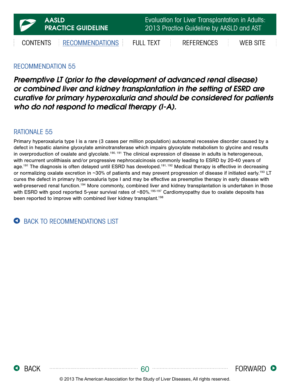<span id="page-59-0"></span>

### RECOMMENDATION 55

*Preemptive LT (prior to the development of advanced renal disease) or combined liver and kidney transplantation in the setting of ESRD are curative for primary hyperoxaluria and should be considered for patients who do not respond to medical therapy (I-A).*

### RATIONALE 55

Primary hyperoxaluria type I is a rare (3 cases per million population) autosomal recessive disorder caused by a defect in hepatic alanine glyoxylate aminotransferase which impairs glyoxylate metabolism to glycine and results in overproduction of oxalate and glycolate.<sup>190, 191</sup> The clinical expression of disease in adults is heterogeneous, with recurrent urolithiasis and/or progressive nephrocalcinosis commonly leading to ESRD by 20-40 years of age.<sup>191</sup> The diagnosis is often delayed until ESRD has developed.<sup>191, 192</sup> Medical therapy is effective in decreasing or normalizing oxalate excretion in ∼30% of patients and may prevent progression of disease if initiated early.193 LT cures the defect in primary hyperoxaluria type I and may be effective as preemptive therapy in early disease with well-preserved renal function.<sup>194</sup> More commonly, combined liver and kidney transplantation is undertaken in those with ESRD with good reported 5-year survival rates of ~80%.<sup>195-197</sup> Cardiomyopathy due to oxalate deposits has been reported to improve with combined liver kidney transplant.<sup>198</sup>

**[BACK TO RECOMMENDATIONS LIST](#page-4-0)**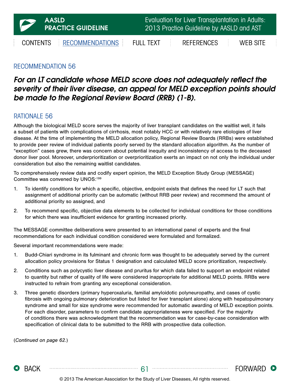<span id="page-60-0"></span>

### RECOMMENDATION 56

# *For an LT candidate whose MELD score does not adequately reflect the severity of their liver disease, an appeal for MELD exception points should be made to the Regional Review Board (RRB) (1-B).*

### RATIONALE 56

Although the biological MELD score serves the majority of liver transplant candidates on the waitlist well, it fails a subset of patients with complications of cirrhosis, most notably HCC or with relatively rare etiologies of liver disease. At the time of implementing the MELD allocation policy, Regional Review Boards (RRBs) were established to provide peer review of individual patients poorly served by the standard allocation algorithm. As the number of "exception" cases grew, there was concern about potential inequity and inconsistency of access to the deceased donor liver pool. Moreover, underprioritization or overprioritization exerts an impact on not only the individual under consideration but also the remaining waitlist candidates.

To comprehensively review data and codify expert opinion, the MELD Exception Study Group (MESSAGE) Committee was convened by UNOS:199

- 1. To identify conditions for which a specific, objective, endpoint exists that defines the need for LT such that assignment of additional priority can be automatic (without RRB peer review) and recommend the amount of additional priority so assigned, and
- 2. To recommend specific, objective data elements to be collected for individual conditions for those conditions for which there was insufficient evidence for granting increased priority.

The MESSAGE committee deliberations were presented to an international panel of experts and the final recommendations for each individual condition considered were formulated and formalized.

Several important recommendations were made:

- 1. Budd-Chiari syndrome in its fulminant and chronic form was thought to be adequately served by the current allocation policy provisions for Status 1 designation and calculated MELD score prioritization, respectively.
- 2. Conditions such as polycystic liver disease and pruritus for which data failed to support an endpoint related to quantity but rather of quality of life were considered inappropriate for additional MELD points. RRBs were instructed to refrain from granting any exceptional consideration.
- 3. Three genetic disorders (primary hyperoxaluria, familial amyloidotic polyneuropathy, and cases of cystic fibrosis with ongoing pulmonary deterioration but listed for liver transplant alone) along with hepatopulmonary syndrome and small for size syndrome were recommended for automatic awarding of MELD exception points. For each disorder, parameters to confirm candidate appropriateness were specified. For the majority of conditions there was acknowledgment that the recommendation was for case-by-case consideration with specification of clinical data to be submitted to the RRB with prospective data collection.

(*Continued on page 62.*)

C [BACK](#page-59-0) **EXECUTE:** 61 61 61 [FORWARD](#page-61-0) C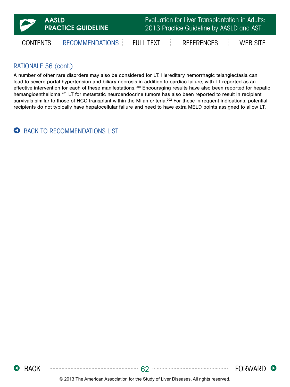<span id="page-61-0"></span>

### [CONTENTS](#page-1-0) [RECOMMENDATIONS](#page-2-0) [FULL TEXT](#page-62-0) [REFERENCES](#page-88-0) [WEB SITE](http://aasld.org/practiceguidelines/Pages/guidelinelisting.aspx)

#### RATIONALE 56 (cont.)

A number of other rare disorders may also be considered for LT. Hereditary hemorrhagic telangiectasia can lead to severe portal hypertension and biliary necrosis in addition to cardiac failure, with LT reported as an effective intervention for each of these manifestations.<sup>200</sup> Encouraging results have also been reported for hepatic hemangioenthelioma.<sup>201</sup> LT for metastatic neuroendocrine tumors has also been reported to result in recipient survivals similar to those of HCC transplant within the Milan criteria.<sup>202</sup> For these infrequent indications, potential recipients do not typically have hepatocellular failure and need to have extra MELD points assigned to allow LT.

### **[BACK TO RECOMMENDATIONS LIST](#page-4-0)**

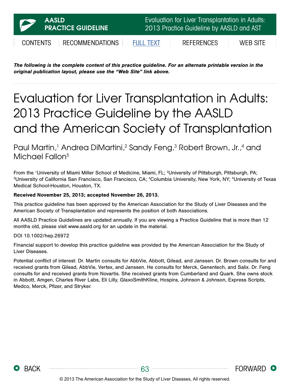<span id="page-62-0"></span>[CONTENTS](#page-1-0) [RECOMMENDATIONS](#page-2-0) FULL TEXT [REFERENCES](#page-88-0) [WEB SITE](http://aasld.org/practiceguidelines/Pages/guidelinelisting.aspx)

The following is the complete content of this practice guideline. For an alternate printable version in the original publication layout, please use the "Web Site" link above.

# Evaluation for Liver Transplantation in Adults: 2013 Practice Guideline by the AASLD and the American Society of Transplantation

Paul Martin,1 Andrea DiMartini,2 Sandy Feng,3 Robert Brown, Jr.,4 and Michael Fallon<sup>5</sup>

From the <sup>1</sup>University of Miami Miller School of Medicine, Miami, FL; <sup>2</sup>University of Pittsburgh, Pittsburgh, PA; 3 University of California San Francisco, San Francisco, CA; 4 Columbia University, New York, NY; 5 University of Texas Medical School-Houston, Houston, TX.

#### Received November 25, 2013; accepted November 26, 2013.

This practice guideline has been approved by the American Association for the Study of Liver Diseases and the American Society of Transplantation and represents the position of both Associations.

All AASLD Practice Guidelines are updated annually. If you are viewing a Practice Guideline that is more than 12 months old, please visit www.aasld.org for an update in the material.

DOI 10.1002/hep.26972

Financial support to develop this practice guideline was provided by the American Association for the Study of Liver Diseases.

Potential conflict of interest: Dr. Martin consults for AbbVie, Abbott, Gilead, and Janssen. Dr. Brown consults for and received grants from Gilead, AbbVie, Vertex, and Janssen. He consults for Merck, Genentech, and Salix. Dr. Feng consults for and received grants from Novartis. She received grants from Cumberland and Quark. She owns stock in Abbott, Amgen, Charles River Labs, Eli Lilly, GlaxoSmithKline, Hospira, Johnson & Johnson, Express Scripts, Medco, Merck, Pfizer, and Stryker.

© 2013 The American Association for the Study of Liver Diseases, All rights reserved.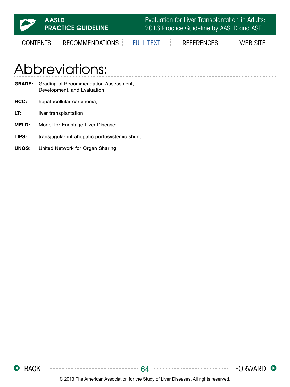<span id="page-63-0"></span>

[CONTENTS](#page-1-0) [RECOMMENDATIONS](#page-2-0) [FULL TEXT](#page-62-0) [REFERENCES](#page-88-0) [WEB SITE](http://aasld.org/practiceguidelines/Pages/guidelinelisting.aspx)

# Abbreviations:

- GRADE: Grading of Recommendation Assessment, Development, and Evaluation;
- HCC: hepatocellular carcinoma;
- LT: liver transplantation;
- MELD: Model for Endstage Liver Disease;
- TIPS: transjugular intrahepatic portosystemic shunt
- UNOS: United Network for Organ Sharing.

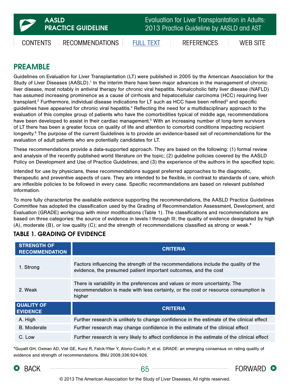<span id="page-64-0"></span>

### [CONTENTS](#page-1-0) [RECOMMENDATIONS](#page-2-0) [FULL TEXT](#page-62-0) [REFERENCES](#page-88-0) [WEB SITE](http://aasld.org/practiceguidelines/Pages/guidelinelisting.aspx)

### PREAMBLE

Guidelines on Evaluation for Liver Transplantation (LT) were published in 2005 by the American Association for the Study of Liver Diseases (AASLD).<sup>1</sup> In the interim there have been major advances in the management of chronic liver disease, most notably in antiviral therapy for chronic viral hepatitis. Nonalcoholic fatty liver disease (NAFLD) has assumed increasing prominence as a cause of cirrhosis and hepatocellular carcinoma (HCC) requiring liver transplant.<sup>2</sup> Furthermore, individual disease indications for LT such as HCC have been refined<sup>3</sup> and specific guidelines have appeared for chronic viral hepatitis.<sup>4</sup> Reflecting the need for a multidisciplinary approach to the evaluation of this complex group of patients who have the comorbidities typical of middle age, recommendations have been developed to assist in their cardiac management.<sup>5</sup> With an increasing number of long-term survivors of LT there has been a greater focus on quality of life and attention to comorbid conditions impacting recipient longevity.<sup>6</sup> The purpose of the current Guidelines is to provide an evidence-based set of recommendations for the evaluation of adult patients who are potentially candidates for LT.

These recommendations provide a data-supported approach. They are based on the following: (1) formal review and analysis of the recently published world literature on the topic; (2) guideline policies covered by the AASLD Policy on Development and Use of Practice Guidelines; and (3) the experience of the authors in the specified topic.

Intended for use by physicians, these recommendations suggest preferred approaches to the diagnostic, therapeutic and preventive aspects of care. They are intended to be flexible, in contrast to standards of care, which are inflexible policies to be followed in every case. Specific recommendations are based on relevant published information.

To more fully characterize the available evidence supporting the recommendations, the AASLD Practice Guidelines Committee has adopted the classification used by the Grading of Recommendation Assessment, Development, and Evaluation (GRADE) workgroup with minor modifications (Table 1). The classifications and recommendations are based on three categories: the source of evidence in levels I through III; the quality of evidence designated by high (A), moderate (B), or low quality (C); and the strength of recommendations classified as strong or weak.\*

### TABLE 1. GRADING OF EVIDENCE

| <b>STRENGTH OF</b><br><b>RECOMMENDATION</b> | <b>CRITERIA</b>                                                                                                                                                             |
|---------------------------------------------|-----------------------------------------------------------------------------------------------------------------------------------------------------------------------------|
| 1. Strong                                   | Factors influencing the strength of the recommendations include the quality of the<br>evidence, the presumed patient important outcomes, and the cost                       |
| 2. Weak                                     | There is variability in the preferences and values or more uncertainty. The<br>recommendation is made with less certainty, or the cost or resource consumption is<br>higher |
| <b>QUALITY OF</b><br><b>EVIDENCE</b>        | <b>CRITERIA</b>                                                                                                                                                             |
| A. High                                     | Further research is unlikely to change confidence in the estimate of the clinical effect                                                                                    |
| B. Moderate                                 | Further research may change confidence in the estimate of the clinical effect                                                                                               |
| C. Low                                      | Further research is very likely to affect confidence in the estimate of the clinical effect                                                                                 |

\*Guyatt GH, Oxman AD, Vist GE, Kunz R, Falck-Ytter Y, Alono-Coello P, et al. GRADE: an emerging consensus on rating quality of evidence and strength of recommendations. BMJ 2008;336:924-926.



© 2013 The American Association for the Study of Liver Diseases, All rights reserved.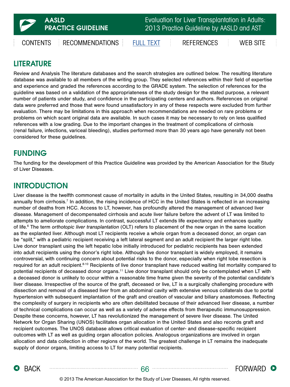<span id="page-65-0"></span>

[CONTENTS](#page-1-0) [RECOMMENDATIONS](#page-2-0) [FULL TEXT](#page-62-0) [REFERENCES](#page-88-0) [WEB SITE](http://aasld.org/practiceguidelines/Pages/guidelinelisting.aspx)

### LITERATURE

Review and Analysis The literature databases and the search strategies are outlined below. The resulting literature database was available to all members of the writing group. They selected references within their field of expertise and experience and graded the references according to the GRADE system. The selection of references for the guideline was based on a validation of the appropriateness of the study design for the stated purpose, a relevant number of patients under study, and confidence in the participating centers and authors. References on original data were preferred and those that were found unsatisfactory in any of these respects were excluded from further evaluation. There may be limitations in this approach when recommendations are needed on rare problems or problems on which scant original data are available. In such cases it may be necessary to rely on less qualified references with a low grading. Due to the important changes in the treatment of complications of cirrhosis (renal failure, infections, variceal bleeding), studies performed more than 30 years ago have generally not been considered for these guidelines.

### FUNDING

The funding for the development of this Practice Guideline was provided by the American Association for the Study of Liver Diseases.

## INTRODUCTION

Liver disease is the twelfth commonest cause of mortality in adults in the United States, resulting in 34,000 deaths annually from cirrhosis.<sup>7</sup> In addition, the rising incidence of HCC in the United States is reflected in an increasing number of deaths from HCC. Access to LT, however, has profoundly altered the management of advanced liver disease. Management of decompensated cirrhosis and acute liver failure before the advent of LT was limited to attempts to ameliorate complications. In contrast, successful LT extends life expectancy and enhances quality of life.6 The term *orthotopic liver transplantation* (OLT) refers to placement of the new organ in the same location as the explanted liver. Although most LT recipients receive a whole organ from a deceased donor, an organ can be "split," with a pediatric recipient receiving a left lateral segment and an adult recipient the larger right lobe. Live donor transplant using the left hepatic lobe initially introduced for pediatric recipients has been extended into adult recipients using the donor's right lobe. Although live donor transplant is widely employed, it remains controversial, with continuing concern about potential risks to the donor, especially when right lobe resection is required for an adult recipient.<sup>8-10</sup> Recipients of live donor transplant have reduced waiting list mortality compared to potential recipients of deceased donor organs.<sup>11</sup> Live donor transplant should only be contemplated when LT with a deceased donor is unlikely to occur within a reasonable time frame given the severity of the potential candidate's liver disease. Irrespective of the source of the graft, deceased or live, LT is a surgically challenging procedure with dissection and removal of a diseased liver from an abdominal cavity with extensive venous collaterals due to portal hypertension with subsequent implantation of the graft and creation of vascular and biliary anastomoses. Reflecting the complexity of surgery in recipients who are often debilitated because of their advanced liver disease, a number of technical complications can occur as well as a variety of adverse effects from therapeutic immunosuppression. Despite these concerns, however, LT has revolutionized the management of severe liver disease. The United Network for Organ Sharing (UNOS) facilitates organ allocation in the United States and also records graft and recipient outcomes. The UNOS database allows critical evaluation of center- and disease-specific recipient outcomes with LT as well as guiding organ allocation policies. Analogous organizations are involved in organ allocation and data collection in other regions of the world. The greatest challenge in LT remains the inadequate supply of donor organs, limiting access to LT for many potential recipients.

66 [BACK](#page-64-0) [FORWARD](#page-66-0)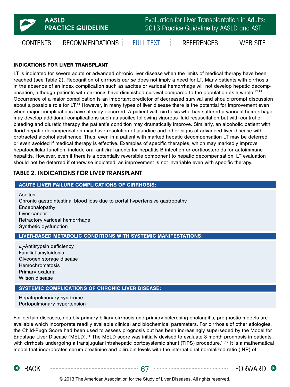<span id="page-66-0"></span>

[CONTENTS](#page-1-0) [RECOMMENDATIONS](#page-2-0) [FULL TEXT](#page-62-0) [REFERENCES](#page-88-0) [WEB SITE](http://aasld.org/practiceguidelines/Pages/guidelinelisting.aspx)

#### INDICATIONS FOR LIVER TRANSPLANT

LT is indicated for severe acute or advanced chronic liver disease when the limits of medical therapy have been reached (see Table 2). Recognition of cirrhosis *per se* does not imply a need for LT. Many patients with cirrhosis in the absence of an index complication such as ascites or variceal hemorrhage will not develop hepatic decompensation, although patients with cirrhosis have diminished survival compared to the population as a whole.<sup>12,13</sup> Occurrence of a major complication is an important predictor of decreased survival and should prompt discussion about a possible role for LT.14 However, in many types of liver disease there is the potential for improvement even when major complications have already occurred. A patient with cirrhosis who has suffered a variceal hemorrhage may develop additional complications such as ascites following vigorous fluid resuscitation but with control of bleeding and diuretic therapy the patient's condition may dramatically improve. Similarly, an alcoholic patient with florid hepatic decompensation may have resolution of jaundice and other signs of advanced liver disease with protracted alcohol abstinence. Thus, even in a patient with marked hepatic decompensation LT may be deferred or even avoided if medical therapy is effective. Examples of specific therapies, which may markedly improve hepatocellular function, include oral antiviral agents for hepatitis B infection or corticosteroids for autoimmune hepatitis. However, even if there is a potentially reversible component to hepatic decompensation, LT evaluation should not be deferred if otherwise indicated, as improvement is not invariable even with specific therapy.

#### TABLE 2. INDICATIONS FOR LIVER TRANSPLANT

#### ACUTE LIVER FAILURE COMPLICATIONS OF CIRRHOSIS:

Ascites Chronic gastrointestinal blood loss due to portal hypertensive gastropathy Encephalopathy Liver cancer Refractory variceal hemorrhage Synthetic dysfunction

#### LIVER-BASED METABOLIC CONDITIONS WITH SYSTEMIC MANIFESTATIONS:

α<sub>1</sub>-Antitrypsin deficiency Familial amyloidosis Glycogen storage disease **Hemochromatosis** Primary oxaluria Wilson disease

#### SYSTEMIC COMPLICATIONS OF CHRONIC LIVER DISEASE:

Hepatopulmonary syndrome Portopulmonary hypertension

For certain diseases, notably primary biliary cirrhosis and primary sclerosing cholangitis, prognostic models are available which incorporate readily available clinical and biochemical parameters. For cirrhosis of other etiologies, the Child-Pugh Score had been used to assess prognosis but has been increasingly superseded by the Model for Endstage Liver Disease (MELD).15 The MELD score was initially devised to evaluate 3-month prognosis in patients with cirrhosis undergoing a transjugular intrahepatic portosystemic shunt (TIPS) procedure.<sup>16,17</sup> It is a mathematical model that incorporates serum creatinine and bilirubin levels with the international normalized ratio (INR) of



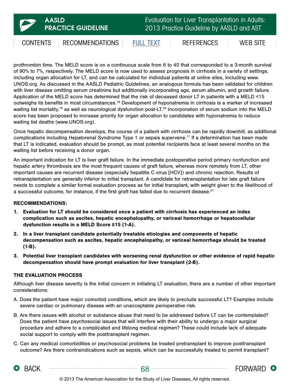Evaluation for Liver Transplantation in Adults: 2013 Practice Guideline by AASLD and AST

### <span id="page-67-0"></span>[CONTENTS](#page-1-0) [RECOMMENDATIONS](#page-2-0) [FULL TEXT](#page-62-0) [REFERENCES](#page-88-0) [WEB SITE](http://aasld.org/practiceguidelines/Pages/guidelinelisting.aspx)

prothrombin time. The MELD score is on a continuous scale from 6 to 40 that corresponded to a 3-month survival of 90% to 7%, respectively. The MELD score is now used to assess prognosis in cirrhosis in a variety of settings, including organ allocation for LT, and can be calculated for individual patients at online sites, including www. UNOS.org. As discussed in the AASLD Pediatric Guidelines, an analogous formula has been validated for children with liver disease omitting serum creatinine but additionally incorporating age, serum albumin, and growth failure. Application of the MELD score has determined that the risk of deceased donor LT in patients with a MELD <15 outweighs its benefits in most circumstances.18 Development of hyponatremia in cirrhosis is a marker of increased waiting list mortality,<sup>19</sup> as well as neurological dysfunction post-LT.<sup>20</sup> Incorporation of serum sodium into the MELD score has been proposed to increase priority for organ allocation to candidates with hyponatremia to reduce waiting list deaths (www.UNOS.org).

Once hepatic decompensation develops, the course of a patient with cirrhosis can be rapidly downhill, as additional complications including Hepatorenal Syndrome Type 1 or sepsis supervene.<sup>17</sup> If a determination has been made that LT is indicated, evaluation should be prompt, as most potential recipients face at least several months on the waiting list before receiving a donor organ.

An important indication for LT is liver graft failure. In the immediate postoperative period primary nonfunction and hepatic artery thrombosis are the most frequent causes of graft failure, whereas more remotely from LT, other important causes are recurrent disease (especially hepatitis C virus [HCV]) and chronic rejection. Results of retransplantation are generally inferior to initial transplant. A candidate for retransplantation for late graft failure needs to complete a similar formal evaluation process as for initial transplant, with weight given to the likelihood of a successful outcome, for instance, if the first graft has failed due to recurrent disease.<sup>21</sup>

#### RECOMMENDATIONS:

- 1. Evaluation for LT should be considered once a patient with cirrhosis has experienced an index complication such as ascites, hepatic encephalopathy, or variceal hemorrhage or hepatocellular dysfunction results in a MELD Score ≥15 (1-A).
- 2. In a liver transplant candidate potentially treatable etiologies and components of hepatic decompensation such as ascites, hepatic encephalopathy, or variceal hemorrhage should be treated (1-B).
- 3. Potential liver transplant candidates with worsening renal dysfunction or other evidence of rapid hepatic decompensation should have prompt evaluation for liver transplant (2-B).

#### THE EVALUATION PROCESS

Although liver disease severity is the initial concern in initiating LT evaluation, there are a number of other important considerations:

- A. Does the patient have major comorbid conditions, which are likely to preclude successful LT? Examples include severe cardiac or pulmonary disease with an unacceptable perioperative risk.
- B. Are there issues with alcohol or substance abuse that need to be addressed before LT can be contemplated? Does the patient have psychosocial issues that will interfere with their ability to undergo a major surgical procedure and adhere to a complicated and lifelong medical regimen? These could include lack of adequate social support to comply with the posttransplant regimen.
- C. Can any medical comorbidities or psychosocial problems be treated pretransplant to improve posttransplant outcome? Are there contraindications such as sepsis, which can be successfully treated to permit transplant?

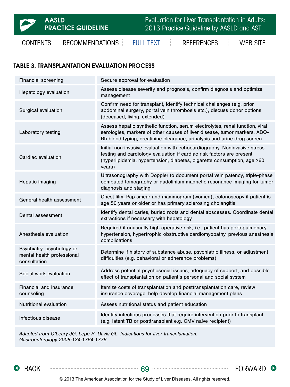<span id="page-68-0"></span>

[CONTENTS](#page-1-0) [RECOMMENDATIONS](#page-2-0) [FULL TEXT](#page-62-0) [REFERENCES](#page-88-0) [WEB SITE](http://aasld.org/practiceguidelines/Pages/guidelinelisting.aspx)

### TABLE 3. TRANSPLANTATION EVALUATION PROCESS

| <b>Financial screening</b>                                              | Secure approval for evaluation                                                                                                                                                                                                          |
|-------------------------------------------------------------------------|-----------------------------------------------------------------------------------------------------------------------------------------------------------------------------------------------------------------------------------------|
| Hepatology evaluation                                                   | Assess disease severity and prognosis, confirm diagnosis and optimize<br>management                                                                                                                                                     |
| Surgical evaluation                                                     | Confirm need for transplant, identify technical challenges (e.g. prior<br>abdominal surgery, portal vein thrombosis etc.), discuss donor options<br>(deceased, living, extended)                                                        |
| Laboratory testing                                                      | Assess hepatic synthetic function, serum electrolytes, renal function, viral<br>serologies, markers of other causes of liver disease, tumor markers, ABO-<br>Rh blood typing, creatinine clearance, urinalysis and urine drug screen    |
| Cardiac evaluation                                                      | Initial non-invasive evaluation with echocardiography. Noninvasive stress<br>testing and cardiology evaluation if cardiac risk factors are present<br>(hyperlipidemia, hypertension, diabetes, cigarette consumption, age >60<br>years) |
| Hepatic imaging                                                         | Ultrasonography with Doppler to document portal vein patency, triple-phase<br>computed tomography or gadolinium magnetic resonance imaging for tumor<br>diagnosis and staging                                                           |
| General health assessment                                               | Chest film, Pap smear and mammogram (women), colonoscopy if patient is<br>age 50 years or older or has primary sclerosing cholangitis                                                                                                   |
| Dental assessment                                                       | Identify dental caries, buried roots and dental abscesses. Coordinate dental<br>extractions if necessary with hepatology                                                                                                                |
| Anesthesia evaluation                                                   | Required if unusually high operative risk, i.e., patient has portopulmonary<br>hypertension, hypertrophic obstructive cardiomyopathy, previous anesthesia<br>complications                                                              |
| Psychiatry, psychology or<br>mental health professional<br>consultation | Determine if history of substance abuse, psychiatric illness, or adjustment<br>difficulties (e.g. behavioral or adherence problems)                                                                                                     |
| Social work evaluation                                                  | Address potential psychosocial issues, adequacy of support, and possible<br>effect of transplantation on patient's personal and social system                                                                                           |
| <b>Financial and insurance</b><br>counseling                            | Itemize costs of transplantation and posttransplantation care, review<br>insurance coverage, help develop financial management plans                                                                                                    |
| <b>Nutritional evaluation</b>                                           | Assess nutritional status and patient education                                                                                                                                                                                         |
| Infectious disease                                                      | Identify infectious processes that require intervention prior to transplant<br>(e.g. latent TB or posttransplant e.g. CMV naïve recipient)                                                                                              |

*Adapted from O'Leary JG, Lepe R, Davis GL. Indications for liver transplantation. Gastroenterology 2008;134:1764-1776.*

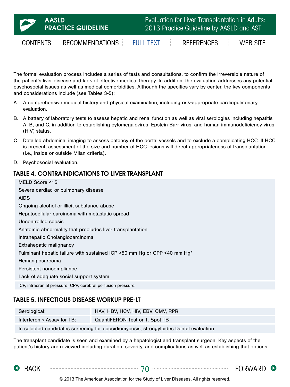Evaluation for Liver Transplantation in Adults: 2013 Practice Guideline by AASLD and AST

### <span id="page-69-0"></span>[CONTENTS](#page-1-0) [RECOMMENDATIONS](#page-2-0) [FULL TEXT](#page-62-0) [REFERENCES](#page-88-0) [WEB SITE](http://aasld.org/practiceguidelines/Pages/guidelinelisting.aspx)

The formal evaluation process includes a series of tests and consultations, to confirm the irreversible nature of the patient's liver disease and lack of effective medical therapy. In addition, the evaluation addresses any potential psychosocial issues as well as medical comorbidities. Although the specifics vary by center, the key components and considerations include (see Tables 3-5):

- A. A comprehensive medical history and physical examination, including risk-appropriate cardiopulmonary evaluation.
- B. A battery of laboratory tests to assess hepatic and renal function as well as viral serologies including hepatitis A, B, and C, in addition to establishing cytomegalovirus, Epstein-Barr virus, and human immunodeficiency virus (HIV) status.
- C. Detailed abdominal imaging to assess patency of the portal vessels and to exclude a complicating HCC. If HCC is present, assessment of the size and number of HCC lesions will direct appropriateness of transplantation (i.e., inside or outside Milan criteria).
- D. Psychosocial evaluation.

#### TABLE 4. CONTRAINDICATIONS TO LIVER TRANSPLANT

| MELD Score <15                                                                         |
|----------------------------------------------------------------------------------------|
| Severe cardiac or pulmonary disease                                                    |
| <b>AIDS</b>                                                                            |
| Ongoing alcohol or illicit substance abuse                                             |
| Hepatocellular carcinoma with metastatic spread                                        |
| Uncontrolled sepsis                                                                    |
| Anatomic abnormality that precludes liver transplantation                              |
| Intrahepatic Cholangiocarcinoma                                                        |
| Extrahepatic malignancy                                                                |
| Fulminant hepatic failure with sustained ICP > 50 mm Hg or CPP < 40 mm Hg <sup>*</sup> |
| Hemangiosarcoma                                                                        |
| Persistent noncompliance                                                               |
| Lack of adequate social support system                                                 |
| ICP, intracranial pressure; CPP, cerebral perfusion pressure.                          |
|                                                                                        |

#### TABLE 5. INFECTIOUS DISEASE WORKUP PRE-LT

| Serological:                                                                          | HAV, HBV, HCV, HIV, EBV, CMV, RPR |  |
|---------------------------------------------------------------------------------------|-----------------------------------|--|
| Interferon $\gamma$ Assay for TB:                                                     | QuantiFERON Test or T. Spot TB    |  |
| In selected candidates screening for coccidiomycosis, strongyloides Dental evaluation |                                   |  |

The transplant candidate is seen and examined by a hepatologist and transplant surgeon. Key aspects of the patient's history are reviewed including duration, severity, and complications as well as establishing that options

© 2013 The American Association for the Study of Liver Diseases, All rights reserved.

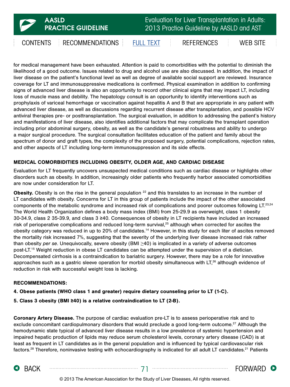Evaluation for Liver Transplantation in Adults: 2013 Practice Guideline by AASLD and AST

# <span id="page-70-0"></span>[CONTENTS](#page-1-0) [RECOMMENDATIONS](#page-2-0) [FULL TEXT](#page-62-0) [REFERENCES](#page-88-0) [WEB SITE](http://aasld.org/practiceguidelines/Pages/guidelinelisting.aspx)

for medical management have been exhausted. Attention is paid to comorbidities with the potential to diminish the likelihood of a good outcome. Issues related to drug and alcohol use are also discussed. In addition, the impact of liver disease on the patient's functional level as well as degree of available social support are reviewed. Insurance coverage for LT and immunosuppressive medications is confirmed. Physical examination in addition to confirming signs of advanced liver disease is also an opportunity to record other clinical signs that may impact LT, including loss of muscle mass and debility. The hepatology consult is an opportunity to identify interventions such as prophylaxis of variceal hemorrhage or vaccination against hepatitis A and B that are appropriate in any patient with advanced liver disease, as well as discussions regarding recurrent disease after transplantation, and possible HCV antiviral therapies pre- or posttransplantation. The surgical evaluation, in addition to addressing the patient's history and manifestations of liver disease, also identifies additional factors that may complicate the transplant operation including prior abdominal surgery, obesity, as well as the candidate's general robustness and ability to undergo a major surgical procedure. The surgical consultation facilitates education of the patient and family about the spectrum of donor and graft types, the complexity of the proposed surgery, potential complications, rejection rates, and other aspects of LT including long-term immunosuppression and its side effects.

#### MEDICAL COMORBIDITIES INCLUDING OBESITY, OLDER AGE, AND CARDIAC DISEASE

Evaluation for LT frequently uncovers unsuspected medical conditions such as cardiac disease or highlights other disorders such as obesity. In addition, increasingly older patients who frequently harbor associated comorbidities are now under consideration for LT.

Obesity. Obesity is on the rise in the general population <sup>22</sup> and this translates to an increase in the number of LT candidates with obesity. Concerns for LT in this group of patients include the impact of the other associated components of the metabolic syndrome and increased risk of complications and poorer outcomes following LT.<sup>23,24</sup> The World Health Organization defines a body mass index (BMI) from 25-29.9 as overweight, class 1 obesity 30-34.9, class 2 35-39.9, and class 3 ≥40. Consequences of obesity in LT recipients have included an increased risk of perioperative complications and reduced long-term survival,<sup>25</sup> although when corrected for ascites the obesity category was reduced in up to 20% of candidates.14 However, in this study for each liter of ascites removed the mortality risk increased 7%, suggesting that the severity of the underlying liver disease increased risk rather than obesity *per se*. Unequivocally, severe obesity (BMI ≥40) is implicated in a variety of adverse outcomes post-LT.15 Weight reduction in obese LT candidates can be attempted under the supervision of a dietician. Decompensated cirrhosis is a contraindication to bariatric surgery. However, there may be a role for innovative approaches such as a gastric sleeve operation for morbid obesity simultaneous with LT,<sup>26</sup> although evidence of reduction in risk with successful weight loss is lacking.

#### RECOMMENDATIONS:

- 4. Obese patients (WHO class 1 and greater) require dietary counseling prior to LT (1-C).
- 5. Class 3 obesity (BMI ≥40) is a relative contraindication to LT (2-B).

Coronary Artery Disease. The purpose of cardiac evaluation pre-LT is to assess perioperative risk and to exclude concomitant cardiopulmonary disorders that would preclude a good long-term outcome.<sup>27</sup> Although the hemodynamic state typical of advanced liver disease results in a low prevalence of systemic hypertension and impaired hepatic production of lipids may reduce serum cholesterol levels, coronary artery disease (CAD) is at least as frequent in LT candidates as in the general population and is influenced by typical cardiovascular risk factors.<sup>28</sup> Therefore, noninvasive testing with echocardiography is indicated for all adult LT candidates.<sup>21</sup> Patients

© 2013 The American Association for the Study of Liver Diseases, All rights reserved.



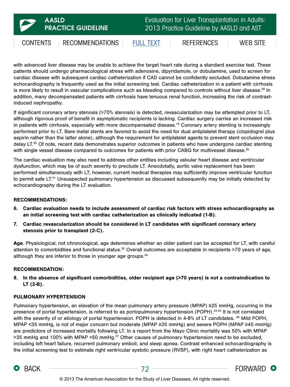Evaluation for Liver Transplantation in Adults: 2013 Practice Guideline by AASLD and AST

## <span id="page-71-0"></span>[CONTENTS](#page-1-0) [RECOMMENDATIONS](#page-2-0) [FULL TEXT](#page-62-0) [REFERENCES](#page-88-0) [WEB SITE](http://aasld.org/practiceguidelines/Pages/guidelinelisting.aspx)

with advanced liver disease may be unable to achieve the target heart rate during a standard exercise test. These patients should undergo pharmacological stress with adenosine, dipyridamole, or dobutamine, used to screen for cardiac disease with subsequent cardiac catheterization if CAD cannot be confidently excluded. Dobutamine stress echocardiography is frequently used as the initial screening test. Cardiac catheterization in a patient with cirrhosis is more likely to result in vascular complications such as bleeding compared to controls without liver disease.<sup>29</sup> In addition, many decompensated patients with cirrhosis have tenuous renal function, increasing the risk of contrastinduced nephropathy.

If significant coronary artery stenosis (>70% stenosis) is detected, revascularization may be attempted prior to LT, although rigorous proof of benefit in asymptomatic recipients is lacking. Cardiac surgery carries an increased risk in patients with cirrhosis, especially with more decompensated disease.<sup>16</sup> Coronary artery stenting is increasingly performed prior to LT. Bare metal stents are favored to avoid the need for dual antiplatelet therapy (clopidogrel plus aspirin rather than the latter alone), although the requirement for antiplatelet agents to prevent stent occlusion may delay LT.30 Of note, recent data demonstrates superior outcomes in patients who have undergone cardiac stenting with single vessel disease compared to outcomes for patients with prior CABG for multivessel disease.<sup>30</sup>

The cardiac evaluation may also need to address other entities including valvular heart disease and ventricular dysfunction, which may be of such severity to preclude LT. Anecdotally, aortic valve replacement has been performed simultaneously with LT; however, current medical therapies may sufficiently improve ventricular function to permit safe LT.<sup>31</sup> Unsuspected pulmonary hypertension as discussed subsequently may be initially detected by echocardiography during the LT evaluation.

#### RECOMMENDATIONS:

- 6. Cardiac evaluation needs to include assessment of cardiac risk factors with stress echocardiography as an initial screening test with cardiac catheterization as clinically indicated (1-B).
- 7. Cardiac revascularization should be considered in LT candidates with significant coronary artery stenosis prior to transplant (2-C).

Age. Physiological, not chronological, age determines whether an older patient can be accepted for LT, with careful attention to comorbidities and functional status.<sup>32</sup> Overall outcomes are acceptable in recipients >70 years of age, although they are inferior to those in younger age groups.<sup>33</sup>

#### RECOMMENDATION:

8. In the absence of significant comorbidities, older recipient age (>70 years) is not a contraindication to LT (2-B).

#### PULMONARY HYPERTENSION

Pulmonary hypertension, an elevation of the mean pulmonary artery pressure (MPAP) ≥25 mmHg, occurring in the presence of portal hypertension, is referred to as portopulmonary hypertension (POPH).<sup>34,35</sup> It is not correlated with the severity of or etiology of portal hypertension. POPH is detected in 4-8% of LT candidates. <sup>36</sup> Mild POPH, MPAP <35 mmHg, is not of major concern but moderate (MPAP ≥35 mmHg) and severe POPH (MPAP ≥45 mmHg) are predictors of increased mortality following LT. In a report from the Mayo Clinic mortality was 50% with MPAP  $>35$  mmHg and 100% with MPAP  $>50$  mmHg.<sup>37</sup> Other causes of pulmonary hypertension need to be excluded, including left heart failure, recurrent pulmonary emboli, and sleep apnea. Contrast enhanced echocardiography is the initial screening test to estimate right ventricular systolic pressure (RVSP), with right heart catheterization as

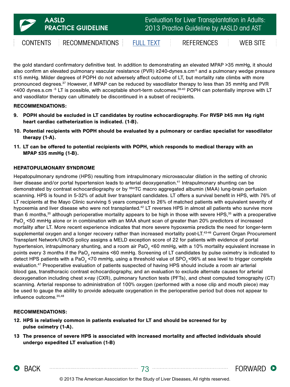Evaluation for Liver Transplantation in Adults: 2013 Practice Guideline by AASLD and AST

## <span id="page-72-0"></span>[CONTENTS](#page-1-0) [RECOMMENDATIONS](#page-2-0) [FULL TEXT](#page-62-0) [REFERENCES](#page-88-0) [WEB SITE](http://aasld.org/practiceguidelines/Pages/guidelinelisting.aspx)

the gold standard confirmatory definitive test. In addition to demonstrating an elevated MPAP >35 mmHg, it should also confirm an elevated pulmonary vascular resistance (PVR) ≥240-dynes.s.cm-5 and a pulmonary wedge pressure ≤15 mmHg. Milder degrees of POPH do not adversely affect outcome of LT, but mortality rate climbs with more pronounced degrees.37 However, if MPAP can be reduced by vasodilator therapy to less than 35 mmHg and PVR <400 dynes.s.cm <sup>-5</sup> LT is possible, with acceptable short-term outcomes.<sup>38-40</sup> POPH can potentially improve with LT and vasodilator therapy can ultimately be discontinued in a subset of recipients.

## RECOMMENDATIONS:

- 9. POPH should be excluded in LT candidates by routine echocardiography. For RVSP ≥45 mm Hg right heart cardiac catheterization is indicated. (1-B).
- 10. Potential recipients with POPH should be evaluated by a pulmonary or cardiac specialist for vasodilator therapy (1-A).
- 11. LT can be offered to potential recipients with POPH, which responds to medical therapy with an MPAP  $\leq$ 35 mmHg (1-B).

## HEPATOPULMONARY SYNDROME

Hepatopulmonary syndrome (HPS) resulting from intrapulmonary microvascular dilation in the setting of chronic liver disease and/or portal hypertension leads to arterial deoxygenation.<sup>41</sup> Intrapulmonary shunting can be demonstrated by contrast echocardiography or by <sup>99m</sup>TC macro aggregated albumin (MAA) lung-brain perfusion scanning. HPS is found in 5-32% of adult liver transplant candidates. LT offers a survival benefit in HPS, with 76% of LT recipients at the Mayo Clinic surviving 5 years compared to 26% of matched patients with equivalent severity of hypoxemia and liver disease who were not transplanted.<sup>42</sup> LT reverses HPS in almost all patients who survive more than 6 months,<sup>35</sup> although perioperative mortality appears to be high in those with severe HPS,<sup>35</sup> with a preoperative PaO $_{\rm _2}$  <50 mmHg alone or in combination with an MAA shunt scan of greater than 20% predictors of increased mortality after LT. More recent experience indicates that more severe hypoxemia predicts the need for longer-term supplemental oxygen and a longer recovery rather than increased mortality post-LT.<sup>43-46</sup> Current Organ Procurement Transplant Network/UNOS policy assigns a MELD exception score of 22 for patients with evidence of portal hypertension, intrapulmonary shunting, and a room air PaO $_2$  <60 mmHg, with a 10% mortality equivalent increase in points every 3 months if the PaO<sub>2</sub> remains <60 mmHg. Screening of LT candidates by pulse oximetry is indicated to detect HPS patients with a PaO $_{\rm 2}$  <70 mmHg, using a threshold value of SPO $_{\rm 2}$ <96% at sea level to trigger complete evaluation.47 Preoperative evaluation of patients suspected of having HPS should include a room air arterial blood gas, transthoracic contrast echocardiography, and an evaluation to exclude alternate causes for arterial deoxygenation including chest x-ray (CXR), pulmonary function tests (PFTs), and chest computed tomography (CT) scanning. Arterial response to administration of 100% oxygen (performed with a nose clip and mouth piece) may be used to gauge the ability to provide adequate oxygenation in the perioperative period but does not appear to influence outcome.35,48

## RECOMMENDATIONS:

- 12. HPS is relatively common in patients evaluated for LT and should be screened for by pulse oximetry (1-A).
- 13 The presence of severe HPS is associated with increased mortality and affected individuals should undergo expedited LT evaluation (1-B)

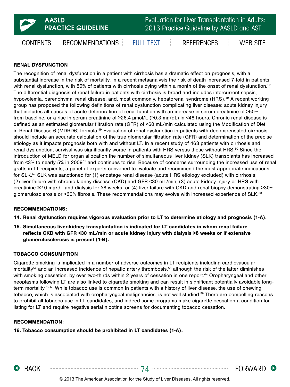<span id="page-73-0"></span>

## [CONTENTS](#page-1-0) [RECOMMENDATIONS](#page-2-0) [FULL TEXT](#page-62-0) [REFERENCES](#page-88-0) [WEB SITE](http://aasld.org/practiceguidelines/Pages/guidelinelisting.aspx)

## RENAL DYSFUNCTION

The recognition of renal dysfunction in a patient with cirrhosis has a dramatic effect on prognosis, with a substantial increase in the risk of mortality. In a recent metaanalysis the risk of death increased 7-fold in patients with renal dysfunction, with 50% of patients with cirrhosis dying within a month of the onset of renal dysfunction.<sup>17</sup> The differential diagnosis of renal failure in patients with cirrhosis is broad and includes intercurrent sepsis, hypovolemia, parenchymal renal disease, and, most commonly, hepatorenal syndrome (HRS).<sup>49</sup> A recent working group has proposed the following definitions of renal dysfunction complicating liver disease: acute kidney injury that includes all causes of acute deterioration of renal function with an increase in serum creatinine of >50% from baseline, or a rise in serum creatinine of ≥26.4 µmol/L (≥0.3 mg/dL) in <48 hours. Chronic renal disease is defined as an estimated glomerular filtration rate (GFR) of <60 mL/min calculated using the Modification of Diet in Renal Disease 6 (MDRD6) formula.<sup>49</sup> Evaluation of renal dysfunction in patients with decompensated cirrhosis should include an accurate calculation of the true glomerular filtration rate (GFR) and determination of the precise etiology as it impacts prognosis both with and without LT. In a recent study of 463 patients with cirrhosis and renal dysfunction, survival was significantly worse in patients with HRS versus those without HRS.<sup>50</sup> Since the introduction of MELD for organ allocation the number of simultaneous liver kidney (SLK) transplants has increased from <3% to nearly 5% in 2009<sup>51</sup> and continues to rise. Because of concerns surrounding the increased use of renal grafts in LT recipients, a panel of experts convened to evaluate and recommend the most appropriate indications for SLK.<sup>52</sup> SLK was sanctioned for (1) endstage renal disease (acute HRS etiology excluded) with cirrhosis; (2) liver failure with chronic kidney disease (CKD) and GFR <30 mL/min, (3) acute kidney injury or HRS with creatinine ≥2.0 mg/dL and dialysis for ≥8 weeks; or (4) liver failure with CKD and renal biopsy demonstrating >30% glomerulosclerosis or >30% fibrosis. These recommendations may evolve with increased experience of SLK.<sup>53</sup>

## RECOMMENDATIONS:

- 14. Renal dysfunction requires vigorous evaluation prior to LT to determine etiology and prognosis (1-A).
- 15. Simultaneous liver-kidney transplantation is indicated for LT candidates in whom renal failure reflects CKD with GFR <30 mL/min or acute kidney injury with dialysis >8 weeks or if extensive glomerulosclerosis is present (1-B).

#### TOBACCO CONSUMPTION

Cigarette smoking is implicated in a number of adverse outcomes in LT recipients including cardiovascular mortality<sup>54</sup> and an increased incidence of hepatic artery thrombosis,<sup>55</sup> although the risk of the latter diminishes with smoking cessation, by over two-thirds within 2 years of cessation in one report.<sup>44</sup> Oropharyngeal and other neoplasms following LT are also linked to cigarette smoking and can result in significant potentially avoidable longterm mortality.56-58 While tobacco use is common in patients with a history of liver disease, the use of chewing tobacco, which is associated with oropharyngeal malignancies, is not well studied.<sup>56</sup> There are compelling reasons to prohibit all tobacco use in LT candidates, and indeed some programs make cigarette cessation a condition for listing for LT and require negative serial nicotine screens for documenting tobacco cessation.

#### RECOMMENDATION:

16. Tobacco consumption should be prohibited in LT candidates (1-A).

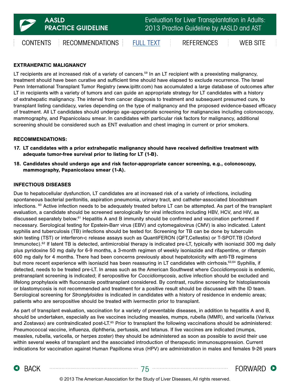<span id="page-74-0"></span>[CONTENTS](#page-1-0) [RECOMMENDATIONS](#page-2-0) [FULL TEXT](#page-62-0) [REFERENCES](#page-88-0) [WEB SITE](http://aasld.org/practiceguidelines/Pages/guidelinelisting.aspx)

## EXTRAHEPATIC MALIGNANCY

LT recipients are at increased risk of a variety of cancers.<sup>59</sup> In an LT recipient with a preexisting malignancy, treatment should have been curative and sufficient time should have elapsed to exclude recurrence. The Israel Penn International Transplant Tumor Registry (www.ipittr.com) has accumulated a large database of outcomes after LT in recipients with a variety of tumors and can guide an appropriate strategy for LT candidates with a history of extrahepatic malignancy. The interval from cancer diagnosis to treatment and subsequent presumed cure, to transplant listing candidacy, varies depending on the type of malignancy and the proposed evidence-based efficacy of treatment. All LT candidates should undergo age-appropriate screening for malignancies including colonoscopy, mammography, and Papanicolaou smear. In candidates with particular risk factors for malignancy, additional screening should be considered such as ENT evaluation and chest imaging in current or prior smokers.

## RECOMMENDATIONS:

- 17. LT candidates with a prior extrahepatic malignancy should have received definitive treatment with adequate tumor-free survival prior to listing for LT (1-B).
- 18. Candidates should undergo age and risk factor-appropriate cancer screening, e.g., colonoscopy, mammography, Papanicolaou smear (1-A).

## INFECTIOUS DISEASES

Due to hepatocellular dysfunction, LT candidates are at increased risk of a variety of infections, including spontaneous bacterial peritonitis, aspiration pneumonia, urinary tract, and catheter-associated bloodstream infections. 60 Active infection needs to be adequately treated before LT can be attempted. As part of the transplant evaluation, a candidate should be screened serologically for viral infections including HBV, HCV, and HIV, as discussed separately below.<sup>61</sup> Hepatitis A and B immunity should be confirmed and vaccination performed if necessary. Serological testing for Epstein-Barr virus (EBV) and cytomegalovirus (CMV) is also indicated. Latent syphilis and tuberculosis (TB) infections should be tested for. Screening for TB can be done by tuberculin skin testing (TST) or interferon-c release assays such as QuantiFERON (QFT,Cellestis) or T-SPOT.TB (Oxford Immunotec).<sup>62</sup> If latent TB is detected, antimicrobial therapy is indicated pre-LT, typically with isoniazid 300 mg daily plus pyridoxine 50 mg daily for 6-9 months, a 3-month regimen of weekly isoniazide and rifapentine, or rifampin 600 mg daily for 4 months. There had been concerns previously about hepatotoxicity with anti-TB regimens but more recent experience with isoniazid has been reassuring in LT candidates with cirrhosis.63,64 Syphilis, if detected, needs to be treated pre-LT. In areas such as the American Southwest where *Coccidiomycosis* is endemic, pretransplant screening is indicated; if seropositive for *Coccidiomycosis*, active infection should be excluded and lifelong prophylaxis with fluconazole posttransplant considered. By contrast, routine screening for histoplasmosis or blastomycosis is not recommended and treatment for a positive result should be discussed with the ID team. Serological screening for *Stronglyloides* is indicated in candidates with a history of residence in endemic areas; patients who are seropositive should be treated with ivermectin prior to transplant.

As part of transplant evaluation, vaccination for a variety of preventable diseases, in addition to hepatitis A and B, should be undertaken, especially as live vaccines including measles, mumps, rubella (MMR), and varicella (Varivax and Zostavax) are contraindicated post-LT.<sup>65</sup> Prior to transplant the following vaccinations should be administered: Pneumococcal vaccine, influenza, diphtheria, pertussis, and tetanus. If live vaccines are indicated (mumps, measles, rubella, varicella, or herpes zoster) they should be administered as soon as possible to avoid their use within several weeks of transplant and the associated introduction of therapeutic immunosuppression. Current indications for vaccination against Human Papilloma virus (HPV) are administration in males and females 9-26 years



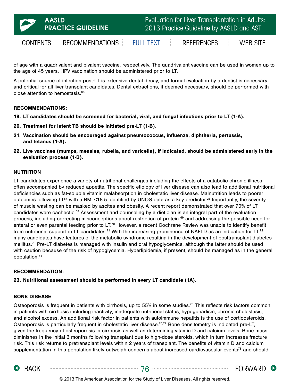<span id="page-75-0"></span>[CONTENTS](#page-1-0) [RECOMMENDATIONS](#page-2-0) [FULL TEXT](#page-62-0) [REFERENCES](#page-88-0) [WEB SITE](http://aasld.org/practiceguidelines/Pages/guidelinelisting.aspx)

of age with a quadrivalent and bivalent vaccine, respectively. The quadrivalent vaccine can be used in women up to the age of 45 years. HPV vaccination should be administered prior to LT.

A potential source of infection post-LT is extensive dental decay, and formal evaluation by a dentist is necessary and critical for all liver transplant candidates. Dental extractions, if deemed necessary, should be performed with close attention to hemostasis.<sup>66</sup>

## RECOMMENDATIONS:

- 19. LT candidates should be screened for bacterial, viral, and fungal infections prior to LT (1-A).
- 20. Treatment for latent TB should be initiated pre-LT (1-B).
- 21. Vaccination should be encouraged against pneumococcus, influenza, diphtheria, pertussis, and tetanus (1-A).
- 22. Live vaccines (mumps, measles, rubella, and varicella), if indicated, should be administered early in the evaluation process (1-B).

## NUTRITION

LT candidates experience a variety of nutritional challenges including the effects of a catabolic chronic illness often accompanied by reduced appetite. The specific etiology of liver disease can also lead to additional nutritional deficiencies such as fat-soluble vitamin malabsorption in cholestatic liver disease. Malnutrition leads to poorer outcomes following  $LT^{67}$  with a BMI <18.5 identified by UNOS data as a key predictor.<sup>23</sup> Importantly, the severity of muscle wasting can be masked by ascites and obesity. A recent report demonstrated that over 70% of LT candidates were cachectic.68 Assessment and counseling by a dietician is an integral part of the evaluation process, including correcting misconceptions about restriction of protein <sup>69</sup> and addressing the possible need for enteral or even parental feeding prior to LT.<sup>70</sup> However, a recent Cochrane Review was unable to identify benefit from nutritional support in LT candidates.<sup>71</sup> With the increasing prominence of NAFLD as an indication for LT,<sup>72</sup> many candidates have features of the metabolic syndrome resulting in the development of posttransplant diabetes mellitus.73 Pre-LT diabetes is managed with insulin and oral hypoglycemics, although the latter should be used with caution because of the risk of hypoglycemia. Hyperlipidemia, if present, should be managed as in the general population.74

## RECOMMENDATION:

## 23. Nutritional assessment should be performed in every LT candidate (1A).

## BONE DISEASE

Osteoporosis is frequent in patients with cirrhosis, up to 55% in some studies.<sup>75</sup> This reflects risk factors common in patients with cirrhosis including inactivity, inadequate nutritional status, hypogonadism, chronic cholestasis, and alcohol excess. An additional risk factor in patients with autoimmune hepatitis is the use of corticosteroids. Osteoporosis is particularly frequent in cholestatic liver disease.<sup>76,77</sup> Bone densitometry is indicated pre-LT, given the frequency of osteoporosis in cirrhosis as well as determining vitamin D and calcium levels. Bone mass diminishes in the initial 3 months following transplant due to high-dose steroids, which in turn increases fracture risk. This risk returns to pretransplant levels within 2 years of transplant. The benefits of vitamin D and calcium supplementation in this population likely outweigh concerns about increased cardiovascular events<sup>78</sup> and should

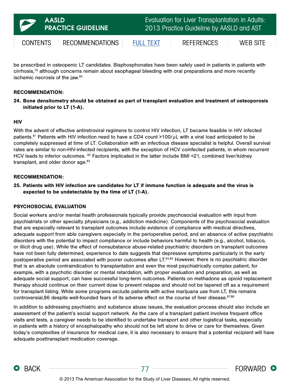<span id="page-76-0"></span>[CONTENTS](#page-1-0) [RECOMMENDATIONS](#page-2-0) [FULL TEXT](#page-62-0) [REFERENCES](#page-88-0) [WEB SITE](http://aasld.org/practiceguidelines/Pages/guidelinelisting.aspx)

be prescribed in osteopenic LT candidates. Bisphosphonates have been safely used in patients in patients with cirrhosis,79 although concerns remain about esophageal bleeding with oral preparations and more recently ischemic necrosis of the jaw.<sup>80</sup>

## RECOMMENDATION:

24. Bone densitometry should be obtained as part of transplant evaluation and treatment of osteoporosis initiated prior to LT (1-A).

## HIV

With the advent of effective antiretroviral regimens to control HIV infection, LT became feasible in HIV infected patients.<sup>81</sup> Patients with HIV infection need to have a CD4 count >100/µL with a viral load anticipated to be completely suppressed at time of LT. Collaboration with an infectious disease specialist is helpful. Overall survival rates are similar to non-HIV-infected recipients, with the exception of HCV coinfected patients, in whom recurrent HCV leads to inferior outcomes. 82 Factors implicated in the latter include BMI <21, combined liver/kidney transplant, and older donor age.<sup>83</sup>

## RECOMMENDATION:

25. Patients with HIV infection are candidates for LT if immune function is adequate and the virus is expected to be undetectable by the time of LT (1-A).

## PSYCHOSOCIAL EVALUATION

Social workers and/or mental health professionals typically provide psychosocial evaluation with input from psychiatrists or other specialty physicians (e.g., addiction medicine). Components of the psychosocial evaluation that are especially relevant to transplant outcomes include evidence of compliance with medical directives, adequate support from able caregivers especially in the perioperative period, and an absence of active psychiatric disorders with the potential to impact compliance or include behaviors harmful to health (e.g., alcohol, tobacco, or illicit drug use). While the effect of nonsubstance abuse-related psychiatric disorders on transplant outcomes have not been fully determined, experience to date suggests that depressive symptoms particularly in the early postoperative period are associated with poorer outcomes after LT.<sup>84,85</sup> However, there is no psychiatric disorder that is an absolute contraindication to transplantation and even the most psychiatrically complex patient, for example, with a psychotic disorder or mental retardation, with proper evaluation and preparation, as well as adequate social support, can have successful long-term outcomes. Patients on methadone as opioid replacement therapy should continue on their current dose to prevent relapse and should not be tapered off as a requirement for transplant listing. While some programs exclude patients with active marijuana use from LT, this remains controversial,86 despite well-founded fears of its adverse effect on the course of liver disease. $87,88$ 

In addition to addressing psychiatric and substance abuse issues, the evaluation process should also include an assessment of the patient's social support network. As the care of a transplant patient involves frequent office visits and tests, a caregiver needs to be identified to undertake transport and other logistical tasks, especially in patients with a history of encephalopathy who should not be left alone to drive or care for themselves. Given today's complexities of insurance for medical care, it is also necessary to ensure that a potential recipient will have adequate posttransplant medication coverage.

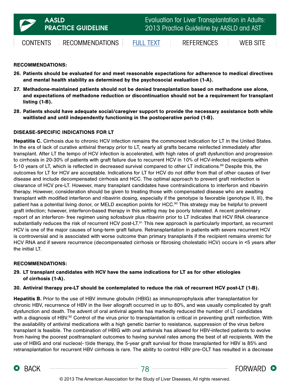## <span id="page-77-0"></span>[CONTENTS](#page-1-0) [RECOMMENDATIONS](#page-2-0) [FULL TEXT](#page-62-0) [REFERENCES](#page-88-0) [WEB SITE](http://aasld.org/practiceguidelines/Pages/guidelinelisting.aspx)

## RECOMMENDATIONS:

- 26. Patients should be evaluated for and meet reasonable expectations for adherence to medical directives and mental health stability as determined by the psychosocial evaluation (1-A).
- 27. Methadone-maintained patients should not be denied transplantation based on methadone use alone, and expectations of methadone reduction or discontinuation should not be a requirement for transplant listing (1-B).
- 28. Patients should have adequate social/caregiver support to provide the necessary assistance both while waitlisted and until independently functioning in the postoperative period (1-B).

## DISEASE-SPECIFIC INDICATIONS FOR LT

Hepatitis C. Cirrhosis due to chronic HCV infection remains the commonest indication for LT in the United States. In the era of lack of curative antiviral therapy prior to LT, nearly all grafts became reinfected immediately after transplant. After LT the tempo of HCV infection is accelerated, with high rates of graft dysfunction and progression to cirrhosis in 20-30% of patients with graft failure due to recurrent HCV in 10% of HCV-infected recipients within 5-10 years of LT, which is reflected in decreased survival compared to other LT indications.<sup>89</sup> Despite this, the outcomes for LT for HCV are acceptable. Indications for LT for HCV do not differ from that of other causes of liver disease and include decompensated cirrhosis and HCC. The optimal approach to prevent graft reinfection is clearance of HCV pre-LT. However, many transplant candidates have contraindications to interferon and ribavirin therapy. However, consideration should be given to treating those with compensated disease who are awaiting transplant with modified interferon and ribavirin dosing, especially if the genotype is favorable (genotype II, III), the patient has a potential living donor, or MELD exception points for HCC.<sup>90</sup> This strategy may be helpful to prevent graft infection; however, interferon-based therapy in this setting may be poorly tolerated. A recent preliminary report of an interferon- free regimen using sofosbuvir plus ribavirin prior to LT indicates that HCV RNA clearance substantially reduces the risk of recurrent HCV post-LT.<sup>91</sup> This new approach is particularly important, as recurrent HCV is one of the major causes of long-term graft failure. Retransplantation in patients with severe recurrent HCV is controversial and is associated with worse outcome than primary transplants if the recipient remains viremic for HCV RNA and if severe recurrence (decompensated cirrhosis or fibrosing cholestatic HCV) occurs in <5 years after the initial LT.

## RECOMMENDATIONS:

## 29. LT transplant candidates with HCV have the same indications for LT as for other etiologies of cirrhosis (1-A).

## 30. Antiviral therapy pre-LT should be contemplated to reduce the risk of recurrent HCV post-LT (1-B).

Hepatitis B. Prior to the use of HBV immune globulin (HBIG) as immunoprophylaxis after transplantation for chronic HBV, recurrence of HBV in the liver allograft occurred in up to 80%, and was usually complicated by graft dysfunction and death. The advent of oral antiviral agents has markedly reduced the number of LT candidates with a diagnosis of HBV.<sup>92</sup> Control of the virus prior to transplantation is critical in preventing graft reinfection. With the availability of antiviral medications with a high genetic barrier to resistance, suppression of the virus before transplant is feasible. The combination of HBIG with oral antivirals has allowed for HBV-infected patients to evolve from having the poorest posttransplant outcomes to having survival rates among the best of all recipients. With the use of HBIG and oral nucleos(- t)ide therapy, the 5-year graft survival for those transplanted for HBV is 85% and retransplantation for recurrent HBV cirrhosis is rare. The ability to control HBV pre-OLT has resulted in a decrease

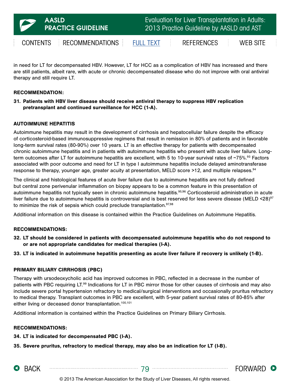<span id="page-78-0"></span>[CONTENTS](#page-1-0) [RECOMMENDATIONS](#page-2-0) [FULL TEXT](#page-62-0) [REFERENCES](#page-88-0) [WEB SITE](http://aasld.org/practiceguidelines/Pages/guidelinelisting.aspx)

in need for LT for decompensated HBV. However, LT for HCC as a complication of HBV has increased and there are still patients, albeit rare, with acute or chronic decompensated disease who do not improve with oral antiviral therapy and still require LT.

## RECOMMENDATION:

31. Patients with HBV liver disease should receive antiviral therapy to suppress HBV replication pretransplant and continued surveillance for HCC (1-A).

## AUTOIMMUNE HEPATITIS

Autoimmune hepatitis may result in the development of cirrhosis and hepatocellular failure despite the efficacy of corticosteroid-based immunosuppressive regimens that result in remission in 80% of patients and in favorable long-term survival rates (80-90%) over 10 years. LT is an effective therapy for patients with decompensated chronic autoimmune hepatitis and in patients with autoimmune hepatitis who present with acute liver failure. Longterm outcomes after LT for autoimmune hepatitis are excellent, with 5 to 10-year survival rates of ~75%.<sup>93</sup> Factors associated with poor outcome and need for LT in type I autoimmune hepatitis include delayed aminotransferase response to therapy, younger age, greater acuity at presentation, MELD score >12, and multiple relapses.<sup>94</sup>

The clinical and histological features of acute liver failure due to autoimmune hepatitis are not fully defined but central zone perivenular inflammation on biopsy appears to be a common feature in this presentation of autoimmune hepatitis not typically seen in chronic autoimmune hepatitis.<sup>95,96</sup> Corticosteroid administration in acute liver failure due to autoimmune hepatitis is controversial and is best reserved for less severe disease (MELD <28)<sup>97</sup> to minimize the risk of sepsis which could preclude transplantation.<sup>97,98</sup>

Additional information on this disease is contained within the Practice Guidelines on Autoimmune Hepatitis.

## RECOMMENDATIONS:

- 32. LT should be considered in patients with decompensated autoimmune hepatitis who do not respond to or are not appropriate candidates for medical therapies (I-A).
- 33. LT is indicated in autoimmune hepatitis presenting as acute liver failure if recovery is unlikely (1-B).

## PRIMARY BILIARY CIRRHOSIS (PBC)

Therapy with ursodeoxycholic acid has improved outcomes in PBC, reflected in a decrease in the number of patients with PBC requiring LT.99 Indications for LT in PBC mirror those for other causes of cirrhosis and may also include severe portal hypertension refractory to medical/surgical interventions and occasionally pruritus refractory to medical therapy. Transplant outcomes in PBC are excellent, with 5-year patient survival rates of 80-85% after either living or deceased donor transplantation.<sup>100,101</sup>

Additional information is contained within the Practice Guidelines on Primary Biliary Cirrhosis.

## RECOMMENDATIONS:

- 34. LT is indicated for decompensated PBC (I-A).
- 35. Severe pruritus, refractory to medical therapy, may also be an indication for LT (I-B).

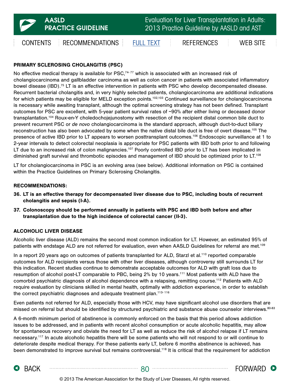<span id="page-79-0"></span>

## [CONTENTS](#page-1-0) [RECOMMENDATIONS](#page-2-0) [FULL TEXT](#page-62-0) [REFERENCES](#page-88-0) [WEB SITE](http://aasld.org/practiceguidelines/Pages/guidelinelisting.aspx)

## PRIMARY SCLEROSING CHOLANGITIS (PSC)

No effective medical therapy is available for PSC,<sup>74-77</sup> which is associated with an increased risk of cholangiocarcinoma and gallbladder carcinoma as well as colon cancer in patients with associated inflammatory bowel disease (IBD).<sup>75</sup> LT is an effective intervention in patients with PSC who develop decompensated disease. Recurrent bacterial cholangitis and, in very highly selected patients, cholangiocarcinoma are additional indications for which patients may be eligible for MELD exception points.<sup>102,103</sup> Continued surveillance for cholangiocarcinoma is necessary while awaiting transplant, although the optimal screening strategy has not been defined. Transplant outcomes for PSC are excellent, with 5-year patient survival rates of ∼90% after either living or deceased donor transplantation.104 Roux-en-Y choledochojejunostomy with resection of the recipient distal common bile duct to prevent recurrent PSC or *de novo* cholangiocarcinoma is the standard approach, although duct-to-duct biliary reconstruction has also been advocated by some when the native distal bile duct is free of overt disease.105 The presence of active IBD prior to LT appears to worsen posttransplant outcomes.<sup>106</sup> Endoscopic surveillance at 1 to 2-year intervals to detect colorectal neoplasia is appropriate for PSC patients with IBD both prior to and following LT due to an increased risk of colon malignancies.<sup>107</sup> Poorly controlled IBD prior to LT has been implicated in diminished graft survival and thrombotic episodes and management of IBD should be optimized prior to LT.<sup>108</sup>

LT for cholangiocarcinoma in PSC is an evolving area (see below). Additional information on PSC is contained within the Practice Guidelines on Primary Sclerosing Cholangitis.

## RECOMMENDATIONS:

- 36. LT is an effective therapy for decompensated liver disease due to PSC, including bouts of recurrent cholangitis and sepsis (I-A).
- 37. Colonoscopy should be performed annually in patients with PSC and IBD both before and after transplantation due to the high incidence of colorectal cancer (II-3).

## ALCOHOLIC LIVER DISEASE

Alcoholic liver disease (ALD) remains the second most common indication for LT. However, an estimated 95% of patients with endstage ALD are not referred for evaluation, even when AASLD Guidelines for referral are met.<sup>109</sup>

In a report 20 years ago on outcomes of patients transplanted for ALD, Starzl et al.<sup>110</sup> reported comparable outcomes for ALD recipients versus those with other liver diseases, although controversy still surrounds LT for this indication. Recent studies continue to demonstrate acceptable outcomes for ALD with graft loss due to resumption of alcohol post-LT comparable to PBC, being 2% by 10 years.<sup>111</sup> Most patients with ALD have the comorbid psychiatric diagnosis of alcohol dependence with a relapsing, remitting course.112 Patients with ALD require evaluation by clinicians skilled in mental health, optimally with addiction experience, in order to establish the correct psychiatric diagnoses and adequate treatment plan.<sup>113-116</sup>

Even patients not referred for ALD, especially those with HCV, may have significant alcohol use disorders that are missed on referral but should be identified by structured psychiatric and substance abuse counselor interviews.80-83

A 6-month minimum period of abstinence is commonly enforced on the basis that this period allows addiction issues to be addressed, and in patients with recent alcohol consumption or acute alcoholic hepatitis, may allow for spontaneous recovery and obviate the need for LT as well as reduce the risk of alcohol relapse if LT remains necessary.117 In acute alcoholic hepatitis there will be some patients who will not respond to or will continue to deteriorate despite medical therapy. For these patients early LT, before 6 months abstinence is achieved, has been demonstrated to improve survival but remains controversial.<sup>118</sup> It is critical that the requirement for addiction

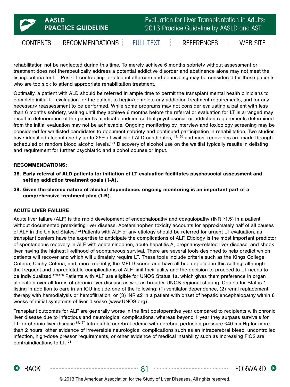Evaluation for Liver Transplantation in Adults: 2013 Practice Guideline by AASLD and AST

## <span id="page-80-0"></span>[CONTENTS](#page-1-0) [RECOMMENDATIONS](#page-2-0) [FULL TEXT](#page-62-0) [REFERENCES](#page-88-0) [WEB SITE](http://aasld.org/practiceguidelines/Pages/guidelinelisting.aspx)

rehabilitation not be neglected during this time. To merely achieve 6 months sobriety without assessment or treatment does not therapeutically address a potential addictive disorder and abstinence alone may not meet the listing criteria for LT. Post-LT contracting for alcohol aftercare and counseling may be considered for those patients who are too sick to attend appropriate rehabilitation treatment.

Optimally, a patient with ALD should be referred in ample time to permit the transplant mental health clinicians to complete initial LT evaluation for the patient to begin/complete any addiction treatment requirements, and for any necessary reassessment to be performed. While some programs may not consider evaluating a patient with less than 6 months sobriety, waiting until they achieve 6 months before the referral or evaluation for LT is arranged may result in deterioration of the patient's medical condition so that psychosocial or addiction requirements determined from the initial evaluation may not be achievable. Ongoing monitoring by interview and toxicology screening may be considered for waitlisted candidates to document sobriety and continued participation in rehabilitation. Two studies have identified alcohol use by up to 25% of waitlisted ALD candidates,<sup>119,120</sup> and most recoveries are made through scheduled or random blood alcohol levels.<sup>121</sup> Discovery of alcohol use on the waitlist typically results in delisting and requirement for further psychiatric and alcohol counselor input.

## RECOMMENDATIONS:

- 38. Early referral of ALD patients for initiation of LT evaluation facilitates psychosocial assessment and setting addiction treatment goals (1-A).
- 39. Given the chronic nature of alcohol dependence, ongoing monitoring is an important part of a comprehensive treatment plan (1-B).

## ACUTE LIVER FAILURE

Acute liver failure (ALF) is the rapid development of encephalopathy and coagulopathy (INR ≥1.5) in a patient without documented preexisting liver disease. Acetaminophen toxicity accounts for approximately half of all causes of ALF in the United States.<sup>122</sup> Patients with ALF of any etiology should be referred for urgent LT evaluation, as transplant centers have the expertise to anticipate the complications of ALF. Etiology is the most important predictor of spontaneous recovery in ALF with acetaminophen, acute hepatitis A, pregnancy-related liver disease, and shock liver having the highest likelihood of spontaneous survival. There are several tools designed to help predict which patients will recover and which will ultimately require LT. These tools include criteria such as the Kings College Criteria, Clichy Criteria, and, more recently, the MELD score, and have all been applied in this setting, although the frequent and unpredictable complications of ALF limit their utility and the decision to proceed to LT needs to be individualized.<sup>123-126</sup> Patients with ALF are eligible for UNOS Status 1a, which gives them preference in organ allocation over all forms of chronic liver disease as well as broader UNOS regional sharing. Criteria for Status 1 listing in addition to care in an ICU include one of the following: (1) ventilator dependence, (2) renal replacement therapy with hemodialysis or hemofiltration, or (3) INR ≥2 in a patient with onset of hepatic encephalopathy within 8 weeks of initial symptoms of liver disease (www.UNOS.org).

Transplant outcomes for ALF are generally worse in the first postoperative year compared to recipients with chronic liver disease due to infectious and neurological complications, whereas beyond 1 year they surpass survivals for LT for chronic liver disease.<sup>87,127</sup> Intractable cerebral edema with cerebral perfusion pressure <40 mmHg for more than 2 hours, other evidence of irreversible neurological complications such as an intracerebral bleed, uncontrolled infection, high-dose pressor requirements, or other evidence of medical instability such as increasing FiO2 are contraindications to LT.128

© 2013 The American Association for the Study of Liver Diseases, All rights reserved. 81  $\bigcirc$  [BACK](#page-79-0)  $\bigcirc$  BACK  $\bigcirc$  BACK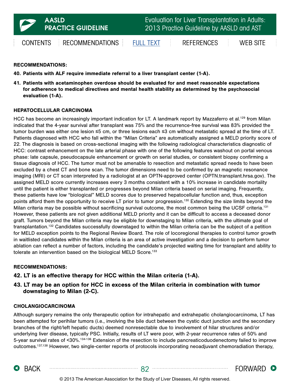<span id="page-81-0"></span>[CONTENTS](#page-1-0) [RECOMMENDATIONS](#page-2-0) [FULL TEXT](#page-62-0) [REFERENCES](#page-88-0) [WEB SITE](http://aasld.org/practiceguidelines/Pages/guidelinelisting.aspx)

## RECOMMENDATIONS:

- 40. Patients with ALF require immediate referral to a liver transplant center (1-A).
- 41. Patients with acetaminophen overdose should be evaluated for and meet reasonable expectations for adherence to medical directives and mental health stability as determined by the psychosocial evaluation (1-A).

## HEPATOCELLULAR CARCINOMA

HCC has become an increasingly important indication for LT. A landmark report by Mazzaferro et al.<sup>129</sup> from Milan indicated that the 4-year survival after transplant was 75% and the recurrence-free survival was 83% provided the tumor burden was either one lesion ≤5 cm, or three lesions each ≤3 cm without metastatic spread at the time of LT. Patients diagnosed with HCC who fall within the "Milan Criteria" are automatically assigned a MELD priority score of 22. The diagnosis is based on cross-sectional imaging with the following radiological characteristics diagnostic of HCC: contrast enhancement on the late arterial phase with one of the following features washout on portal venous phase: late capsule, pseudocapsule enhancement or growth on serial studies, or consistent biopsy confirming a tissue diagnosis of HCC. The tumor must not be amenable to resection and metastatic spread needs to have been excluded by a chest CT and bone scan. The tumor dimensions need to be confirmed by an magnetic resonance imaging (MRI) or CT scan interpreted by a radiologist at an OPTN-approved center (OPTN.transplant.hrsa.gov). The assigned MELD score currently increases every 3 months consistent with a 10% increase in candidate mortality until the patient is either transplanted or progresses beyond Milan criteria based on serial imaging. Frequently, these patients have low "biological" MELD scores due to preserved hepatocellular function and, thus, exception points afford them the opportunity to receive LT prior to tumor progression.<sup>130</sup> Extending the size limits beyond the Milan criteria may be possible without sacrificing survival outcome, the most common being the UCSF criteria.<sup>131</sup> However, these patients are not given additional MELD priority and it can be difficult to access a deceased donor graft. Tumors beyond the Milan criteria may be eligible for downstaging to Milan criteria, with the ultimate goal of transplantation.<sup>132</sup> Candidates successfully downstaged to within the Milan criteria can be the subject of a petition for MELD exception points to the Regional Review Board. The role of locoregional therapies to control tumor growth in waitlisted candidates within the Milan criteria is an area of active investigation and a decision to perform tumor ablation can reflect a number of factors, including the candidate's projected waiting time for transplant and ability to tolerate an intervention based on the biological MELD Score.<sup>133</sup>

## RECOMMENDATIONS:

## 42. LT is an effective therapy for HCC within the Milan criteria (1-A).

## 43. LT may be an option for HCC in excess of the Milan criteria in combination with tumor downstaging to Milan (2-C).

## CHOLANGIOCARCINOMA

Although surgery remains the only therapeutic option for intrahepatic and extrahepatic cholangiocarcinoma, LT has been attempted for perihilar tumors (i.e., involving the bile duct between the cystic duct junction and the secondary branches of the right/left hepatic ducts) deemed nonresectable due to involvement of hilar structures and/or underlying liver disease, typically PSC. Initially, results of LT were poor, with 2-year recurrence rates of 50% and 5-year survival rates of <30%.134-136 Extension of the resection to include pancreaticoduodenectomy failed to improve outcomes.137,138 However, two single-center reports of protocols incorporating neoadjuvant chemoradiation therapy,



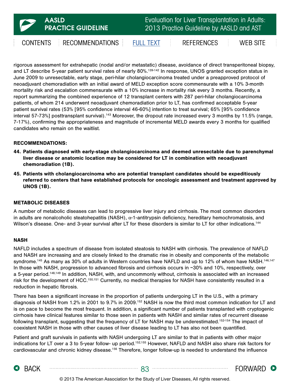Evaluation for Liver Transplantation in Adults: 2013 Practice Guideline by AASLD and AST

## <span id="page-82-0"></span>[CONTENTS](#page-1-0) [RECOMMENDATIONS](#page-2-0) [FULL TEXT](#page-62-0) [REFERENCES](#page-88-0) [WEB SITE](http://aasld.org/practiceguidelines/Pages/guidelinelisting.aspx)

rigorous assessment for extrahepatic (nodal and/or metastatic) disease, avoidance of direct transperitoneal biopsy, and LT describe 5-year patient survival rates of nearly 80%.<sup>139-142</sup> In response, UNOS granted exception status in June 2009 to unresectable, early stage, peri-hilar cholangiocarcinoma treated under a preapproved protocol of neoadjuvant chemoradiation with an initial award of MELD exception score commensurate with a 10% 3-month mortality risk and escalation commensurate with a 10% increase in mortality risk every 3 months. Recently, a report summarizing the combined experience of 12 transplant centers with 287 peri-hilar cholangiocarcinoma patients, of whom 214 underwent neoadjuvant chemoradiation prior to LT, has confirmed acceptable 5-year patient survival rates (53% [95% confidence interval 46-60%] intention to treat survival; 65% [95% confidence interval 57-73%] posttransplant survival).<sup>143</sup> Moreover, the dropout rate increased every 3 months by 11.5% (range, 7-17%), confirming the appropriateness and magnitude of incremental MELD awards every 3 months for qualified candidates who remain on the waitlist.

## RECOMMENDATIONS:

- 44. Patients diagnosed with early-stage cholangiocarcinoma and deemed unresectable due to parenchymal liver disease or anatomic location may be considered for LT in combination with neoadjuvant chemoradiation (1B).
- 45. Patients with cholangiocarcinoma who are potential transplant candidates should be expeditiously referred to centers that have established protocols for oncologic assessment and treatment approved by UNOS (1B).

## METABOLIC DISEASES

A number of metabolic diseases can lead to progressive liver injury and cirrhosis. The most common disorders in adults are nonalcoholic steatohepatitis (NASH),  $\alpha$ -1-antitrypsin deficiency, hereditary hemochromatosis, and Wilson's disease. One- and 3-year survival after LT for these disorders is similar to LT for other indications.<sup>144</sup>

## NASH

NAFLD includes a spectrum of disease from isolated steatosis to NASH with cirrhosis. The prevalence of NAFLD and NASH are increasing and are closely linked to the dramatic rise in obesity and components of the metabolic syndrome.<sup>145</sup> As many as 30% of adults in Western countries have NAFLD and up to 12% of whom have NASH.<sup>146,147</sup> In those with NASH, progression to advanced fibrosis and cirrhosis occurs in ∼30% and 10%, respectively, over a 5-year period.<sup>148,149</sup> In addition, NASH, with, and uncommonly without, cirrhosis is associated with an increased risk for the development of HCC.<sup>150,151</sup> Currently, no medical therapies for NASH have consistently resulted in a reduction in hepatic fibrosis.

There has been a significant increase in the proportion of patients undergoing LT in the U.S., with a primary diagnosis of NASH from 1.2% in 2001 to 9.7% in 2009.<sup>152</sup> NASH is now the third most common indication for LT and is on pace to become the most frequent. In addition, a significant number of patients transplanted with cryptogenic cirrhosis have clinical features similar to those seen in patients with NASH and similar rates of recurrent disease following transplant, suggesting that the frequency of LT for NASH may be underestimated.<sup>152-154</sup> The impact of coexistent NASH in those with other causes of liver disease leading to LT has also not been quantified.

Patient and graft survivals in patients with NASH undergoing LT are similar to that in patients with other major indications for LT over a 3 to 5-year follow- up period.<sup>152,155</sup> However, NAFLD and NASH also share risk factors for cardiovascular and chronic kidney disease.<sup>156</sup> Therefore, longer follow-up is needed to understand the influence



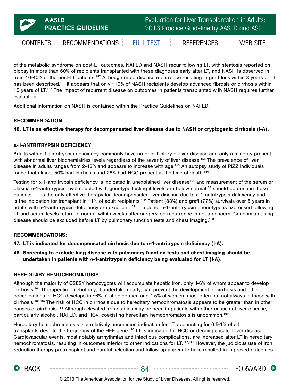Evaluation for Liver Transplantation in Adults: 2013 Practice Guideline by AASLD and AST

## <span id="page-83-0"></span>[CONTENTS](#page-1-0) [RECOMMENDATIONS](#page-2-0) [FULL TEXT](#page-62-0) [REFERENCES](#page-88-0) [WEB SITE](http://aasld.org/practiceguidelines/Pages/guidelinelisting.aspx)

of the metabolic syndrome on post-LT outcomes. NAFLD and NASH recur following LT, with steatosis reported on biopsy in more than 60% of recipients transplanted with these diagnoses early after LT, and NASH is observed in from 10-40% of the post-LT patients.<sup>157</sup> Although rapid disease recurrence resulting in graft loss within 3 years of LT has been described,<sup>152</sup> it appears that only ~10% of NASH recipients develop advanced fibrosis or cirrhosis within 10 years of LT.<sup>157</sup> The impact of recurrent disease on outcomes in patients transplanted with NASH requires further evaluation.

Additional information on NASH is contained within the Practice Guidelines on NAFLD.

## RECOMMENDATION:

46. LT is an effective therapy for decompensated liver disease due to NASH or cryptogenic cirrhosis (I-A).

## **α**-1-ANTRITRYPSIN DEFICIENCY

Adults with  $\alpha$ -1-antritrypsin deficiency commonly have no prior history of liver disease and only a minority present with abnormal liver biochemistries levels regardless of the severity of liver disease.<sup>158</sup> The prevalence of liver disease in adults ranges from 2-43% and appears to increase with age.<sup>159</sup> An autopsy study of PiZZ individuals found that almost 50% had cirrhosis and 28% had HCC present at the time of death.<sup>160</sup>

Testing for  $\alpha$ -1-antritrypsin deficiency is indicated in unexplained liver disease<sup>161</sup> and measurement of the serum or plasma  $\alpha$ -1-antritrypsin level coupled with genotype testing if levels are below normal<sup>158</sup> should be done in these patients. LT is the only effective therapy for decompensated liver disease due to  $\alpha$ -1-antritrypsin deficiency and is the indication for transplant in ~1% of adult recipients.<sup>162</sup> Patient (83%) and graft (77%) survivals over 5 years in adults with  $\alpha$ -1-antritrypsin deficiency are excellent.<sup>162</sup> The donor  $\alpha$ -1-antritrypsin phenotype is expressed following LT and serum levels return to normal within weeks after surgery, so recurrence is not a concern. Concomitant lung disease should be excluded before LT by pulmonary function tests and chest imaging.<sup>163</sup>

## RECOMMENDATIONS:

- 47. LT is indicated for decompensated cirrhosis due to **α**-1-antritrypsin deficiency (I-A).
- 48. Screening to exclude lung disease with pulmonary function tests and chest imaging should be undertaken in patients with **α**-1-antritrypsin deficiency being evaluated for LT (I-A).

## HEREDITARY HEMOCHROMATOSIS

Although the majority of C282Y homozygotes will accumulate hepatic iron, only 4-6% of whom appear to develop cirrhosis.164 Therapeutic phlebotomy, if undertaken early, can prevent the development of cirrhosis and other complications.165 HCC develops in ∼6% of affected men and 1.5% of women, most often but not always in those with cirrhosis.<sup>166,167</sup> The risk of HCC in cirrhosis due to hereditary hemochromatosis appears to be greater than in other causes of cirrhosis.168 Although elevated iron studies may be seen in patients with other causes of liver disease, particularly alcohol, NAFLD, and HCV, coexisting hereditary hemochromatosis is uncommon.169

Hereditary hemochromatosis is a relatively uncommon indication for LT, accounting for 0.5-1% of all transplants despite the frequency of the HFE gene.<sup>170</sup> LT is indicated for HCC or decompensated liver disease. Cardiovascular events, most notably arrhythmias and infectious complications, are increased after LT in hereditary hemochromatosis, resulting in outcomes inferior to other indications for LT.<sup>170,171</sup> However, the judicious use of iron reduction therapy pretransplant and careful selection and follow-up appear to have resulted in improved outcomes

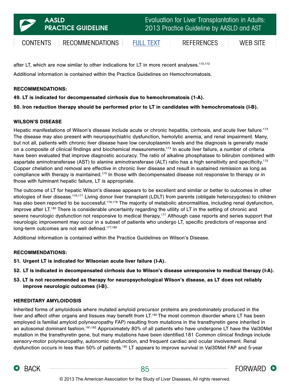<span id="page-84-0"></span>[CONTENTS](#page-1-0) [RECOMMENDATIONS](#page-2-0) [FULL TEXT](#page-62-0) [REFERENCES](#page-88-0) [WEB SITE](http://aasld.org/practiceguidelines/Pages/guidelinelisting.aspx)

after LT, which are now similar to other indications for LT in more recent analyses.<sup>170,172</sup> Additional information is contained within the Practice Guidelines on Hemochromatosis.

## RECOMMENDATIONS:

49. LT is indicated for decompensated cirrhosis due to hemochromatosis (1-A).

50. Iron reduction therapy should be performed prior to LT in candidates with hemochromatosis (I-B).

## WILSON'S DISEASE

Hepatic manifestations of Wilson's disease include acute or chronic hepatitis, cirrhosis, and acute liver failure.<sup>173</sup> The disease may also present with neuropsychiatric dysfunction, hemolytic anemia, and renal impairment. Many, but not all, patients with chronic liver disease have low ceruloplasmin levels and the diagnosis is generally made on a composite of clinical findings and biochemical measurements.<sup>174</sup> In acute liver failure, a number of criteria have been evaluated that improve diagnostic accuracy. The ratio of alkaline phosphatase to bilirubin combined with aspartate aminotransferase (AST) to alanine aminotransferase (ALT) ratio has a high sensitivity and specificity.<sup>175</sup> Copper chelation and removal are effective in chronic liver disease and result in sustained remission as long as compliance with therapy is maintained.173 In those with decompensated disease not responsive to therapy or in those with fulminant hepatic failure, LT is appropriate.

The outcome of LT for hepatic Wilson's disease appears to be excellent and similar or better to outcomes in other etiologies of liver disease.<sup>176,177</sup> Living donor liver transplant (LDLT) from parents (obligate heterozygotes) to children has also been reported to be successful.<sup>178,179</sup> The majority of metabolic abnormalities, including renal dysfunction, improve after LT.<sup>180</sup> There is considerable uncertainty regarding the utility of LT in the setting of chronic and severe neurologic dysfunction not responsive to medical therapy.<sup>177</sup> Although case reports and series support that neurologic improvement may occur in a subset of patients who undergo LT, specific predictors of response and long-term outcomes are not well defined.<sup>177,180</sup>

Additional information is contained within the Practice Guidelines on Wilson's Disease.

## RECOMMENDATIONS:

- 51. Urgent LT is indicated for Wilsonian acute liver failure (I-A).
- 52. LT is indicated in decompensated cirrhosis due to Wilson's disease unresponsive to medical therapy (I-A).
- 53. LT is not recommended as therapy for neuropsychological Wilson's disease, as LT does not reliably improve neurologic outcomes (I-B).

## HEREDITARY AMYLOIDOSIS

Inherited forms of amyloidosis where mutated amyloid precursor proteins are predominately produced in the liver and affect other organs and tissues may benefit from LT.<sup>180</sup> The most common disorder where LT has been employed is familial amyloid polyneuropathy FAP) resulting from mutations in the transthyretin gene inherited in an autosomal dominant fashion.181,182 Approximately 80% of all patients who have undergone LT have the Val30Met mutation in the transthyretin gene, but many mutations have been identified.181 Common clinical findings include sensory-motor polyneuropathy, autonomic dysfunction, and frequent cardiac and ocular involvement. Renal dysfunction occurs in less than 50% of patients.182 LT appears to improve survival in Val30Met FAP and 5-year

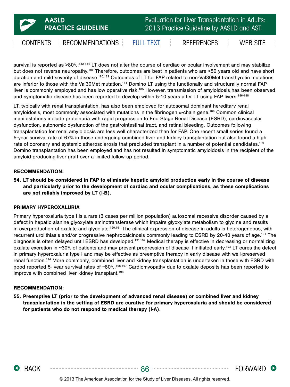Evaluation for Liver Transplantation in Adults: 2013 Practice Guideline by AASLD and AST

## <span id="page-85-0"></span>[CONTENTS](#page-1-0) [RECOMMENDATIONS](#page-2-0) [FULL TEXT](#page-62-0) [REFERENCES](#page-88-0) [WEB SITE](http://aasld.org/practiceguidelines/Pages/guidelinelisting.aspx)

survival is reported as >80%.<sup>182-184</sup> LT does not alter the course of cardiac or ocular involvement and may stabilize but does not reverse neuropathy.<sup>182</sup> Therefore, outcomes are best in patients who are <50 years old and have short duration and mild severity of disease.<sup>180,182</sup> Outcomes of LT for FAP related to non-Val30Met transthyretin mutations are inferior to those with the Val30Met mutation.<sup>181</sup> Domino LT using the functionally and structurally normal FAP liver is commonly employed and has low operative risk.<sup>185</sup> However, transmission of amyloidosis has been observed and symptomatic disease has been reported to develop within 5-10 years after LT using FAP livers.<sup>186-188</sup>

LT, typically with renal transplantation, has also been employed for autosomal dominant hereditary renal amyloidosis, most commonly associated with mutations in the fibrinogen  $\alpha$ -chain gene.<sup>189</sup> Common clinical manifestations include proteinuria with rapid progression to End Stage Renal Disease (ESRD), cardiovascular dysfunction, autonomic dysfunction of the gastrointestinal tract, and retinal bleeding. Outcomes following transplantation for renal amyloidosis are less well characterized than for FAP. One recent small series found a 5-year survival rate of 67% in those undergoing combined liver and kidney transplantation but also found a high rate of coronary and systemic atherosclerosis that precluded transplant in a number of potential candidates.<sup>189</sup> Domino transplantation has been employed and has not resulted in symptomatic amyloidosis in the recipient of the amyloid-producing liver graft over a limited follow-up period.

## RECOMMENDATION:

54. LT should be considered in FAP to eliminate hepatic amyloid production early in the course of disease and particularly prior to the development of cardiac and ocular complications, as these complications are not reliably improved by LT (I-B).

#### PRIMARY HYPEROXALURIA

Primary hyperoxaluria type I is a rare (3 cases per million population) autosomal recessive disorder caused by a defect in hepatic alanine glyoxylate aminotransferase which impairs glyoxylate metabolism to glycine and results in overproduction of oxalate and glycolate.<sup>190,191</sup> The clinical expression of disease in adults is heterogeneous, with recurrent urolithiasis and/or progressive nephrocalcinosis commonly leading to ESRD by 20-40 years of age.<sup>191</sup> The diagnosis is often delayed until ESRD has developed.191,192 Medical therapy is effective in decreasing or normalizing oxalate excretion in ∼30% of patients and may prevent progression of disease if initiated early.193 LT cures the defect in primary hyperoxaluria type I and may be effective as preemptive therapy in early disease with well-preserved renal function.194 More commonly, combined liver and kidney transplantation is undertaken in those with ESRD with good reported 5- year survival rates of ~80%.<sup>195-197</sup> Cardiomyopathy due to oxalate deposits has been reported to improve with combined liver kidney transplant.<sup>198</sup>

## RECOMMENDATION:

55. Preemptive LT (prior to the development of advanced renal disease) or combined liver and kidney transplantation in the setting of ESRD are curative for primary hyperoxaluria and should be considered for patients who do not respond to medical therapy (I-A).

86

[BACK](#page-84-0) [FORWARD](#page-86-0)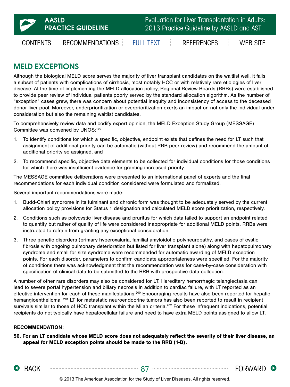<span id="page-86-0"></span>

[CONTENTS](#page-1-0) [RECOMMENDATIONS](#page-2-0) [FULL TEXT](#page-62-0) [REFERENCES](#page-88-0) [WEB SITE](http://aasld.org/practiceguidelines/Pages/guidelinelisting.aspx)

## MELD EXCEPTIONS

Although the biological MELD score serves the majority of liver transplant candidates on the waitlist well, it fails a subset of patients with complications of cirrhosis, most notably HCC or with relatively rare etiologies of liver disease. At the time of implementing the MELD allocation policy, Regional Review Boards (RRBs) were established to provide peer review of individual patients poorly served by the standard allocation algorithm. As the number of "exception" cases grew, there was concern about potential inequity and inconsistency of access to the deceased donor liver pool. Moreover, underprioritization or overprioritization exerts an impact on not only the individual under consideration but also the remaining waitlist candidates.

To comprehensively review data and codify expert opinion, the MELD Exception Study Group (MESSAGE) Committee was convened by UNOS:199

- 1. To identify conditions for which a specific, objective, endpoint exists that defines the need for LT such that assignment of additional priority can be automatic (without RRB peer review) and recommend the amount of additional priority so assigned, and
- 2. To recommend specific, objective data elements to be collected for individual conditions for those conditions for which there was insufficient evidence for granting increased priority.

The MESSAGE committee deliberations were presented to an international panel of experts and the final recommendations for each individual condition considered were formulated and formalized.

Several important recommendations were made:

- 1. Budd-Chiari syndrome in its fulminant and chronic form was thought to be adequately served by the current allocation policy provisions for Status 1 designation and calculated MELD score prioritization, respectively.
- 2. Conditions such as polycystic liver disease and pruritus for which data failed to support an endpoint related to quantity but rather of quality of life were considered inappropriate for additional MELD points. RRBs were instructed to refrain from granting any exceptional consideration.
- 3. Three genetic disorders (primary hyperoxaluria, familial amyloidotic polyneuropathy, and cases of cystic fibrosis with ongoing pulmonary deterioration but listed for liver transplant alone) along with hepatopulmonary syndrome and small for size syndrome were recommended for automatic awarding of MELD exception points. For each disorder, parameters to confirm candidate appropriateness were specified. For the majority of conditions there was acknowledgment that the recommendation was for case-by-case consideration with specification of clinical data to be submitted to the RRB with prospective data collection.

A number of other rare disorders may also be considered for LT. Hereditary hemorrhagic telangiectasia can lead to severe portal hypertension and biliary necrosis in addition to cardiac failure, with LT reported as an effective intervention for each of these manifestations.<sup>200</sup> Encouraging results have also been reported for hepatic hemangioenthelioma. <sup>201</sup> LT for metastatic neuroendocrine tumors has also been reported to result in recipient survivals similar to those of HCC transplant within the Milan criteria.<sup>202</sup> For these infrequent indications, potential recipients do not typically have hepatocellular failure and need to have extra MELD points assigned to allow LT.

## RECOMMENDATION:

56. For an LT candidate whose MELD score does not adequately reflect the severity of their liver disease, an appeal for MELD exception points should be made to the RRB (1-B).

© 2013 The American Association for the Study of Liver Diseases, All rights reserved. 87 [BACK](#page-85-0) [FORWARD](#page-87-0)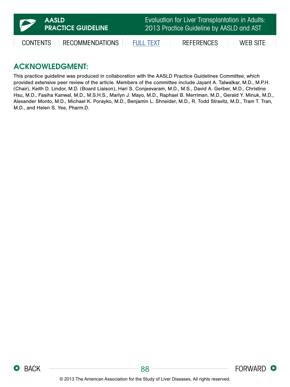<span id="page-87-0"></span>

[CONTENTS](#page-1-0) [RECOMMENDATIONS](#page-2-0) [FULL TEXT](#page-62-0) [REFERENCES](#page-88-0) [WEB SITE](http://aasld.org/practiceguidelines/Pages/guidelinelisting.aspx)

## ACKNOWLEDGMENT:

This practice guideline was produced in collaboration with the AASLD Practice Guidelines Committee, which provided extensive peer review of the article. Members of the committee include Jayant A. Talwalkar, M.D., M.P.H. (Chair), Keith D. Lindor, M.D. (Board Liaison), Hari S. Conjeevaram, M.D., M.S., David A. Gerber, M.D., Christine Hsu, M.D., Fasiha Kanwal, M.D., M.S.H.S., Marlyn J. Mayo, M.D., Raphael B. Merriman, M.D., Gerald Y. Minuk, M.D., Alexander Monto, M.D., Michael K. Porayko, M.D., Benjamin L. Shneider, M.D., R. Todd Stravitz, M.D., Tram T. Tran, M.D., and Helen S. Yee, Pharm.D.

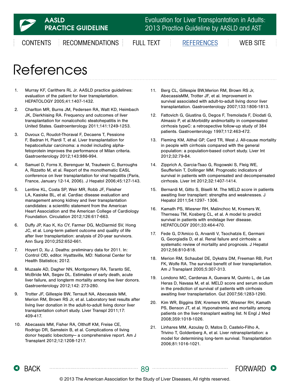Evaluation for Liver Transplantation in Adults: 2013 Practice Guideline by AASLD and AST

<span id="page-88-0"></span>

[CONTENTS](#page-1-0) [RECOMMENDATIONS](#page-2-0) [FULL TEXT](#page-62-0) REFERENCES [WEB SITE](http://aasld.org/practiceguidelines/Pages/guidelinelisting.aspx)

## References

- 1. Murray KF, Carithers RL Jr. AASLD practice guidelines: evaluation of the patient for liver transplantation. HEPATOLOGY 2005;41:1407-1432.
- 2. Charlton MR, Burns JM, Pedersen RA, Watt KD, Heimbach JK, Dierkhising RA. Frequency and outcomes of liver transplantation for nonalcoholic steatohepatitis in the United States. Gastroenterology 2011;141:1249-1253.
- 3. Duvoux C, Roudot-Thoraval F, Decaens T, Pessione F, Badran H, Piardi T, et al. Liver transplantation for hepatocellular carcinoma: a model including alphafetoprotein improves the performance of Milan criteria. Gastroenterology 2012;143:986-994.
- 4. Samuel D, Forns X, Berenguer M, Trautwein C, Burroughs A, Rizzetto M, et al. Report of the monothematic EASL conference on liver transplantation for viral hepatitis (Paris, France, January 12-14, 2006). J Hepatol 2006;45:127-143.
- 5. Lentine KL, Costa SP, Weir MR, Robb JF, Fleisher LA, Kasiske BL, et al. Cardiac disease evaluation and management among kidney and liver transplantation candidates: a scientific statement from the American Heart Association and the American College of Cardiology Foundation. Circulation 2012;126:617-663.
- 6. Duffy JP, Kao K, Ko CY, Farmer DG, McDiarmid SV, Hong JC, et al. Long-term patient outcome and quality of life after liver transplantation: analysis of 20-year survivors. Ann Surg 2010;252:652-661.
- 7. Hoyert D, Xu J. Deaths: preliminary data for 2011. In: Control CfD, editor. Hyattsville, MD: National Center for Health Statistics; 2012.
- 8. Muzaale AD, Dagher NN, Montgomery RA, Taranto SE, McBride MA, Segev DL. Estimates of early death, acute liver failure, and longterm mortality among live liver donors. Gastroenterology 2012;142: 273-280.
- 9. Trotter JF, Gillespie BW, Terrault NA, Abecassis MM, Merion RM, Brown RS Jr, et al. Laboratory test results after living liver donation in the adult-to-adult living donor liver transplantation cohort study. Liver Transpl 2011;17: 409-417.
- 10. Abecassis MM, Fisher RA, Olthoff KM, Freise CE, Rodrigo DR, Samstein B, et al. Complications of living donor hepatic lobectomy— a comprehensive report. Am J Transplant 2012;12:1208-1217.
- 11. Berg CL, Gillespie BW,Merion RM, Brown RS Jr, AbecassisMM, Trotter JF, et al. Improvement in survival associated with adult-to-adult living donor liver transplantation. Gastroenterology 2007;133:1806-1813.
- 12. Fattovich G, Giustina G, Degos F, Tremolada F, Diodati G, Almasio P, et al.Morbidity andmortality in compensated cirrhosis typeC: a retrospective follow-up study of 384 patients. Gastroenterology 1997;112:463-472.
- 13. Fleming KM, Aithal GP, Card TR, West J. All-cause mortality in people with cirrhosis compared with the general population: a population-based cohort study. Liver Int 2012;32:79-84.
- 14. Zipprich A, Garcia-Tsao G, Rogowski S, Fleig WE, Seufferlein T, Dollinger MM. Prognostic indicators of survival in patients with compensated and decompensated cirrhosis. Liver Int 2012;32:1407-1414.
- 15. Bernardi M, Gitto S, Biselli M. The MELD score in patients awaiting liver transplant: strengths and weaknesses. J Hepatol 2011;54:1297- 1306.
- 16. Kamath PS, Wiesner RH, Malinchoc M, Kremers W, Therneau TM, Kosberg CL, et al. A model to predict survival in patients with endstage liver disease. HEPATOLOGY 2001;33:464-470.
- 17. Fede G, D'Amico G, Arvaniti V, Tsochatzis E, Germani G, Georgiadis D, et al. Renal failure and cirrhosis: a systematic review of mortality and prognosis. J Hepatol 2012;56:810-818.
- 18. Merion RM, Schaubel DE, Dykstra DM, Freeman RB, Port FK, Wolfe RA. The survival benefit of liver transplantation. Am J Transplant 2005;5:307-313.
- 19. Londono MC, Cardenas A, Guevara M, Quinto L, de Las Heras D, Navasa M, et al. MELD score and serum sodium in the prediction of survival of patients with cirrhosis awaiting liver transplantation. Gut 2007;56:1283-1290.
- 20. Kim WR, Biggins SW, Kremers WK, Wiesner RH, Kamath PS, Benson JT, et al. Hyponatremia and mortality among patients on the liver-transplant waiting list. N Engl J Med 2008;359:1018-1026.
- 21. Linhares MM, Azoulay D, Matos D, Castelo-Filho A, Trivino T, Goldenberg A, et al. Liver retransplantation: a model for determining long-term survival. Transplantation 2006;81:1016-1021.

O [BACK](#page-87-0) **EXECUTE:** 89 BACK **[FORWARD](#page-89-0)** O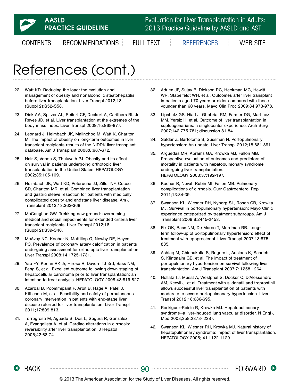Evaluation for Liver Transplantation in Adults: 2013 Practice Guideline by AASLD and AST

<span id="page-89-0"></span>

[CONTENTS](#page-1-0) [RECOMMENDATIONS](#page-2-0) [FULL TEXT](#page-62-0) [REFERENCES](#page-88-0) [WEB SITE](http://aasld.org/practiceguidelines/Pages/guidelinelisting.aspx)

# References (cont.)

- 22. Watt KD. Reducing the load: the evolution and management of obesity and nonalcoholic steatohepatitis before liver transplantation. Liver Transpl 2012;18 (Suppl 2):S52-S58.
- 23. Dick AA, Spitzer AL, Seifert CF, Deckert A, Carithers RL Jr, Reyes JD, et al. Liver transplantation at the extremes of the body mass index. Liver Transpl 2009;15:968-977.
- 24. Leonard J, Heimbach JK, Malinchoc M, Watt K, Charlton M. The impact of obesity on long-term outcomes in liver transplant recipients-results of the NIDDK liver transplant database. Am J Transplant 2008;8:667-672.
- 25. Nair S, Verma S, Thuluvath PJ. Obesity and its effect on survival in patients undergoing orthotopic liver transplantation in the United States. HEPATOLOGY 2002;35:105-109.
- 26. Heimbach JK, Watt KD, Poterucha JJ, Ziller NF, Cecco SD, Charlton MR, et al. Combined liver transplantation and gastric sleeve resection for patients with medically complicated obesity and endstage liver disease. Am J Transplant 2013;13:363-368.
- 27. McCaughan GW. Trekking new ground: overcoming medical and social impediments for extended criteria liver transplant recipients. Liver Transpl 2012;18 (Suppl 2):S39-S46.
- 28. McAvoy NC, Kochar N, McKillop G, Newby DE, Hayes PC. Prevalence of coronary artery calcification in patients undergoing assessment for orthotopic liver transplantation. Liver Transpl 2008;14:1725-1731.
- 29. Yao FY, Kerlan RK Jr, Hirose R, Davern TJ 3rd, Bass NM, Feng S, et al. Excellent outcome following down-staging of hepatocellular carcinoma prior to liver transplantation: an intention-to-treat analysis. HEPATOLOGY 2008;48:819-827.
- 30. Azarbal B, Poommipanit P, Arbit B, Hage A, Patel J, Kittleson M, et al. Feasibility and safety of percutaneous coronary intervention in patients with end-stage liver disease referred for liver transplantation. Liver Transpl 2011;17:809-813.
- 31. Torregrosa M, Aguade S, Dos L, Segura R, Gonzalez A, Evangelista A, et al. Cardiac alterations in cirrhosis: reversibility after liver transplantation. J Hepatol 2005;42:68-74.
- 32. Aduen JF, Sujay B, Dickson RC, Heckman MG, Hewitt WR, Stapelfeldt WH, et al. Outcomes after liver transplant in patients aged 70 years or older compared with those younger than 60 years. Mayo Clin Proc 2009;84:973-978.
- 33. Lipshutz GS, Hiatt J, Ghobrial RM, Farmer DG, Martinez MM, Yersiz H, et al. Outcome of liver transplantation in septuagenarians: a singlecenter experience. Arch Surg 2007;142:775-781; discussion 81-84.
- 34. Safdar Z, Bartolome S, Sussman N. Portopulmonary hypertension: An update. Liver Transpl 2012;18:881-891.
- 35. Arguedas MR, Abrams GA, Krowka MJ, Fallon MB. Prospective evaluation of outcomes and predictors of mortality in patients with hepatopulmonary syndrome undergoing liver transplantation. HEPATOLOGY 2003;37:192-197.
- 36 Kochar R, Nevah Rubin MI, Fallon MB. Pulmonary complications of cirrhosis. Curr Gastroenterol Rep 2011;13:34-39.
- 37. Swanson KL, Wiesner RH, Nyberg SL, Rosen CB, Krowka MJ. Survival in portopulmonary hypertension: Mayo Clinic experience categorized by treatment subgroups. Am J Transplant 2008;8:2445-2453.
- 38. Fix OK, Bass NM, De Marco T, Merriman RB. Longterm follow-up of portopulmonary hypertension: effect of treatment with epoprostenol. Liver Transpl 2007;13:875- 885.
- 39. Ashfaq M, Chinnakotla S, Rogers L, Ausloos K, Saadeh S, Klintmalm GB, et al. The impact of treatment of portopulmonary hypertension on survival following liver transplantation. Am J Transplant 2007;7: 1258-1264.
- 40. Hollatz TJ, Musat A, Westphal S, Decker C, D'Alessandro AM, Keevil J, et al. Treatment with sildenafil and treprostinil allows successful liver transplantation of patients with moderate to severe portopulmonary hypertension. Liver Transpl 2012;18:686-695.
- 41. Rodriguez-Roisin R, Krowka MJ. Hepatopulmonary syndrome—a liver-induced lung vascular disorder. N Engl J Med 2008;358:2378- 2387.
- 42. Swanson KL, Wiesner RH, Krowka MJ. Natural history of hepatopulmonary syndrome: impact of liver transplantation. HEPATOLOGY 2005; 41:1122-1129.

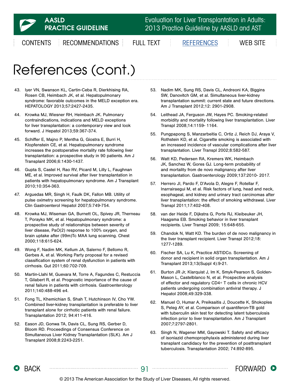Evaluation for Liver Transplantation in Adults: 2013 Practice Guideline by AASLD and AST

<span id="page-90-0"></span>

[CONTENTS](#page-1-0) [RECOMMENDATIONS](#page-2-0) [FULL TEXT](#page-62-0) [REFERENCES](#page-88-0) [WEB SITE](http://aasld.org/practiceguidelines/Pages/guidelinelisting.aspx)

# References (cont.)

- 43. Iyer VN, Swanson KL, Cartin-Ceba R, Dierkhising RA, Rosen CB, Heimbach JK, et al. Hepatopulmonary syndrome: favorable outcomes in the MELD exception era. HEPATOLOGY 2013;57:2427-2435.
- 44. Krowka MJ, Wiesner RH, Heimbach JK. Pulmonary contraindications, indications and MELD exceptions for liver transplantation: a contemporary view and look forward. J Hepatol 2013;59:367-374.
- 45. Schiffer E, Majno P, Mentha G, Giostra E, Burri H, Klopfenstein CE, et al. Hepatopulmonary syndrome increases the postoperative mortality rate following liver transplantation: a prospective study in 90 patients. Am J Transplant 2006;6:1430-1437.
- 46. Gupta S, Castel H, Rao RV, Picard M, Lilly L, Faughnan ME, et al. Improved survival after liver transplantation in patients with hepatopulmonary syndrome. Am J Transplant 2010;10:354-363.
- 47. Arguedas MR, Singh H, Faulk DK, Fallon MB. Utility of pulse oximetry screening for hepatopulmonary syndrome. Clin Gastroenterol Hepatol 2007;5:749-754.
- 48. Krowka MJ, Wiseman GA, Burnett OL, Spivey JR, Therneau T, Porayko MK, et al. Hepatopulmonary syndrome: a prospective study of relationships between severity of liver disease, PaO(2) response to 100% oxygen, and brain uptake after (99m)Tc MAA lung scanning. Chest 2000;118:615-624.
- 49. Wong F, Nadim MK, Kellum JA, Salerno F, Bellomo R, Gerbes A, et al. Working Party proposal for a revised classification system of renal dysfunction in patients with cirrhosis. Gut 2011;60:702-709.
- 50. Martin-Llahi M, Guevara M, Torre A, Fagundes C, Restuccia T, Gilabert R, et al. Prognostic importance of the cause of renal failure in patients with cirrhosis. Gastroenterology 2011;140:488-496 e4.
- 51. Fong TL, Khemichian S, Shah T, Hutchinson IV, Cho YW. Combined liver-kidney transplantation is preferable to liver transplant alone for cirrhotic patients with renal failure. Transplantation 2012; 94:411-416.
- 52. Eason JD, Gonwa TA, Davis CL, Sung RS, Gerber D, Bloom RD. Proceedings of Consensus Conference on Simultaneous Liver Kidney Transplantation (SLK). Am J Transplant 2008;8:2243-2251.
- 53. Nadim MK, Sung RS, Davis CL, Andreoni KA, Biggins SW, Danovitch GM, et al. Simultaneous liver-kidney transplantation summit: current state and future directions. Am J Transplant 2012;12: 2901-2908.
- 54. Leithead JA, Ferguson JW, Hayes PC. Smoking-related morbidity and mortality following liver transplantation. Liver Transpl 2008;14:1159- 1164.
- 55. Pungpapong S, Manzarbeitia C, Ortiz J, Reich DJ, Araya V, Rothstein KD, et al. Cigarette smoking is associated with an increased incidence of vascular complications after liver transplantation. Liver Transpl 2002;8:582-587.
- 56. Watt KD, Pedersen RA, Kremers WK, Heimbach JK, Sanchez W, Gores GJ. Long-term probability of and mortality from de novo malignancy after liver transplantation. Gastroenterology 2009;137:2010- 2017.
- 57. Herrero JI, Pardo F, D'Avola D, Alegre F, Rotellar F, Inarrairaegui M, et al. Risk factors of lung, head and neck, esophageal, and kidney and urinary tract carcinomas after liver transplantation: the effect of smoking withdrawal. Liver Transpl 2011;17:402-408.
- 58. van der Heide F, Dijkstra G, Porte RJ, Kleibeuker JH, Haagsma EB. Smoking behavior in liver transplant recipients. Liver Transpl 2009; 15:648-655.
- 59. Chandok N, Watt KD. The burden of de novo malignancy in the liver transplant recipient. Liver Transpl 2012;18: 1277-1289.
- 60. Fischer SA, Lu K, Practice ASTIDCo. Screening of donor and recipient in solid organ transplantation. Am J Transplant 2013;13(Suppl 4):9-21.
- 61. Burton JR Jr, Klarquist J, Im K, Smyk-Pearson S, Golden-Mason L, Castelblanco N, et al. Prospective analysis of effector and regulatory CD4+ T cells in chronic HCV patients undergoing combination antiviral therapy. J Hepatol 2008;49:329-338.
- 62. Manuel O, Humar A, Preiksaitis J, Doucette K, Shokoples S, Peleg AY, et al. Comparison of quantiferon-TB gold with tuberculin skin test for detecting latent tuberculosis infection prior to liver transplantation. Am J Transplant 2007;7:2797-2801.
- 63. Singh N, Wagener MM, Gayowski T. Safety and efficacy of isoniazid chemoprophylaxis administered during liver transplant candidacy for the prevention of posttransplant tuberculosis. Transplantation 2002; 74:892-895.

 $\bigcirc$  [BACK](#page-89-0)  $\bigcirc$  BACK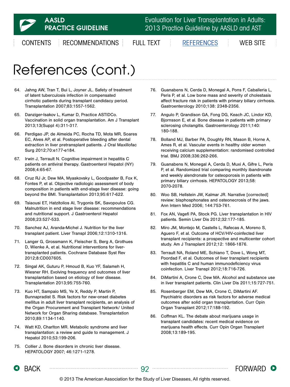Evaluation for Liver Transplantation in Adults: 2013 Practice Guideline by AASLD and AST

<span id="page-91-0"></span>

[CONTENTS](#page-1-0) [RECOMMENDATIONS](#page-2-0) [FULL TEXT](#page-62-0) [REFERENCES](#page-88-0) [WEB SITE](http://aasld.org/practiceguidelines/Pages/guidelinelisting.aspx)

# References (cont.)

- 64. Jahng AW, Tran T, Bui L, Joyner JL. Safety of treatment of latent tuberculosis infection in compensated cirrhotic patients during transplant candidacy period. Transplantation 2007;83:1557-1562.
- 65. Danziger-Isakov L, Kumar D, Practice ASTIDCo. Vaccination in solid organ transplantation. Am J Transplant 2013;13(Suppl 4):311-317.
- 66. Perdigao JP, de Almeida PC, Rocha TD, Mota MR, Soares EC, Alves AP, et al. Postoperative bleeding after dental extraction in liver pretransplant patients. J Oral Maxillofac Surg 2012;70:e177-e184.
- 67. Irwin J, Terrault N. Cognitive impairment in hepatitis C patients on antiviral therapy. Gastroenterol Hepatol (NY) 2008;4:65-67.
- 68. Cruz RJ Jr, Dew MA, Myaskovsky L, Goodpaster B, Fox K, Fontes P, et al. Objective radiologic assessment of body composition in patients with end-stage liver disease: going beyond the BMI. Transplantation 2013;95:617-622.
- 69. Tsiaousi ET, Hatzitolios AI, Trygonis SK, Savopoulos CG. Malnutrition in end stage liver disease: recommendations and nutritional support. J Gastroenterol Hepatol 2008;23:527-533.
- 70. Sanchez AJ, Aranda-Michel J. Nutrition for the liver transplant patient. Liver Transpl 2006;12:1310-1316.
- 71. Langer G, Grossmann K, Fleischer S, Berg A, Grothues D, Wienke A, et al. Nutritional interventions for livertransplanted patients. Cochrane Database Syst Rev 2012;8:CD007605.
- 72. Singal AK, Guturu P, Hmoud B, Kuo YF, Salameh H, Wiesner RH. Evolving frequency and outcomes of liver transplantation based on etiology of liver disease. Transplantation 2013;95:755-760.
- 73. Kuo HT, Sampaio MS, Ye X, Reddy P, Martin P, Bunnapradist S. Risk factors for new-onset diabetes mellitus in adult liver transplant recipients, an analysis of the Organ Procurement and Transplant Network/ United Network for Organ Sharing database. Transplantation 2010;89:1134-1140.
- 74. Watt KD, Charlton MR. Metabolic syndrome and liver transplantation: a review and guide to management. J Hepatol 2010;53:199-206.
- 75. Collier J. Bone disorders in chronic liver disease. HEPATOLOGY 2007; 46:1271-1278.
- 76. Guanabens N, Cerda D, Monegal A, Pons F, Caballeria L, Peris P, et al. Low bone mass and severity of cholestasis affect fracture risk in patients with primary biliary cirrhosis. Gastroenterology 2010;138: 2348-2356.
- 77. Angulo P, Grandison GA, Fong DG, Keach JC, Lindor KD, Bjornsson E, et al. Bone disease in patients with primary sclerosing cholangitis. Gastroenterology 2011;140: 180-188.
- 78. Bolland MJ, Barber PA, Doughty RN, Mason B, Horne A, Ames R, et al. Vascular events in healthy older women receiving calcium supplementation: randomised controlled trial. BMJ 2008;336:262-266.
- 79. Guanabens N, Monegal A, Cerda D, Muxi A, Gifre L, Peris P, et al. Randomized trial comparing monthly ibandronate and weekly alendronate for osteoporosis in patients with primary biliary cirrhosis. HEPATOLOGY 2013;58: 2070-2078.
- 80. Woo SB, Hellstein JW, Kalmar JR. Narrative [corrected] review: bisphosphonates and osteonecrosis of the jaws. Ann Intern Med 2006; 144:753-761.
- 81. Fox AN, Vagefi PA, Stock PG. Liver transplantation in HIV patients. Semin Liver Dis 2012;32:177-185.
- 82. Miro JM, Montejo M, Castells L, Rafecas A, Moreno S, Aguero F, et al. Outcome of HCV/HIV-coinfected liver transplant recipients: a prospective and multicenter cohort study. Am J Transplant 2012;12: 1866-1876.
- 83. Terrault NA, Roland ME, Schiano T, Dove L, Wong MT, Poordad F, et al. Outcomes of liver transplant recipients with hepatitis C and human immunodeficiency virus coinfection. Liver Transpl 2012;18:716-726.
- 84. DiMartini A, Crone C, Dew MA. Alcohol and substance use in liver transplant patients. Clin Liver Dis 2011;15:727-751.
- 85. Rosenberger EM, Dew MA, Crone C, DiMartini AF. Psychiatric disorders as risk factors for adverse medical outcomes after solid organ transplantation. Curr Opin Organ Transplant 2012;17:188-192.
- 86. Coffman KL. The debate about marijuana usage in transplant candidates: recent medical evidence on marijuana health effects. Curr Opin Organ Transplant 2008;13:189-195.

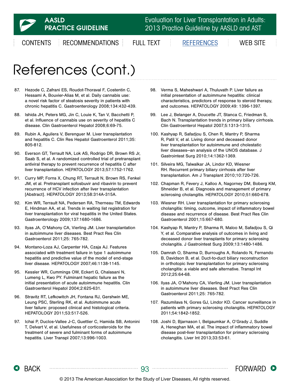Evaluation for Liver Transplantation in Adults: 2013 Practice Guideline by AASLD and AST

<span id="page-92-0"></span>

[CONTENTS](#page-1-0) [RECOMMENDATIONS](#page-2-0) [FULL TEXT](#page-62-0) [REFERENCES](#page-88-0) [WEB SITE](http://aasld.org/practiceguidelines/Pages/guidelinelisting.aspx)

# References (cont.)

- 87. Hezode C, Zafrani ES, Roudot-Thoraval F, Costentin C, Hessami A, Bouvier-Alias M, et al. Daily cannabis use: a novel risk factor of steatosis severity in patients with chronic hepatitis C. Gastroenterology 2008;134:432-439.
- 88. Ishida JH, Peters MG, Jin C, Louie K, Tan V, Bacchetti P, et al. Influence of cannabis use on severity of hepatitis C disease. Clin Gastroenterol Hepatol 2008;6:69-75.
- 89. Rubin A, Aguilera V, Berenguer M. Liver transplantation and hepatitis C. Clin Res Hepatol Gastroenterol 2011;35: 805-812.
- 90. Everson GT, Terrault NA, Lok AS, Rodrigo DR, Brown RS Jr, Saab S, et al. A randomized controlled trial of pretransplant antiviral therapy to prevent recurrence of hepatitis C after liver transplantation. HEPATOLOGY 2013;57:1752-1762.
- 91. Curry MP, Forns X, Chung RT, Terrault N, Brown RS, Fenkel JM, et al. Pretransplant sofosbuvir and ribavirin to prevent recurrence of HCV infection after liver transplantation [Abstract]. HEPATOLOGY 2013;58:314A-315A.
- 92. Kim WR, Terrault NA, Pedersen RA, Therneau TM, Edwards E, Hindman AA, et al. Trends in waiting list registration for liver transplantation for viral hepatitis in the United States. Gastroenterology 2009;137:1680-1686.
- 93. Ilyas JA, O'Mahony CA, Vierling JM. Liver transplantation in autoimmune liver diseases. Best Pract Res Clin Gastroenterol 2011;25: 765-782.
- 94. Montano-Loza AJ, Carpenter HA, Czaja AJ. Features associated with treatment failure in type 1 autoimmune hepatitis and predictive value of the model of end-stage liver disease. HEPATOLOGY 2007;46:1138-1145.
- 95. Kessler WR, Cummings OW, Eckert G, Chalasani N, Lumeng L, Kwo PY. Fulminant hepatic failure as the initial presentation of acute autoimmune hepatitis. Clin Gastroenterol Hepatol 2004;2:625-631.
- 96. Stravitz RT, Lefkowitch JH, Fontana RJ, Gershwin ME, Leung PSC, Sterling RK, et al. Autoimmune acute liver failure: proposed clinical and histological criteria. HEPATOLOGY 2011;53:517-526.
- 97. Ichai P, Duclos-Vallee J-C, Guettier C, Hamida SB, Antonini T, Delvart V, et al. Usefulness of corticosteroids for the treatment of severe and fulminant forms of autoimmune hepatitis. Liver Transpl 2007;13:996-1003.
- 98. Verma S, Maheshwari A, Thuluvath P. Liver failure as initial presentation of autoimmune hepatitis: clinical characteristics, predictors of response to steroid therapy, and outcomes. HEPATOLOGY 2009;49: 1396-1397.
- 99. Lee J, Belanger A, Doucette JT, Stanca C, Friedman S, Bach N. Transplantation trends in primary biliary cirrhosis. Clin Gastroenterol Hepatol 2007;5:1313-1315.
- 100. Kashyap R, Safadjou S, Chen R, Mantry P, Sharma R, Patil V, et al. Living donor and deceased donor liver transplantation for autoimmune and cholestatic liver diseases—an analysis of the UNOS database. J Gastrointest Surg 2010;14:1362-1369.
- 101. Silveira MG, Talwalkar JA, Lindor KD, Wiesner RH. Recurrent primary biliary cirrhosis after liver transplantation. Am J Transplant 2010;10:720-726.
- 102. Chapman R, Fevery J, Kalloo A, Nagorney DM, Boberg KM, Shneider B, et al. Diagnosis and management of primary sclerosing cholangitis. HEPATOLOGY 2010;51:660-678.
- 103. Wiesner RH. Liver transplantation for primary sclerosing cholangitis: timing, outcome, impact of inflammatory bowel disease and recurrence of disease. Best Pract Res Clin Gastroenterol 2001;15:667-680.
- 104. Kashyap R, Mantry P, Sharma R, Maloo M, Safadjou S, Qi Y, et al. Comparative analysis of outcomes in living and deceased donor liver transplants for primary sclerosing cholangitis. J Gastrointest Surg 2009;13:1480-1486.
- 105. Damrah O, Sharma D, Burroughs A, Rolando N, Fernando B, Davidson B, et al. Duct-to-duct biliary reconstruction in orthotopic liver transplantation for primary sclerosing cholangitis: a viable and safe alternative. Transpl Int 2012;25:64-68.
- 106. Ilyas JA, O'Mahony CA, Vierling JM. Liver transplantation in autoimmune liver diseases. Best Pract Res Clin Gastroenterol 2011;25: 765-782.
- 107. Razumilava N, Gores GJ, Lindor KD. Cancer surveillance in patients with primary sclerosing cholangitis. HEPATOLOGY 2011;54:1842-1852.
- 108. Joshi D, Bjarnason I, Belgaumkar A, O'Grady J, Suddle A, Heneghan MA, et al. The impact of inflammatory bowel disease post-liver transplantation for primary sclerosing cholangitis. Liver Int 2013;33:53-61.

 $BACK$  [FORWARD](#page-93-0)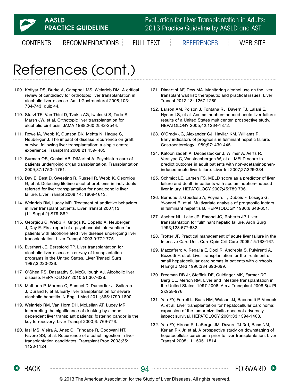<span id="page-93-0"></span>

[CONTENTS](#page-1-0) [RECOMMENDATIONS](#page-2-0) [FULL TEXT](#page-62-0) [REFERENCES](#page-88-0) [WEB SITE](http://aasld.org/practiceguidelines/Pages/guidelinelisting.aspx)

# References (cont.)

- 109. Kotlyar DS, Burke A, Campbell MS, Weinrieb RM. A critical review of candidacy for orthotopic liver transplantation in alcoholic liver disease. Am J Gastroenterol 2008;103: 734-743; quiz 44.
- 110. Starzl TE, Van Thiel D, Tzakis AG, Iwatsuki S, Todo S, Marsh JW, et al. Orthotopic liver transplantation for alcoholic cirrhosis. JAMA 1988;260:2542-2544.
- 111. Rowe IA, Webb K, Gunson BK, Mehta N, Haque S, Neuberger J. The impact of disease recurrence on graft survival following liver transplantation: a single centre experience. Transpl Int 2008;21:459- 465.
- 112. Surman OS, Cosimi AB, DiMartini A. Psychiatric care of patients undergoing organ transplantation. Transplantation 2009;87:1753- 1761.
- 113. Day E, Best D, Sweeting R, Russell R, Webb K, Georgiou G, et al. Detecting lifetime alcohol problems in individuals referred for liver transplantation for nonalcoholic liver failure. Liver Transpl 2008;14: 1609-1613.
- 114. Weinrieb RM, Lucey MR. Treatment of addictive behaviors in liver transplant patients. Liver Transpl 2007;13 (11 Suppl 2):S79-S82.
- 115. Georgiou G, Webb K, Griggs K, Copello A, Neuberger J, Day E. First report of a psychosocial intervention for patients with alcoholrelated liver disease undergoing liver transplantation. Liver Transpl 2003;9:772-775.
- 116. Everhart JE, Beresford TP. Liver transplantation for alcoholic liver disease: a survey of transplantation programs in the United States. Liver Transpl Surg 1997;3:220-226.
- 117. O'Shea RS, Dasarathy S, McCullough AJ. Alcoholic liver disease. HEPATOLOGY 2010;51:307-328.
- 118. Mathurin P, Moreno C, Samuel D, Dumortier J, Salleron J, Durand F, et al. Early liver transplantation for severe alcoholic hepatitis. N Engl J Med 2011;365:1790-1800.
- 119. Weinrieb RM, Van Horn DH, McLellan AT, Lucey MR. Interpreting the significance of drinking by alcoholdependent liver transplant patients: fostering candor is the key to recovery. Liver Transpl 2000;6: 769-776.
- 120. Iasi MS, Vieira A, Anez CI, Trindade R, Codovani NT, Favero SS, et al. Recurrence of alcohol ingestion in liver transplantation candidates. Transplant Proc 2003;35: 1123-1124.
- 121. Dimartini AF, Dew MA. Monitoring alcohol use on the liver transplant wait list: therapeutic and practical issues. Liver Transpl 2012;18: 1267-1269.
- 122. Larson AM, Polson J, Fontana RJ, Davern TJ, Lalani E, Hynan LS, et al. Acetaminophen-induced acute liver failure: results of a United States multicenter, prospective study. HEPATOLOGY 2005;42:1364-1372.
- 123. O'Grady JG, Alexander GJ, Hayllar KM, Williams R. Early indicators of prognosis in fulminant hepatic failure. Gastroenterology 1989;97: 439-445.
- 124. Katoonizadeh A, Decaestecker J, Wilmer A, Aerts R, Verslype C, Vansteenbergen W, et al. MELD score to predict outcome in adult patients with non-acetaminopheninduced acute liver failure. Liver Int 2007;27:329-334.
- 125. Schmidt LE, Larsen FS. MELD score as a predictor of liver failure and death in patients with acetaminophen-induced liver injury. HEPATOLOGY 2007;45:789-796.
- 126. Bernuau J, Goudeau A, Poynard T, Dubois F, Lesage G, Yvonnet B, et al. Multivariate analysis of prognostic factors in fulminant hepatitis B. HEPATOLOGY 1986;6:648-651.
- 127. Ascher NL, Lake JR, Emond JC, Roberts JP. Liver transplantation for fulminant hepatic failure. Arch Surg 1993;128:677-682.
- 128. Trotter JF. Practical management of acute liver failure in the Intensive Care Unit. Curr Opin Crit Care 2009;15:163-167.
- 129. Mazzaferro V, Regalia E, Doci R, Andreola S, Pulvirenti A, Bozzetti F, et al. Liver transplantation for the treatment of small hepatocellular carcinomas in patients with cirrhosis. N Engl J Med 1996;334:693-699.
- 130. Freeman RB Jr, Steffick DE, Guidinger MK, Farmer DG, Berg CL, Merion RM. Liver and intestine transplantation in the United States, 1997-2006. Am J Transplant 2008;8(4 Pt 2):958-976.
- 131. Yao FY, Ferrell L, Bass NM, Watson JJ, Bacchetti P, Venook A, et al. Liver transplantation for hepatocellular carcinoma: expansion of the tumor size limits does not adversely impact survival. HEPATOLOGY 2001;33:1394-1403.
- 132. Yao FY, Hirose R, LaBerge JM, Davern TJ 3rd, Bass NM, Kerlan RK Jr, et al. A prospective study on downstaging of hepatocellular carcinoma prior to liver transplantation. Liver Transpl 2005;11:1505- 1514.

 $\bullet$  [BACK](#page-92-0)  $\bullet$  [FORWARD](#page-94-0)  $\bullet$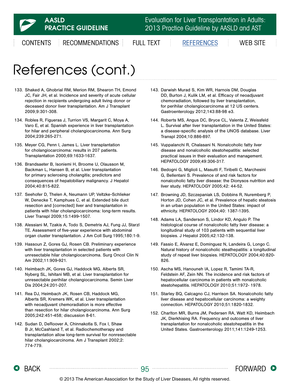Evaluation for Liver Transplantation in Adults: 2013 Practice Guideline by AASLD and AST

<span id="page-94-0"></span>

[CONTENTS](#page-1-0) [RECOMMENDATIONS](#page-2-0) [FULL TEXT](#page-62-0) [REFERENCES](#page-88-0) [WEB SITE](http://aasld.org/practiceguidelines/Pages/guidelinelisting.aspx)

# References (cont.)

- 133. Shaked A, Ghobrial RM, Merion RM, Shearon TH, Emond JC, Fair JH, et al. Incidence and severity of acute cellular rejection in recipients undergoing adult living donor or deceased donor liver transplantation. Am J Transplant 2009;9:301-308.
- 134. Robles R, Figueras J, Turrion VS, Margarit C, Moya A, Varo E, et al. Spanish experience in liver transplantation for hilar and peripheral cholangiocarcinoma. Ann Surg 2004;239:265-271.
- 135. Meyer CG, Penn I, James L. Liver transplantation for cholangiocarcinoma: results in 207 patients. Transplantation 2000;69:1633-1637.
- 136. Brandsaeter B, Isoniemi H, Broome U, Olausson M, Backman L, Hansen B, et al. Liver transplantation for primary sclerosing cholangitis; predictors and consequences of hepatobiliary malignancy. J Hepatol 2004;40:815-822.
- 137. Seehofer D, Thelen A, Neumann UP, Veltzke-Schlieker W, Denecke T, Kamphues C, et al. Extended bile duct resection and [corrected] liver and transplantation in patients with hilar cholangiocarcinoma: long-term results. Liver Transpl 2009;15:1499-1507.
- 138. Alessiani M, Tzakis A, Todo S, Demetris AJ, Fung JJ, Starzl TE. Assessment of five-year experience with abdominal organ cluster transplantation. J Am Coll Surg 1995;180:1-9.
- 139. Hassoun Z, Gores GJ, Rosen CB. Preliminary experience with liver transplantation in selected patients with unresectable hilar cholangiocarcinoma. Surg Oncol Clin N Am 2002;11:909-921.
- 140. Heimbach JK, Gores GJ, Haddock MG, Alberts SR, Nyberg SL, Ishitani MB, et al. Liver transplantation for unresectable perihilar cholangiocarcinoma. Semin Liver Dis 2004;24:201-207.
- 141. Rea DJ, Heimbach JK, Rosen CB, Haddock MG, Alberts SR, Kremers WK, et al. Liver transplantation with neoadjuvant chemoradiation is more effective than resection for hilar cholangiocarcinoma. Ann Surg 2005;242:451-458; discussion 8-61.
- 142. Sudan D, DeRoover A, Chinnakotla S, Fox I, Shaw B Jr, McCashland T, et al. Radiochemotherapy and transplantation allow long-term survival for nonresectable hilar cholangiocarcinoma. Am J Transplant 2002;2: 774-779.
- 143. Darwish Murad S, Kim WR, Harnois DM, Douglas DD, Burton J, Kulik LM, et al. Efficacy of neoadjuvant chemoradiation, followed by liver transplantation, for perihilar cholangiocarcinoma at 12 US centers. Gastroenterology 2012;143:88-98 e3.
- 144. Roberts MS, Angus DC, Bryce CL, Valenta Z, Weissfeld L. Survival after liver transplantation in the United States: a disease-specific analysis of the UNOS database. Liver Transpl 2004;10:886-897.
- 145. Vuppalanchi R, Chalasani N. Nonalcoholic fatty liver disease and nonalcoholic steatohepatitis: selected practical issues in their evaluation and management. HEPATOLOGY 2009;49:306-317.
- 146. Bedogni G, Miglioli L, Masutti F, Tiribelli C, Marchesini G, Bellentani S. Prevalence of and risk factors for nonalcoholic fatty liver disease: the Dionysos nutrition and liver study. HEPATOLOGY 2005;42: 44-52.
- 147. Browning JD, Szczepaniak LS, Dobbins R, Nuremberg P, Horton JD, Cohen JC, et al. Prevalence of hepatic steatosis in an urban population in the United States: impact of ethnicity. HEPATOLOGY 2004;40: 1387-1395.
- 148. Adams LA, Sanderson S, Lindor KD, Angulo P. The histological course of nonalcoholic fatty liver disease: a longitudinal study of 103 patients with sequential liver biopsies. J Hepatol 2005;42:132-138.
- 149. Fassio E, Álvarez E, Domínguez N, Landeira G, Longo C. Natural history of nonalcoholic steathepatitis: a longitudinal study of repeat liver biopsies. HEPATOLOGY 2004;40:820- 826.
- 150. Ascha MS, Hanouneh IA, Lopez R, Tamimi TA-R, Feldstein AF, Zein NN. The incidence and risk factors of hepatocellular carcinoma in patients with nonalcoholic steatohepatitis. HEPATOLOGY 2010;51:1972- 1978.
- 151. Starley BQ, Calcagno CJ, Harrison SA. Nonalcoholic fatty liver disease and hepatocellular carcinoma: a weighty connection. HEPATOLOGY 2010;51:1820-1832.
- 152. Charlton MR, Burns JM, Pedersen RA, Watt KD, Heimbach JK, Dierkhising RA. Frequency and outcomes of liver transplantation for nonalcoholic steatohepatitis in the United States. Gastroenterology 2011;141:1249-1253.

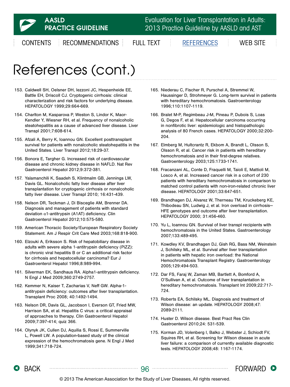Evaluation for Liver Transplantation in Adults: 2013 Practice Guideline by AASLD and AST

<span id="page-95-0"></span>

[CONTENTS](#page-1-0) [RECOMMENDATIONS](#page-2-0) [FULL TEXT](#page-62-0) [REFERENCES](#page-88-0) [WEB SITE](http://aasld.org/practiceguidelines/Pages/guidelinelisting.aspx)

# References (cont.)

- 153. Caldwell SH, Oelsner DH, Iezzoni JC, Hespenheide EE, Battle EH, Driscoll CJ. Cryptogenic cirrhosis: clinical characterization and risk factors for underlying disease. HEPATOLOGY 1999;29:664-669.
- 154. Charlton M, Kasparova P, Weston S, Lindor K, Maor-Kendler Y, Wiesner RH, et al. Frequency of nonalcoholic steatohepatitis as a cause of advanced liver disease. Liver Transpl 2001;7:608-614.
- 155. Afzali A, Berry K, Ioannou GN. Excellent posttransplant survival for patients with nonalcoholic steatohepatitis in the United States. Liver Transpl 2012;18:29-37.
- 156. Bonora E, Targher G. Increased risk of cardiovascular disease and chronic kidney disease in NAFLD. Nat Rev Gastroenterol Hepatol 2012;9:372-381.
- 157. Yalamanchili K, Saadeh S, Klintmalm GB, Jennings LW, Davis GL. Nonalcoholic fatty liver disease after liver transplantation for cryptogenic cirrhosis or nonalcoholic fatty liver disease. Liver Transpl 2010; 16:431-439.
- 158. Nelson DR, Teckman J, Di Bisceglie AM, Brenner DA. Diagnosis and management of patients with standard deviation  $α1$ -antitrypsin (A1AT) deficiency. Clin Gastroenterol Hepatol 2012;10:575-580.
- 159. American Thoracic Society/European Respiratory Society Statement. Am J Respir Crit Care Med 2003;168:818-900.
- 160. Elzouki A, Eriksson S. Risk of hepatobiliary disease in adults with severe alpha 1-antitrypsin deficiency (PiZZ): is chronic viral hepatitis B or C an additional risk factor for cirrhosis and hepatocellular carcinoma? Eur J Gastroenterol Hepatol 1996;8:989-994.
- 161. Silverman EK, Sandhaus RA. Alpha1-antitrypsin deficiency. N Engl J Med 2009;360:2749-2757.
- 162. Kemmer N, Kaiser T, Zacharias V, Neff GW. Alpha-1 antitrypsin deficiency: outcomes after liver transplantation. Transplant Proc 2008; 40:1492-1494.
- 163. Nelson DR, Davis GL, Jacobson I, Everson GT, Fried MW, Harrison SA, et al. Hepatitis C virus: a critical appraisal of approaches to therapy. Clin Gastroenterol Hepatol 2009;7:397-414; quiz 366.
- 164. Olynyk JK, Cullen DJ, Aquilia S, Rossi E, Summerville L, Powell LW. A population-based study of the clinical expression of the hemochromatosis gene. N Engl J Med 1999;341:718-724.
- 165. Niederau C, Fischer R, Purschel A, Stremmel W, Haussinger D, Strohmeyer G. Long-term survival in patients with hereditary hemochromatosis. Gastroenterology 1996;110:1107-1119.
- 166. Bralet M-P, Regimbeau J-M, Pineau P, Dubois S, Loas G, Degos F, et al. Hepatocellular carcinoma occurring in nonfibrotic liver: epidemiologic and histopathologic analysis of 80 French cases. HEPATOLOGY 2000;32:200- 204.
- 167. Elmberg M, Hultcrantz R, Ekbom A, Brandt L, Olsson S, Olsson R, et al. Cancer risk in patients with hereditary hemochromatosis and in their first-degree relatives. Gastroenterology 2003;125:1733-1741.
- 168. Fracanzani AL, Conte D, Fraquelli M, Taioli E, Mattioli M, Losco A, et al. Increased cancer risk in a cohort of 230 patients with hereditary hemochromatosis in comparison to matched control patients with non-iron-related chronic liver disease. HEPATOLOGY 2001;33:647-651.
- 169. Brandhagen DJ, Alvarez W, Therneau TM, Kruckeberg KE, Thibodeau SN, Ludwig J, et al. Iron overload in cirrhosis— HFE genotypes and outcome after liver transplantation. HEPATOLOGY 2000; 31:456-460.
- 170. Yu L, Ioannou GN. Survival of liver transpl recipients with hemochromatosis in the United States. Gastroenterology 2007;133:489-495.
- 171. Kowdley KV, Brandhagen DJ, Gish RG, Bass NM, Weinstein J, Schilsky ML, et al. Survival after liver transplantation in patients with hepatic iron overload: the National Hemochromatosis Transplant Registry. Gastroenterology 2005;129:494-503.
- 172. Dar FS, Faraj W, Zaman MB, Bartlett A, Bomford A, O'Sullivan A, et al. Outcome of liver transplantation in hereditary hemochromatosis. Transplant Int 2009;22:717- 724.
- 173. Roberts EA, Schilsky ML. Diagnosis and treatment of Wilson disease: an update. HEPATOLOGY 2008;47: 2089-2111.
- 174. Huster D. Wilson disease. Best Pract Res Clin Gastroenterol 2010;24: 531-539.
- 175. Korman JD, Volenberg I, Balko J, Webster J, Schiodt FV, Squires RH, et al. Screening for Wilson disease in acute liver failure: a comparison of currently available diagnostic tests. HEPATOLOGY 2008;48: 1167-1174.

 $\bullet$  [BACK](#page-94-0)  $\bullet$  BACK  $\bullet$  BACK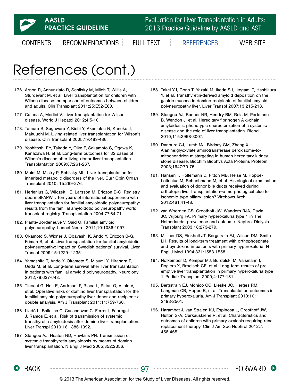Evaluation for Liver Transplantation in Adults: 2013 Practice Guideline by AASLD and AST

<span id="page-96-0"></span>

[CONTENTS](#page-1-0) [RECOMMENDATIONS](#page-2-0) [FULL TEXT](#page-62-0) [REFERENCES](#page-88-0) [WEB SITE](http://aasld.org/practiceguidelines/Pages/guidelinelisting.aspx)

# References (cont.)

- 176. Arnon R, Annunziato R, Schilsky M, Miloh T, Willis A, Sturdevant M, et al. Liver transplantation for children with Wilson disease: comparison of outcomes between children and adults. Clin Transplant 2011;25:E52-E60.
- 177. Catana A, Medici V. Liver transplantation for Wilson disease. World J Hepatol 2012;4:5-10.
- 178. Tamura S, Sugawara Y, Kishi Y, Akamatsu N, Kaneko J, Makuuchi M. Living-related liver transplantation for Wilson's disease. Clin Transplant 2005;19:483-486.
- 179. Yoshitoshi EY, Takada Y, Oike F, Sakamoto S, Ogawa K, Kanazawa H, et al. Long-term outcomes for 32 cases of Wilson's disease after living-donor liver transplantation. Transplantation 2009;87:261-267.
- 180. Moini M, Mistry P, Schilsky ML. Liver transplantation for inherited metabolic disorders of the liver. Curr Opin Organ Transplant 2010; 15:269-276.
- 181. Herlenius G, Wilczek HE, Larsson M, Ericzon B-G, Registry obormotFAPWT. Ten years of international experience with liver transplantation for familial amyloidotic polyneuropathy: results from the familial amyloidotic polyneuropathy world transplant registry. Transplantation 2004;77:64-71.
- 182. Planté-Bordeneuve V, Said G. Familial amyloid polyneuropathy. Lancet Neurol 2011;10:1086-1097.
- 183. Okamoto S, Wixner J, Obayashi K, Ando Y, Ericzon B-G, Friman S, et al. Liver transplantation for familial amyloidotic polyneuropathy: impact on Swedish patients' survival. Liver Transpl 2009;15:1229- 1235.
- 184. Yamashita T, Ando Y, Okamoto S, Misumi Y, Hirahara T, Ueda M, et al. Long-term survival after liver transplantation in patients with familial amyloid polyneuropathy. Neurology 2012;78:637-643.
- 185. Tincani G, Hoti E, Andreani P, Ricca L, Pittau G, Vitale V, et al. Operative risks of domino liver transplantation for the familial amyloid polyneuropathy liver donor and recipient: a double analysis. Am J Transplant 2011;11:759-766.
- 186. Lladó L, Baliellas C, Casasnovas C, Ferrer I, Fabregat J, Ramos E, et al. Risk of transmission of systemic transthyretin amyloidosis after domino liver transplantation. Liver Transpl 2010;16:1386-1392.
- 187. Stangou AJ, Heaton ND, Hawkins PN. Transmission of systemic transthyretin amyloidosis by means of domino liver transplantation. N Engl J Med 2005;352:2356.
- 188. Takei Y-i, Gono T, Yazaki M, Ikeda S-i, Ikegami T, Hashikura Y, et al. Transthyretin-derived amyloid deposition on the gastric mucosa in domino recipients of familial amyloid polyneuropathy liver. Liver Transpl 2007;13:215-218.
- 189. Stangou AJ, Banner NR, Hendry BM, Rela M, Portmann B, Wendon J, et al. Hereditary fibrinogen A  $α$ -chain amyloidosis: phenotypic characterization of a systemic disease and the role of liver transplantation. Blood 2010;115:2998-3007.
- 190. Danpure CJ, Lumb MJ, Birdsey GM, Zhang X. Alanine:glyoxylate aminotransferase peroxisome-tomitochondrion mistargeting in human hereditary kidney stone disease. Biochim Biophys Acta Proteins Proteom 2003;1647:70-75.
- 191. Hansen T, Hollemann D, Pitton MB, Heise M, Hoppe-Lotichius M, Schuchmann M, et al. Histological examination and evaluation of donor bile ducts received during orthotopic liver transplantation—a morphological clue to ischemic-type biliary lesion? Virchows Arch 2012;461:41-48.
- 192. van Woerden CS, Groothoff JW, Wanders RJA, Davin JC, Wijburg FA. Primary hyperoxaluria type 1 in The Netherlands: prevalence and outcome. Nephrol Dialysis Transplant 2003;18:273-279.
- 193. Milliner DS, Eickholt JT, Bergstralh EJ, Wilson DM, Smith LH. Results of long-term treatment with orthophosphate and pyridoxine in patients with primary hyperoxaluria. N Engl J Med 1994;331:1553-1558.
- 194. Nolkemper D, Kemper MJ, Burdelski M, Vaismann I, Rogiers X, Broelsch CE, et al. Long-term results of preemptive liver transplantation in primary hyperoxaluria type 1. Pediatr Transplant 2000;4:177-181.
- 195. Bergstralh EJ, Monico CG, Lieske JC, Herges RM, Langman CB, Hoppe B, et al. Transplantation outcomes in primary hyperoxaluria. Am J Transplant 2010;10: 2493-2501.
- 196. Harambat J, van Stralen KJ, Espinosa L, Groothoff JW, Hulton S-A, Cerkauskiene R, et al. Characteristics and outcomes of children with primary oxalosis requiring renal replacement therapy. Clin J Am Soc Nephrol 2012;7: 458-465.